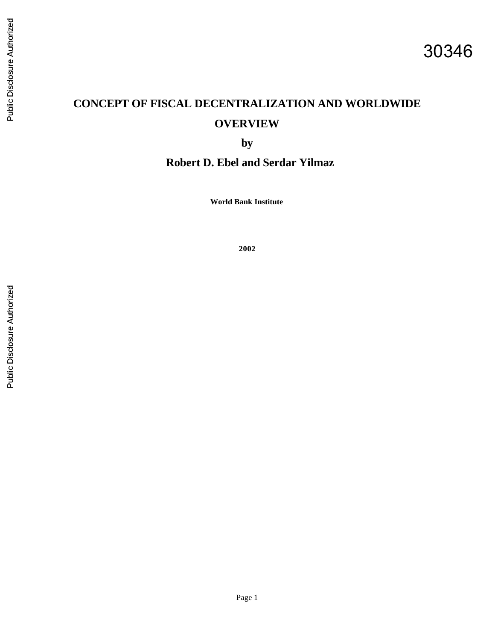# **CONCEPT OF FISCAL DECENTRALIZATION AND WORLDWIDE OVERVIEW**

**by** 

**Robert D. Ebel and Serdar Yilmaz**

**World Bank Institute**

**2002**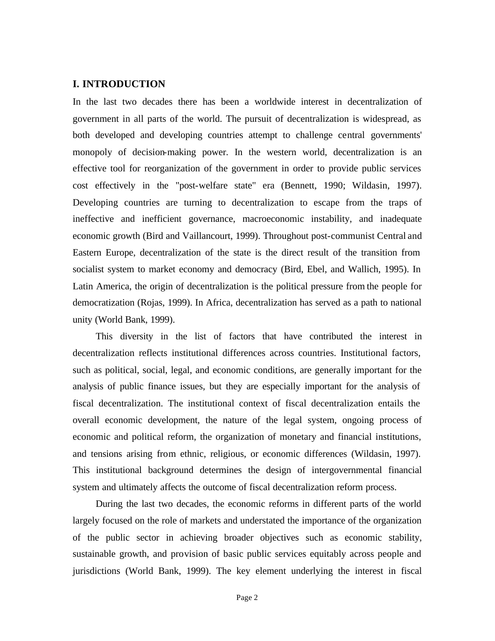# **I. INTRODUCTION**

In the last two decades there has been a worldwide interest in decentralization of government in all parts of the world. The pursuit of decentralization is widespread, as both developed and developing countries attempt to challenge central governments' monopoly of decision-making power. In the western world, decentralization is an effective tool for reorganization of the government in order to provide public services cost effectively in the "post-welfare state" era (Bennett, 1990; Wildasin, 1997). Developing countries are turning to decentralization to escape from the traps of ineffective and inefficient governance, macroeconomic instability, and inadequate economic growth (Bird and Vaillancourt, 1999). Throughout post-communist Central and Eastern Europe, decentralization of the state is the direct result of the transition from socialist system to market economy and democracy (Bird, Ebel, and Wallich, 1995). In Latin America, the origin of decentralization is the political pressure from the people for democratization (Rojas, 1999). In Africa, decentralization has served as a path to national unity (World Bank, 1999).

This diversity in the list of factors that have contributed the interest in decentralization reflects institutional differences across countries. Institutional factors, such as political, social, legal, and economic conditions, are generally important for the analysis of public finance issues, but they are especially important for the analysis of fiscal decentralization. The institutional context of fiscal decentralization entails the overall economic development, the nature of the legal system, ongoing process of economic and political reform, the organization of monetary and financial institutions, and tensions arising from ethnic, religious, or economic differences (Wildasin, 1997). This institutional background determines the design of intergovernmental financial system and ultimately affects the outcome of fiscal decentralization reform process.

During the last two decades, the economic reforms in different parts of the world largely focused on the role of markets and understated the importance of the organization of the public sector in achieving broader objectives such as economic stability, sustainable growth, and provision of basic public services equitably across people and jurisdictions (World Bank, 1999). The key element underlying the interest in fiscal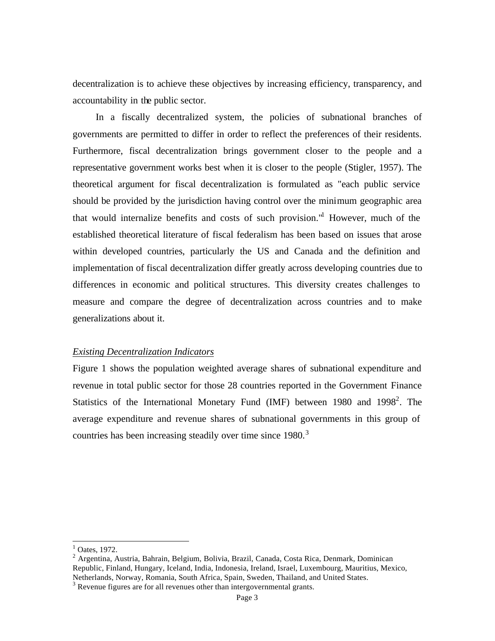decentralization is to achieve these objectives by increasing efficiency, transparency, and accountability in the public sector.

In a fiscally decentralized system, the policies of subnational branches of governments are permitted to differ in order to reflect the preferences of their residents. Furthermore, fiscal decentralization brings government closer to the people and a representative government works best when it is closer to the people (Stigler, 1957). The theoretical argument for fiscal decentralization is formulated as "each public service should be provided by the jurisdiction having control over the minimum geographic area that would internalize benefits and costs of such provision."<sup>1</sup> However, much of the established theoretical literature of fiscal federalism has been based on issues that arose within developed countries, particularly the US and Canada and the definition and implementation of fiscal decentralization differ greatly across developing countries due to differences in economic and political structures. This diversity creates challenges to measure and compare the degree of decentralization across countries and to make generalizations about it.

### *Existing Decentralization Indicators*

Figure 1 shows the population weighted average shares of subnational expenditure and revenue in total public sector for those 28 countries reported in the Government Finance Statistics of the International Monetary Fund (IMF) between 1980 and 1998<sup>2</sup>. The average expenditure and revenue shares of subnational governments in this group of countries has been increasing steadily over time since 1980.<sup>3</sup>

 $<sup>1</sup>$  Oates, 1972.</sup>

<sup>&</sup>lt;sup>2</sup> Argentina, Austria, Bahrain, Belgium, Bolivia, Brazil, Canada, Costa Rica, Denmark, Dominican Republic, Finland, Hungary, Iceland, India, Indonesia, Ireland, Israel, Luxembourg, Mauritius, Mexico, Netherlands, Norway, Romania, South Africa, Spain, Sweden, Thailand, and United States.

<sup>&</sup>lt;sup>3</sup> Revenue figures are for all revenues other than intergovernmental grants.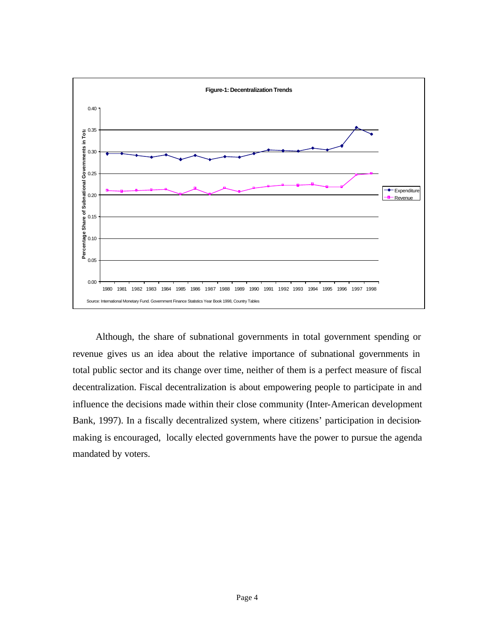

Although, the share of subnational governments in total government spending or revenue gives us an idea about the relative importance of subnational governments in total public sector and its change over time, neither of them is a perfect measure of fiscal decentralization. Fiscal decentralization is about empowering people to participate in and influence the decisions made within their close community (Inter-American development Bank, 1997). In a fiscally decentralized system, where citizens' participation in decisionmaking is encouraged, locally elected governments have the power to pursue the agenda mandated by voters.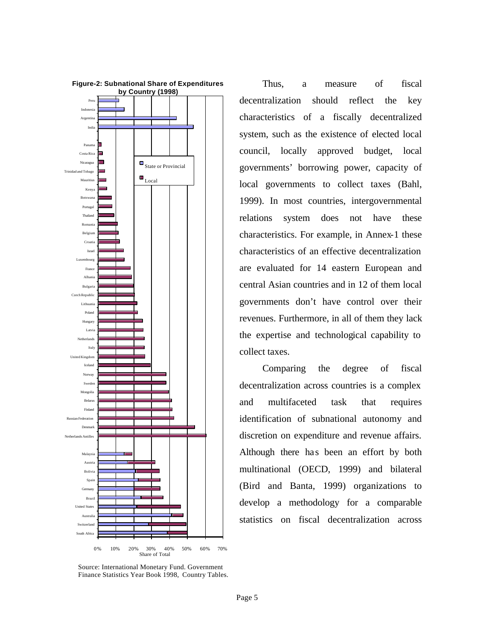

Thus, a measure of fiscal decentralization should reflect the key characteristics of a fiscally decentralized system, such as the existence of elected local council, locally approved budget, local governments' borrowing power, capacity of local governments to collect taxes (Bahl, 1999). In most countries, intergovernmental relations system does not have these characteristics. For example, in Annex-1 these characteristics of an effective decentralization are evaluated for 14 eastern European and central Asian countries and in 12 of them local governments don't have control over their revenues. Furthermore, in all of them they lack the expertise and technological capability to collect taxes.

Comparing the degree of fiscal decentralization across countries is a complex and multifaceted task that requires identification of subnational autonomy and discretion on expenditure and revenue affairs. Although there has been an effort by both multinational (OECD, 1999) and bilateral (Bird and Banta, 1999) organizations to develop a methodology for a comparable statistics on fiscal decentralization across

Source: International Monetary Fund. Government Finance Statistics Year Book 1998, Country Tables.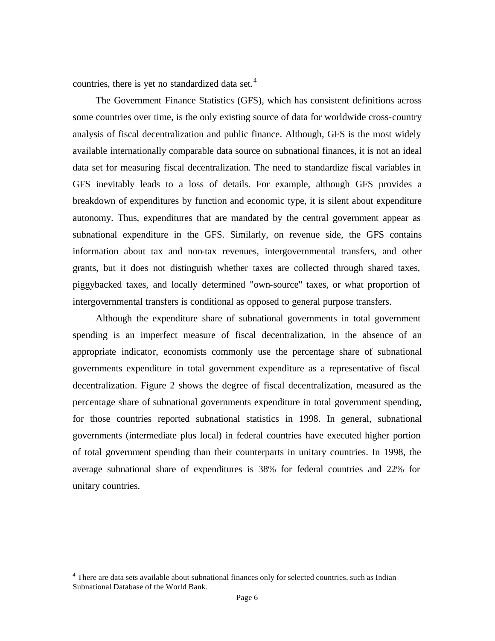countries, there is yet no standardized data set. $4$ 

The Government Finance Statistics (GFS), which has consistent definitions across some countries over time, is the only existing source of data for worldwide cross-country analysis of fiscal decentralization and public finance. Although, GFS is the most widely available internationally comparable data source on subnational finances, it is not an ideal data set for measuring fiscal decentralization. The need to standardize fiscal variables in GFS inevitably leads to a loss of details. For example, although GFS provides a breakdown of expenditures by function and economic type, it is silent about expenditure autonomy. Thus, expenditures that are mandated by the central government appear as subnational expenditure in the GFS. Similarly, on revenue side, the GFS contains information about tax and non-tax revenues, intergovernmental transfers, and other grants, but it does not distinguish whether taxes are collected through shared taxes, piggybacked taxes, and locally determined "own-source" taxes, or what proportion of intergovernmental transfers is conditional as opposed to general purpose transfers.

Although the expenditure share of subnational governments in total government spending is an imperfect measure of fiscal decentralization, in the absence of an appropriate indicator, economists commonly use the percentage share of subnational governments expenditure in total government expenditure as a representative of fiscal decentralization. Figure 2 shows the degree of fiscal decentralization, measured as the percentage share of subnational governments expenditure in total government spending, for those countries reported subnational statistics in 1998. In general, subnational governments (intermediate plus local) in federal countries have executed higher portion of total government spending than their counterparts in unitary countries. In 1998, the average subnational share of expenditures is 38% for federal countries and 22% for unitary countries.

<sup>&</sup>lt;sup>4</sup> There are data sets available about subnational finances only for selected countries, such as Indian Subnational Database of the World Bank.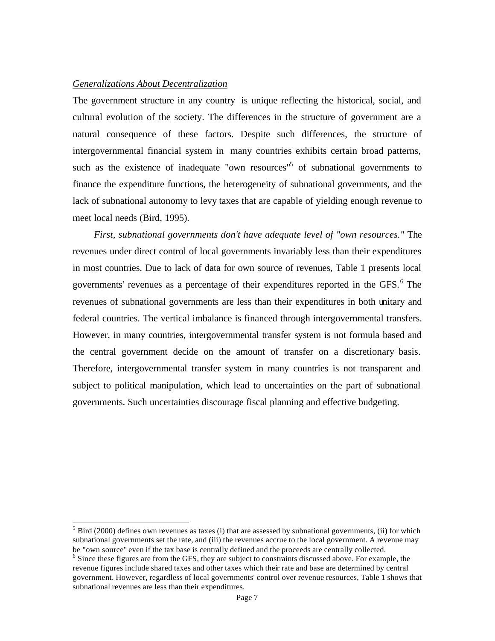#### *Generalizations About Decentralization*

The government structure in any country is unique reflecting the historical, social, and cultural evolution of the society. The differences in the structure of government are a natural consequence of these factors. Despite such differences, the structure of intergovernmental financial system in many countries exhibits certain broad patterns, such as the existence of inadequate "own resources"<sup>5</sup> of subnational governments to finance the expenditure functions, the heterogeneity of subnational governments, and the lack of subnational autonomy to levy taxes that are capable of yielding enough revenue to meet local needs (Bird, 1995).

*First, subnational governments don't have adequate level of "own resources."* The revenues under direct control of local governments invariably less than their expenditures in most countries. Due to lack of data for own source of revenues, Table 1 presents local governments' revenues as a percentage of their expenditures reported in the GFS.<sup>6</sup> The revenues of subnational governments are less than their expenditures in both unitary and federal countries. The vertical imbalance is financed through intergovernmental transfers. However, in many countries, intergovernmental transfer system is not formula based and the central government decide on the amount of transfer on a discretionary basis. Therefore, intergovernmental transfer system in many countries is not transparent and subject to political manipulation, which lead to uncertainties on the part of subnational governments. Such uncertainties discourage fiscal planning and effective budgeting.

<sup>&</sup>lt;sup>5</sup> Bird (2000) defines own revenues as taxes (i) that are assessed by subnational governments, (ii) for which subnational governments set the rate, and (iii) the revenues accrue to the local government. A revenue may be "own source" even if the tax base is centrally defined and the proceeds are centrally collected.

<sup>&</sup>lt;sup>6</sup> Since these figures are from the GFS, they are subject to constraints discussed above. For example, the revenue figures include shared taxes and other taxes which their rate and base are determined by central government. However, regardless of local governments' control over revenue resources, Table 1 shows that subnational revenues are less than their expenditures.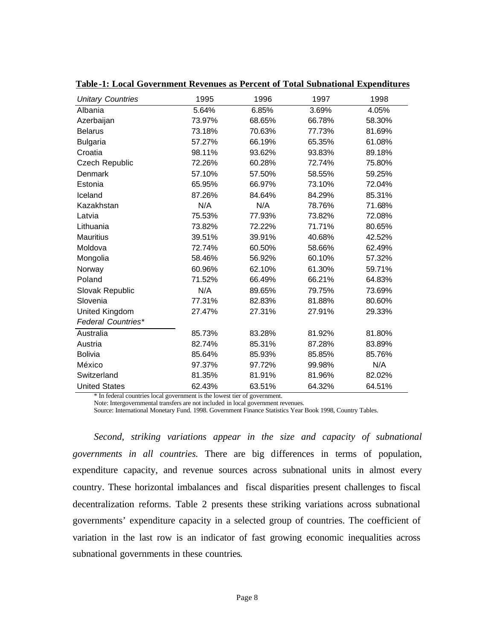| <b>Unitary Countries</b>  | 1995   | 1996   | 1997   | 1998   |
|---------------------------|--------|--------|--------|--------|
| Albania                   | 5.64%  | 6.85%  | 3.69%  | 4.05%  |
| Azerbaijan                | 73.97% | 68.65% | 66.78% | 58.30% |
| <b>Belarus</b>            | 73.18% | 70.63% | 77.73% | 81.69% |
| <b>Bulgaria</b>           | 57.27% | 66.19% | 65.35% | 61.08% |
| Croatia                   | 98.11% | 93.62% | 93.83% | 89.18% |
| Czech Republic            | 72.26% | 60.28% | 72.74% | 75.80% |
| Denmark                   | 57.10% | 57.50% | 58.55% | 59.25% |
| Estonia                   | 65.95% | 66.97% | 73.10% | 72.04% |
| Iceland                   | 87.26% | 84.64% | 84.29% | 85.31% |
| Kazakhstan                | N/A    | N/A    | 78.76% | 71.68% |
| Latvia                    | 75.53% | 77.93% | 73.82% | 72.08% |
| Lithuania                 | 73.82% | 72.22% | 71.71% | 80.65% |
| <b>Mauritius</b>          | 39.51% | 39.91% | 40.68% | 42.52% |
| Moldova                   | 72.74% | 60.50% | 58.66% | 62.49% |
| Mongolia                  | 58.46% | 56.92% | 60.10% | 57.32% |
| Norway                    | 60.96% | 62.10% | 61.30% | 59.71% |
| Poland                    | 71.52% | 66.49% | 66.21% | 64.83% |
| Slovak Republic           | N/A    | 89.65% | 79.75% | 73.69% |
| Slovenia                  | 77.31% | 82.83% | 81.88% | 80.60% |
| United Kingdom            | 27.47% | 27.31% | 27.91% | 29.33% |
| <b>Federal Countries*</b> |        |        |        |        |
| Australia                 | 85.73% | 83.28% | 81.92% | 81.80% |
| Austria                   | 82.74% | 85.31% | 87.28% | 83.89% |
| <b>Bolivia</b>            | 85.64% | 85.93% | 85.85% | 85.76% |
| México                    | 97.37% | 97.72% | 99.98% | N/A    |
| Switzerland               | 81.35% | 81.91% | 81.96% | 82.02% |
| <b>United States</b>      | 62.43% | 63.51% | 64.32% | 64.51% |

**Table -1: Local Government Revenues as Percent of Total Subnational Expenditures**

\* In federal countries local government is the lowest tier of government.

Note: Intergovernmental transfers are not included in local government revenues.

Source: International Monetary Fund. 1998. Government Finance Statistics Year Book 1998, Country Tables.

*Second, striking variations appear in the size and capacity of subnational governments in all countries.* There are big differences in terms of population, expenditure capacity, and revenue sources across subnational units in almost every country. These horizontal imbalances and fiscal disparities present challenges to fiscal decentralization reforms. Table 2 presents these striking variations across subnational governments' expenditure capacity in a selected group of countries. The coefficient of variation in the last row is an indicator of fast growing economic inequalities across subnational governments in these countries.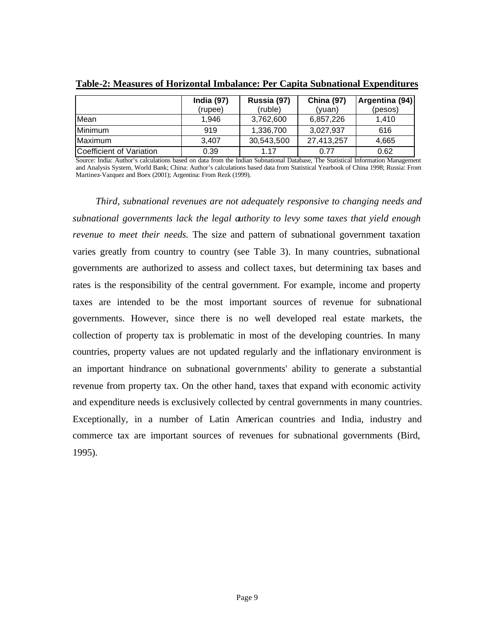|                          | <b>India (97)</b><br>(rupee) | Russia (97)<br>(ruble) | <b>China (97)</b><br>(yuan) | Argentina (94)<br>(pesos) |
|--------------------------|------------------------------|------------------------|-----------------------------|---------------------------|
| Mean                     | 1.946                        | 3,762,600              | 6,857,226                   | 1.410                     |
| Minimum                  | 919                          | 1.336.700              | 3.027.937                   | 616                       |
| Maximum                  | 3.407                        | 30,543,500             | 27,413,257                  | 4,665                     |
| Coefficient of Variation | 0.39                         | 1 17                   | 0.77                        | 0.62                      |

**Table-2: Measures of Horizontal Imbalance: Per Capita Subnational Expenditures**

Source: India: Author's calculations based on data from the Indian Subnational Database, The Statistical Information Management and Analysis System, World Bank; China: Author's calculations based data from Statistical Yearbook of China 1998; Russia: From Martinez-Vazquez and Boex (2001); Argentina: From Rezk (1999).

*Third, subnational revenues are not adequately responsive to changing needs and subnational governments lack the legal authority to levy some taxes that yield enough revenue to meet their needs.* The size and pattern of subnational government taxation varies greatly from country to country (see Table 3). In many countries, subnational governments are authorized to assess and collect taxes, but determining tax bases and rates is the responsibility of the central government. For example, income and property taxes are intended to be the most important sources of revenue for subnational governments. However, since there is no well developed real estate markets, the collection of property tax is problematic in most of the developing countries. In many countries, property values are not updated regularly and the inflationary environment is an important hindrance on subnational governments' ability to generate a substantial revenue from property tax. On the other hand, taxes that expand with economic activity and expenditure needs is exclusively collected by central governments in many countries. Exceptionally, in a number of Latin American countries and India, industry and commerce tax are important sources of revenues for subnational governments (Bird, 1995).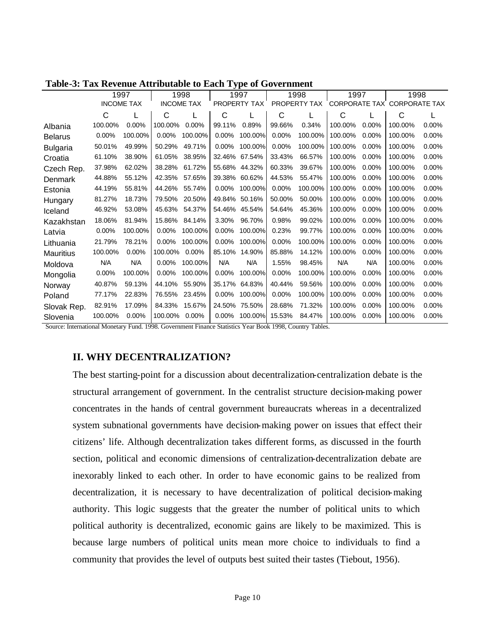|                 |          | 1997              |          | 1998              |          | 1997         |        | 1998         | 1997    |          | 1998                        |       |
|-----------------|----------|-------------------|----------|-------------------|----------|--------------|--------|--------------|---------|----------|-----------------------------|-------|
|                 |          | <b>INCOME TAX</b> |          | <b>INCOME TAX</b> |          | PROPERTY TAX |        | PROPERTY TAX |         |          | CORPORATE TAX CORPORATE TAX |       |
|                 | C        |                   | C        |                   | С        |              | С      |              | С       |          | C                           |       |
| Albania         | 100.00%  | 0.00%             | 100.00%  | 0.00%             | 99.11%   | 0.89%        | 99.66% | 0.34%        | 100.00% | 0.00%    | 100.00%                     | 0.00% |
| <b>Belarus</b>  | $0.00\%$ | 100.00%           | 0.00%    | 100.00%           | 0.00%    | 100.00%      | 0.00%  | 100.00%      | 100.00% | 0.00%    | 100.00%                     | 0.00% |
| <b>Bulgaria</b> | 50.01%   | 49.99%            | 50.29%   | 49.71%            | 0.00%    | 100.00%      | 0.00%  | 100.00%      | 100.00% | 0.00%    | 100.00%                     | 0.00% |
| Croatia         | 61.10%   | 38.90%            | 61.05%   | 38.95%            | 32.46%   | 67.54%       | 33.43% | 66.57%       | 100.00% | 0.00%    | 100.00%                     | 0.00% |
| Czech Rep.      | 37.98%   | 62.02%            | 38.28%   | 61.72%            | 55.68%   | 44.32%       | 60.33% | 39.67%       | 100.00% | 0.00%    | 100.00%                     | 0.00% |
| Denmark         | 44.88%   | 55.12%            | 42.35%   | 57.65%            | 39.38%   | 60.62%       | 44.53% | 55.47%       | 100.00% | 0.00%    | 100.00%                     | 0.00% |
| Estonia         | 44.19%   | 55.81%            | 44.26%   | 55.74%            | 0.00%    | 100.00%      | 0.00%  | 100.00%      | 100.00% | 0.00%    | 100.00%                     | 0.00% |
| Hungary         | 81.27%   | 18.73%            | 79.50%   | 20.50%            | 49.84%   | 50.16%       | 50.00% | 50.00%       | 100.00% | 0.00%    | 100.00%                     | 0.00% |
| Iceland         | 46.92%   | 53.08%            | 45.63%   | 54.37%            | 54.46%   | 45.54%       | 54.64% | 45.36%       | 100.00% | 0.00%    | 100.00%                     | 0.00% |
| Kazakhstan      | 18.06%   | 81.94%            | 15.86%   | 84.14%            | 3.30%    | 96.70%       | 0.98%  | 99.02%       | 100.00% | 0.00%    | 100.00%                     | 0.00% |
| Latvia          | 0.00%    | 100.00%           | $0.00\%$ | 100.00%           | 0.00%    | 100.00%      | 0.23%  | 99.77%       | 100.00% | $0.00\%$ | 100.00%                     | 0.00% |
| Lithuania       | 21.79%   | 78.21%            | 0.00%    | 100.00%           | $0.00\%$ | 100.00%      | 0.00%  | 100.00%      | 100.00% | 0.00%    | 100.00%                     | 0.00% |
| Mauritius       | 100.00%  | 0.00%             | 100.00%  | $0.00\%$          | 85.10%   | 14.90%       | 85.88% | 14.12%       | 100.00% | 0.00%    | 100.00%                     | 0.00% |
| Moldova         | N/A      | N/A               | 0.00%    | 100.00%           | N/A      | N/A          | 1.55%  | 98.45%       | N/A     | N/A      | 100.00%                     | 0.00% |
| Mongolia        | $0.00\%$ | 100.00%           | 0.00%    | 100.00%           | $0.00\%$ | 100.00%      | 0.00%  | 100.00%      | 100.00% | 0.00%    | 100.00%                     | 0.00% |
| Norway          | 40.87%   | 59.13%            | 44.10%   | 55.90%            | 35.17%   | 64.83%       | 40.44% | 59.56%       | 100.00% | 0.00%    | 100.00%                     | 0.00% |
| Poland          | 77.17%   | 22.83%            | 76.55%   | 23.45%            | 0.00%    | 100.00%      | 0.00%  | 100.00%      | 100.00% | 0.00%    | 100.00%                     | 0.00% |
| Slovak Rep.     | 82.91%   | 17.09%            | 84.33%   | 15.67%            | 24.50%   | 75.50%       | 28.68% | 71.32%       | 100.00% | 0.00%    | 100.00%                     | 0.00% |
| Slovenia        | 100.00%  | 0.00%             | 100.00%  | 0.00%             | $0.00\%$ | 100.00%      | 15.53% | 84.47%       | 100.00% | 0.00%    | 100.00%                     | 0.00% |

**Table-3: Tax Revenue Attributable to Each Type of Government**

Source: International Monetary Fund. 1998. Government Finance Statistics Year Book 1998, Country Tables.

# **II. WHY DECENTRALIZATION?**

The best starting-point for a discussion about decentralization-centralization debate is the structural arrangement of government. In the centralist structure decision-making power concentrates in the hands of central government bureaucrats whereas in a decentralized system subnational governments have decision-making power on issues that effect their citizens' life. Although decentralization takes different forms, as discussed in the fourth section, political and economic dimensions of centralization-decentralization debate are inexorably linked to each other. In order to have economic gains to be realized from decentralization, it is necessary to have decentralization of political decision-making authority. This logic suggests that the greater the number of political units to which political authority is decentralized, economic gains are likely to be maximized. This is because large numbers of political units mean more choice to individuals to find a community that provides the level of outputs best suited their tastes (Tiebout, 1956).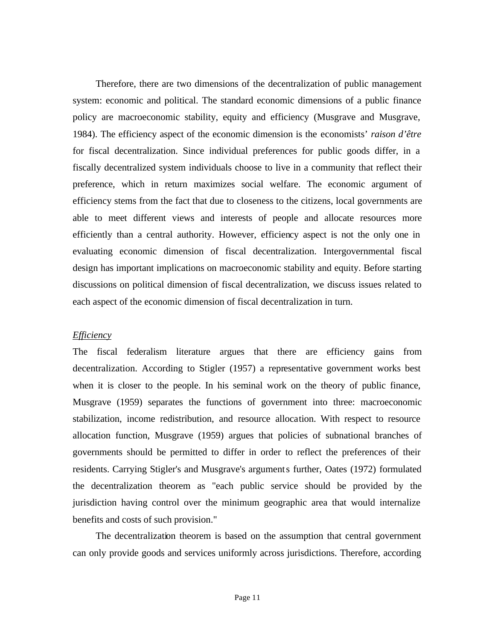Therefore, there are two dimensions of the decentralization of public management system: economic and political. The standard economic dimensions of a public finance policy are macroeconomic stability, equity and efficiency (Musgrave and Musgrave, 1984). The efficiency aspect of the economic dimension is the economists' *raison d'être* for fiscal decentralization. Since individual preferences for public goods differ, in a fiscally decentralized system individuals choose to live in a community that reflect their preference, which in return maximizes social welfare. The economic argument of efficiency stems from the fact that due to closeness to the citizens, local governments are able to meet different views and interests of people and allocate resources more efficiently than a central authority. However, efficiency aspect is not the only one in evaluating economic dimension of fiscal decentralization. Intergovernmental fiscal design has important implications on macroeconomic stability and equity. Before starting discussions on political dimension of fiscal decentralization, we discuss issues related to each aspect of the economic dimension of fiscal decentralization in turn.

### *Efficiency*

The fiscal federalism literature argues that there are efficiency gains from decentralization. According to Stigler (1957) a representative government works best when it is closer to the people. In his seminal work on the theory of public finance, Musgrave (1959) separates the functions of government into three: macroeconomic stabilization, income redistribution, and resource allocation. With respect to resource allocation function, Musgrave (1959) argues that policies of subnational branches of governments should be permitted to differ in order to reflect the preferences of their residents. Carrying Stigler's and Musgrave's arguments further, Oates (1972) formulated the decentralization theorem as "each public service should be provided by the jurisdiction having control over the minimum geographic area that would internalize benefits and costs of such provision."

The decentralization theorem is based on the assumption that central government can only provide goods and services uniformly across jurisdictions. Therefore, according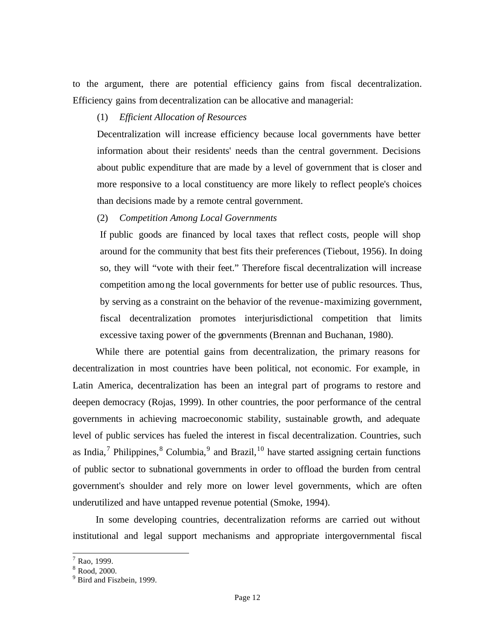to the argument, there are potential efficiency gains from fiscal decentralization. Efficiency gains from decentralization can be allocative and managerial:

# (1) *Efficient Allocation of Resources*

Decentralization will increase efficiency because local governments have better information about their residents' needs than the central government. Decisions about public expenditure that are made by a level of government that is closer and more responsive to a local constituency are more likely to reflect people's choices than decisions made by a remote central government.

# (2) *Competition Among Local Governments*

If public goods are financed by local taxes that reflect costs, people will shop around for the community that best fits their preferences (Tiebout, 1956). In doing so, they will "vote with their feet." Therefore fiscal decentralization will increase competition among the local governments for better use of public resources. Thus, by serving as a constraint on the behavior of the revenue-maximizing government, fiscal decentralization promotes interjurisdictional competition that limits excessive taxing power of the governments (Brennan and Buchanan, 1980).

While there are potential gains from decentralization, the primary reasons for decentralization in most countries have been political, not economic. For example, in Latin America, decentralization has been an integral part of programs to restore and deepen democracy (Rojas, 1999). In other countries, the poor performance of the central governments in achieving macroeconomic stability, sustainable growth, and adequate level of public services has fueled the interest in fiscal decentralization. Countries, such as India,<sup>7</sup> Philippines,<sup>8</sup> Columbia,<sup>9</sup> and Brazil,<sup>10</sup> have started assigning certain functions of public sector to subnational governments in order to offload the burden from central government's shoulder and rely more on lower level governments, which are often underutilized and have untapped revenue potential (Smoke, 1994).

In some developing countries, decentralization reforms are carried out without institutional and legal support mechanisms and appropriate intergovernmental fiscal

 7 Rao, 1999.

<sup>8</sup> Rood, 2000.

<sup>&</sup>lt;sup>9</sup> Bird and Fiszbein, 1999.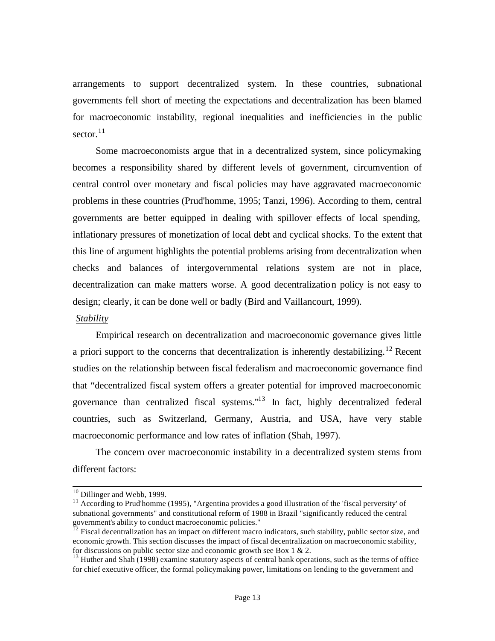arrangements to support decentralized system. In these countries, subnational governments fell short of meeting the expectations and decentralization has been blamed for macroeconomic instability, regional inequalities and inefficiencies in the public sector. $11$ 

Some macroeconomists argue that in a decentralized system, since policymaking becomes a responsibility shared by different levels of government, circumvention of central control over monetary and fiscal policies may have aggravated macroeconomic problems in these countries (Prud'homme, 1995; Tanzi, 1996). According to them, central governments are better equipped in dealing with spillover effects of local spending, inflationary pressures of monetization of local debt and cyclical shocks. To the extent that this line of argument highlights the potential problems arising from decentralization when checks and balances of intergovernmental relations system are not in place, decentralization can make matters worse. A good decentralization policy is not easy to design; clearly, it can be done well or badly (Bird and Vaillancourt, 1999).

#### *Stability*

Empirical research on decentralization and macroeconomic governance gives little a priori support to the concerns that decentralization is inherently destabilizing.<sup>12</sup> Recent studies on the relationship between fiscal federalism and macroeconomic governance find that "decentralized fiscal system offers a greater potential for improved macroeconomic governance than centralized fiscal systems."<sup>13</sup> In fact, highly decentralized federal countries, such as Switzerland, Germany, Austria, and USA, have very stable macroeconomic performance and low rates of inflation (Shah, 1997).

The concern over macroeconomic instability in a decentralized system stems from different factors:

 $10$  Dillinger and Webb, 1999.

<sup>&</sup>lt;sup>11</sup> According to Prud'homme (1995), "Argentina provides a good illustration of the 'fiscal perversity' of subnational governments" and constitutional reform of 1988 in Brazil "significantly reduced the central government's ability to conduct macroeconomic policies."

 $^{12}$  Fiscal decentralization has an impact on different macro indicators, such stability, public sector size, and economic growth. This section discusses the impact of fiscal decentralization on macroeconomic stability, for discussions on public sector size and economic growth see Box 1  $\&$  2.

<sup>&</sup>lt;sup>13</sup> Huther and Shah (1998) examine statutory aspects of central bank operations, such as the terms of office for chief executive officer, the formal policymaking power, limitations on lending to the government and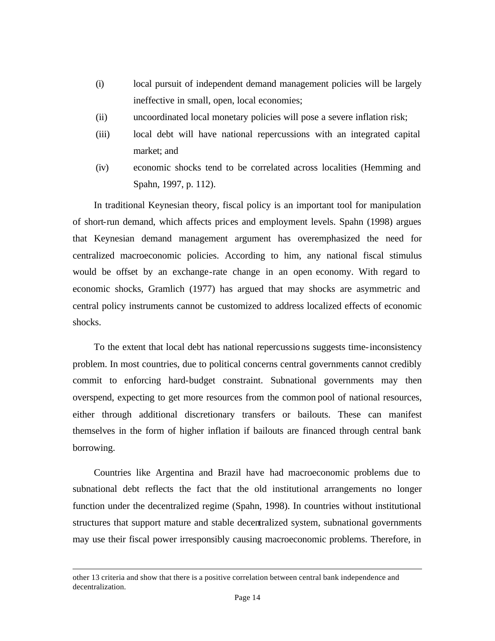- (i) local pursuit of independent demand management policies will be largely ineffective in small, open, local economies;
- (ii) uncoordinated local monetary policies will pose a severe inflation risk;
- (iii) local debt will have national repercussions with an integrated capital market; and
- (iv) economic shocks tend to be correlated across localities (Hemming and Spahn, 1997, p. 112).

In traditional Keynesian theory, fiscal policy is an important tool for manipulation of short-run demand, which affects prices and employment levels. Spahn (1998) argues that Keynesian demand management argument has overemphasized the need for centralized macroeconomic policies. According to him, any national fiscal stimulus would be offset by an exchange-rate change in an open economy. With regard to economic shocks, Gramlich (1977) has argued that may shocks are asymmetric and central policy instruments cannot be customized to address localized effects of economic shocks.

To the extent that local debt has national repercussions suggests time-inconsistency problem. In most countries, due to political concerns central governments cannot credibly commit to enforcing hard-budget constraint. Subnational governments may then overspend, expecting to get more resources from the common pool of national resources, either through additional discretionary transfers or bailouts. These can manifest themselves in the form of higher inflation if bailouts are financed through central bank borrowing.

Countries like Argentina and Brazil have had macroeconomic problems due to subnational debt reflects the fact that the old institutional arrangements no longer function under the decentralized regime (Spahn, 1998). In countries without institutional structures that support mature and stable decentralized system, subnational governments may use their fiscal power irresponsibly causing macroeconomic problems. Therefore, in

other 13 criteria and show that there is a positive correlation between central bank independence and decentralization.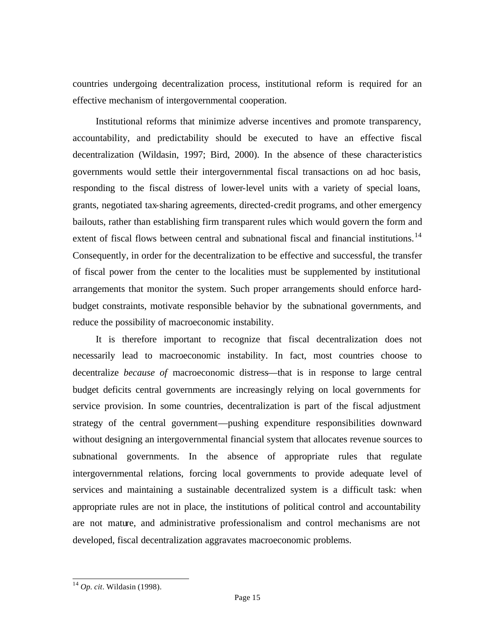countries undergoing decentralization process, institutional reform is required for an effective mechanism of intergovernmental cooperation.

Institutional reforms that minimize adverse incentives and promote transparency, accountability, and predictability should be executed to have an effective fiscal decentralization (Wildasin, 1997; Bird, 2000). In the absence of these characteristics governments would settle their intergovernmental fiscal transactions on ad hoc basis, responding to the fiscal distress of lower-level units with a variety of special loans, grants, negotiated tax-sharing agreements, directed-credit programs, and other emergency bailouts, rather than establishing firm transparent rules which would govern the form and extent of fiscal flows between central and subnational fiscal and financial institutions.<sup>14</sup> Consequently, in order for the decentralization to be effective and successful, the transfer of fiscal power from the center to the localities must be supplemented by institutional arrangements that monitor the system. Such proper arrangements should enforce hardbudget constraints, motivate responsible behavior by the subnational governments, and reduce the possibility of macroeconomic instability.

It is therefore important to recognize that fiscal decentralization does not necessarily lead to macroeconomic instability. In fact, most countries choose to decentralize *because of* macroeconomic distress—that is in response to large central budget deficits central governments are increasingly relying on local governments for service provision. In some countries, decentralization is part of the fiscal adjustment strategy of the central government—pushing expenditure responsibilities downward without designing an intergovernmental financial system that allocates revenue sources to subnational governments. In the absence of appropriate rules that regulate intergovernmental relations, forcing local governments to provide adequate level of services and maintaining a sustainable decentralized system is a difficult task: when appropriate rules are not in place, the institutions of political control and accountability are not mature, and administrative professionalism and control mechanisms are not developed, fiscal decentralization aggravates macroeconomic problems.

<sup>14</sup> *Op. cit*. Wildasin (1998).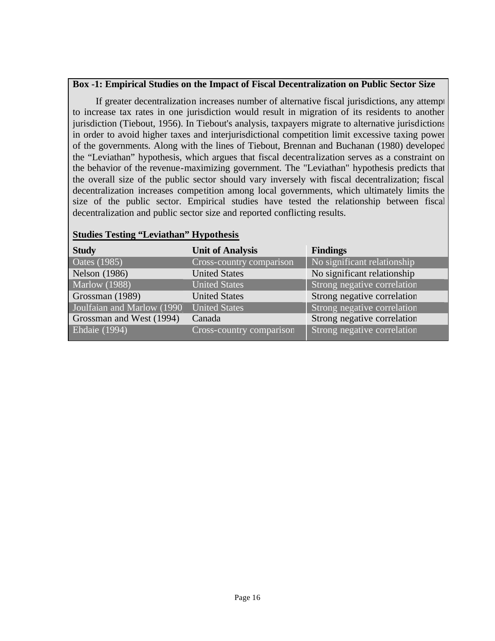# **Box -1: Empirical Studies on the Impact of Fiscal Decentralization on Public Sector Size**

If greater decentralization increases number of alternative fiscal jurisdictions, any attempt to increase tax rates in one jurisdiction would result in migration of its residents to another jurisdiction (Tiebout, 1956). In Tiebout's analysis, taxpayers migrate to alternative jurisdictions in order to avoid higher taxes and interjurisdictional competition limit excessive taxing power of the governments. Along with the lines of Tiebout, Brennan and Buchanan (1980) developed the "Leviathan" hypothesis, which argues that fiscal decentralization serves as a constraint on the behavior of the revenue-maximizing government. The "Leviathan" hypothesis predicts that the overall size of the public sector should vary inversely with fiscal decentralization; fiscal decentralization increases competition among local governments, which ultimately limits the size of the public sector. Empirical studies have tested the relationship between fiscal decentralization and public sector size and reported conflicting results.

| <b>Study</b>                | <b>Unit of Analysis</b>  | <b>Findings</b>             |
|-----------------------------|--------------------------|-----------------------------|
| <b>Oates</b> (1985)         | Cross-country comparison | No significant relationship |
| <b>Nelson</b> (1986)        | <b>United States</b>     | No significant relationship |
| <b>Marlow</b> (1988)        | <b>United States</b>     | Strong negative correlation |
| Grossman (1989)             | <b>United States</b>     | Strong negative correlation |
| Joulfaian and Marlow (1990) | <b>United States</b>     | Strong negative correlation |
| Grossman and West (1994)    | Canada                   | Strong negative correlation |
| <b>Ehdaie</b> (1994)        | Cross-country comparison | Strong negative correlation |

## **Studies Testing "Leviathan" Hypothesis**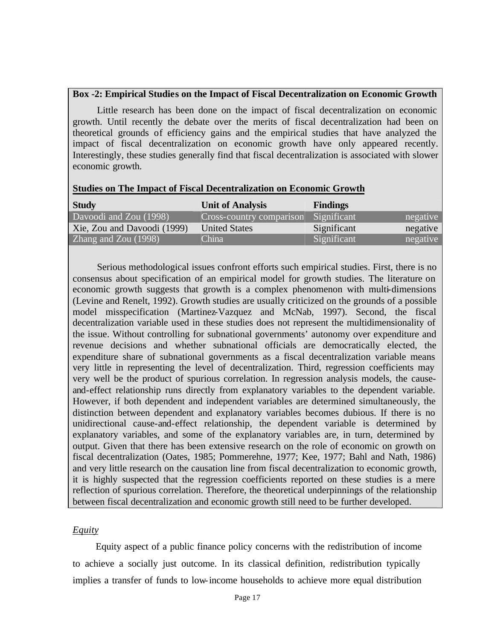# **Box -2: Empirical Studies on the Impact of Fiscal Decentralization on Economic Growth**

Little research has been done on the impact of fiscal decentralization on economic growth. Until recently the debate over the merits of fiscal decentralization had been on theoretical grounds of efficiency gains and the empirical studies that have analyzed the impact of fiscal decentralization on economic growth have only appeared recently. Interestingly, these studies generally find that fiscal decentralization is associated with slower economic growth.

|  |  |  |  | <b>Studies on The Impact of Fiscal Decentralization on Economic Growth</b> |  |  |
|--|--|--|--|----------------------------------------------------------------------------|--|--|
|--|--|--|--|----------------------------------------------------------------------------|--|--|

| <b>Study</b>                | <b>Unit of Analysis</b>  | <b>Findings</b> |          |
|-----------------------------|--------------------------|-----------------|----------|
| Davoodi and Zou (1998)      | Cross-country comparison | Significant     | negative |
| Xie, Zou and Davoodi (1999) | <b>United States</b>     | Significant     | negative |
| Zhang and Zou (1998)        | China                    | Significant     | negative |

Serious methodological issues confront efforts such empirical studies. First, there is no consensus about specification of an empirical model for growth studies. The literature on economic growth suggests that growth is a complex phenomenon with multi-dimensions (Levine and Renelt, 1992). Growth studies are usually criticized on the grounds of a possible model misspecification (Martinez-Vazquez and McNab, 1997). Second, the fiscal decentralization variable used in these studies does not represent the multidimensionality of the issue. Without controlling for subnational governments' autonomy over expenditure and revenue decisions and whether subnational officials are democratically elected, the expenditure share of subnational governments as a fiscal decentralization variable means very little in representing the level of decentralization. Third, regression coefficients may very well be the product of spurious correlation. In regression analysis models, the causeand-effect relationship runs directly from explanatory variables to the dependent variable. However, if both dependent and independent variables are determined simultaneously, the distinction between dependent and explanatory variables becomes dubious. If there is no unidirectional cause-and-effect relationship, the dependent variable is determined by explanatory variables, and some of the explanatory variables are, in turn, determined by output. Given that there has been extensive research on the role of economic on growth on fiscal decentralization (Oates, 1985; Pommerehne, 1977; Kee, 1977; Bahl and Nath, 1986) and very little research on the causation line from fiscal decentralization to economic growth, it is highly suspected that the regression coefficients reported on these studies is a mere reflection of spurious correlation. Therefore, the theoretical underpinnings of the relationship between fiscal decentralization and economic growth still need to be further developed.

# *Equity*

Equity aspect of a public finance policy concerns with the redistribution of income to achieve a socially just outcome. In its classical definition, redistribution typically implies a transfer of funds to low-income households to achieve more equal distribution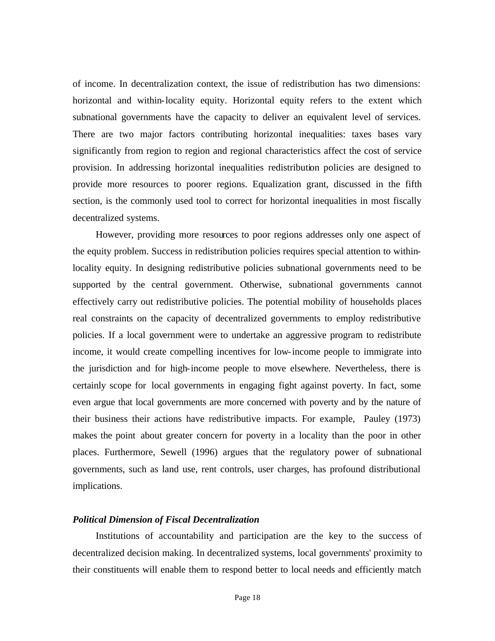of income. In decentralization context, the issue of redistribution has two dimensions: horizontal and within-locality equity. Horizontal equity refers to the extent which subnational governments have the capacity to deliver an equivalent level of services. There are two major factors contributing horizontal inequalities: taxes bases vary significantly from region to region and regional characteristics affect the cost of service provision. In addressing horizontal inequalities redistribution policies are designed to provide more resources to poorer regions. Equalization grant, discussed in the fifth section, is the commonly used tool to correct for horizontal inequalities in most fiscally decentralized systems.

However, providing more resources to poor regions addresses only one aspect of the equity problem. Success in redistribution policies requires special attention to withinlocality equity. In designing redistributive policies subnational governments need to be supported by the central government. Otherwise, subnational governments cannot effectively carry out redistributive policies. The potential mobility of households places real constraints on the capacity of decentralized governments to employ redistributive policies. If a local government were to undertake an aggressive program to redistribute income, it would create compelling incentives for low-income people to immigrate into the jurisdiction and for high-income people to move elsewhere. Nevertheless, there is certainly scope for local governments in engaging fight against poverty. In fact, some even argue that local governments are more concerned with poverty and by the nature of their business their actions have redistributive impacts. For example, Pauley (1973) makes the point about greater concern for poverty in a locality than the poor in other places. Furthermore, Sewell (1996) argues that the regulatory power of subnational governments, such as land use, rent controls, user charges, has profound distributional implications.

#### *Political Dimension of Fiscal Decentralization*

Institutions of accountability and participation are the key to the success of decentralized decision making. In decentralized systems, local governments' proximity to their constituents will enable them to respond better to local needs and efficiently match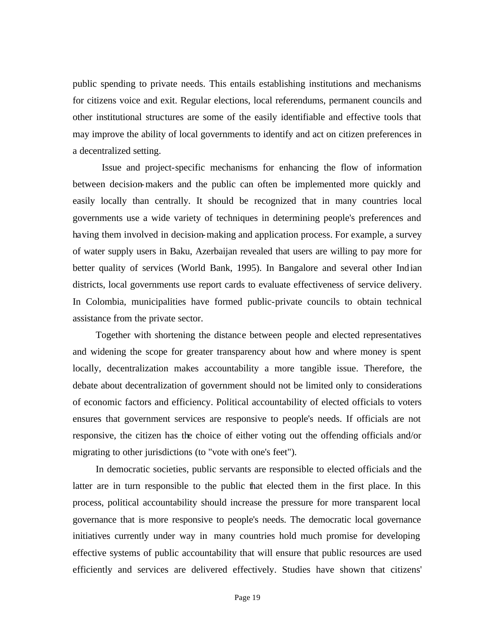public spending to private needs. This entails establishing institutions and mechanisms for citizens voice and exit. Regular elections, local referendums, permanent councils and other institutional structures are some of the easily identifiable and effective tools that may improve the ability of local governments to identify and act on citizen preferences in a decentralized setting.

Issue and project-specific mechanisms for enhancing the flow of information between decision-makers and the public can often be implemented more quickly and easily locally than centrally. It should be recognized that in many countries local governments use a wide variety of techniques in determining people's preferences and having them involved in decision-making and application process. For example, a survey of water supply users in Baku, Azerbaijan revealed that users are willing to pay more for better quality of services (World Bank, 1995). In Bangalore and several other Indian districts, local governments use report cards to evaluate effectiveness of service delivery. In Colombia, municipalities have formed public-private councils to obtain technical assistance from the private sector.

Together with shortening the distance between people and elected representatives and widening the scope for greater transparency about how and where money is spent locally, decentralization makes accountability a more tangible issue. Therefore, the debate about decentralization of government should not be limited only to considerations of economic factors and efficiency. Political accountability of elected officials to voters ensures that government services are responsive to people's needs. If officials are not responsive, the citizen has the choice of either voting out the offending officials and/or migrating to other jurisdictions (to "vote with one's feet").

In democratic societies, public servants are responsible to elected officials and the latter are in turn responsible to the public that elected them in the first place. In this process, political accountability should increase the pressure for more transparent local governance that is more responsive to people's needs. The democratic local governance initiatives currently under way in many countries hold much promise for developing effective systems of public accountability that will ensure that public resources are used efficiently and services are delivered effectively. Studies have shown that citizens'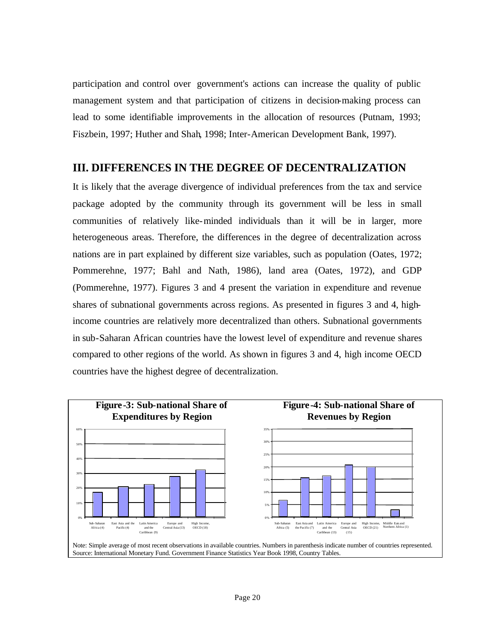participation and control over government's actions can increase the quality of public management system and that participation of citizens in decision-making process can lead to some identifiable improvements in the allocation of resources (Putnam, 1993; Fiszbein, 1997; Huther and Shah, 1998; Inter-American Development Bank, 1997).

# **III. DIFFERENCES IN THE DEGREE OF DECENTRALIZATION**

It is likely that the average divergence of individual preferences from the tax and service package adopted by the community through its government will be less in small communities of relatively like-minded individuals than it will be in larger, more heterogeneous areas. Therefore, the differences in the degree of decentralization across nations are in part explained by different size variables, such as population (Oates, 1972; Pommerehne, 1977; Bahl and Nath, 1986), land area (Oates, 1972), and GDP (Pommerehne, 1977). Figures 3 and 4 present the variation in expenditure and revenue shares of subnational governments across regions. As presented in figures 3 and 4, highincome countries are relatively more decentralized than others. Subnational governments in sub-Saharan African countries have the lowest level of expenditure and revenue shares compared to other regions of the world. As shown in figures 3 and 4, high income OECD countries have the highest degree of decentralization.



Note: Simple average of most recent observations in available countries. Numbers in parenthesis indicate number of countries represented. Source: International Monetary Fund. Government Finance Statistics Year Book 1998, Country Tables.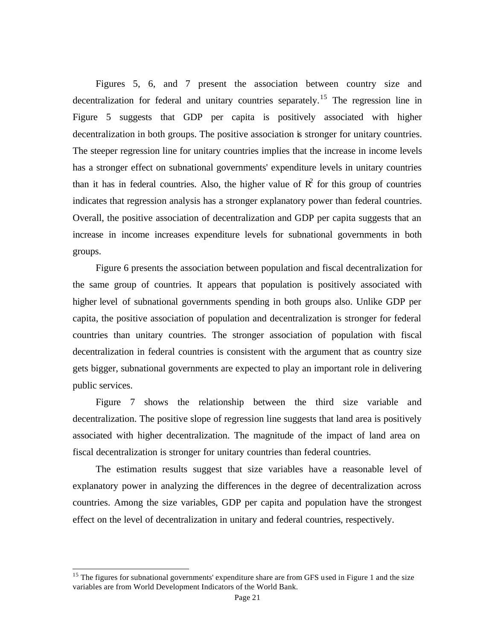Figures 5, 6, and 7 present the association between country size and decentralization for federal and unitary countries separately.<sup>15</sup> The regression line in Figure 5 suggests that GDP per capita is positively associated with higher decentralization in both groups. The positive association is stronger for unitary countries. The steeper regression line for unitary countries implies that the increase in income levels has a stronger effect on subnational governments' expenditure levels in unitary countries than it has in federal countries. Also, the higher value of  $\mathbb{R}^2$  for this group of countries indicates that regression analysis has a stronger explanatory power than federal countries. Overall, the positive association of decentralization and GDP per capita suggests that an increase in income increases expenditure levels for subnational governments in both groups.

Figure 6 presents the association between population and fiscal decentralization for the same group of countries. It appears that population is positively associated with higher level of subnational governments spending in both groups also. Unlike GDP per capita, the positive association of population and decentralization is stronger for federal countries than unitary countries. The stronger association of population with fiscal decentralization in federal countries is consistent with the argument that as country size gets bigger, subnational governments are expected to play an important role in delivering public services.

Figure 7 shows the relationship between the third size variable and decentralization. The positive slope of regression line suggests that land area is positively associated with higher decentralization. The magnitude of the impact of land area on fiscal decentralization is stronger for unitary countries than federal countries.

The estimation results suggest that size variables have a reasonable level of explanatory power in analyzing the differences in the degree of decentralization across countries. Among the size variables, GDP per capita and population have the strongest effect on the level of decentralization in unitary and federal countries, respectively.

 $15$  The figures for subnational governments' expenditure share are from GFS used in Figure 1 and the size variables are from World Development Indicators of the World Bank.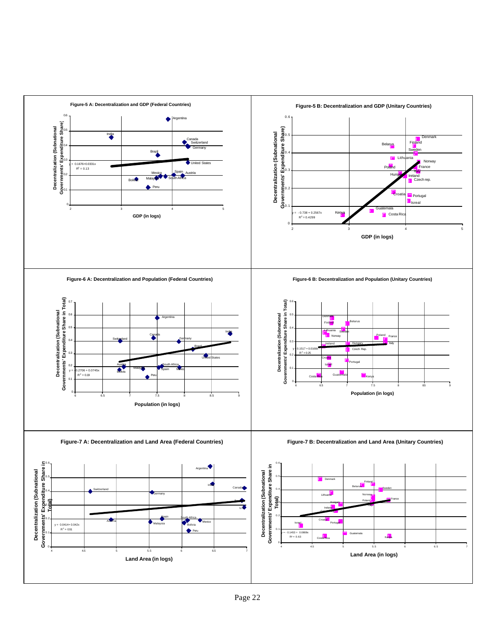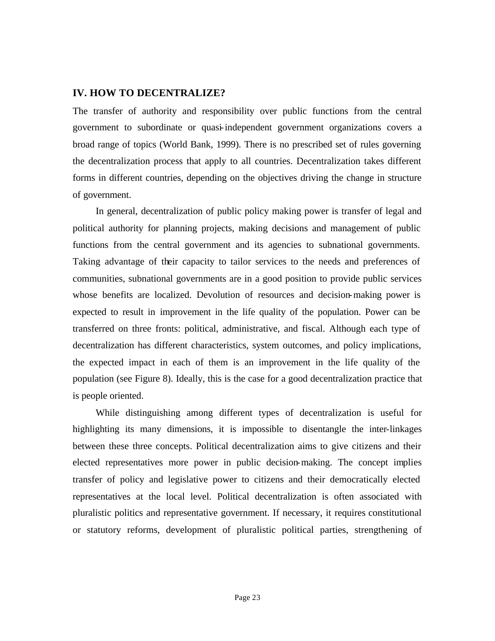# **IV. HOW TO DECENTRALIZE?**

The transfer of authority and responsibility over public functions from the central government to subordinate or quasi-independent government organizations covers a broad range of topics (World Bank, 1999). There is no prescribed set of rules governing the decentralization process that apply to all countries. Decentralization takes different forms in different countries, depending on the objectives driving the change in structure of government.

In general, decentralization of public policy making power is transfer of legal and political authority for planning projects, making decisions and management of public functions from the central government and its agencies to subnational governments. Taking advantage of their capacity to tailor services to the needs and preferences of communities, subnational governments are in a good position to provide public services whose benefits are localized. Devolution of resources and decision-making power is expected to result in improvement in the life quality of the population. Power can be transferred on three fronts: political, administrative, and fiscal. Although each type of decentralization has different characteristics, system outcomes, and policy implications, the expected impact in each of them is an improvement in the life quality of the population (see Figure 8). Ideally, this is the case for a good decentralization practice that is people oriented.

While distinguishing among different types of decentralization is useful for highlighting its many dimensions, it is impossible to disentangle the inter-linkages between these three concepts. Political decentralization aims to give citizens and their elected representatives more power in public decision-making. The concept implies transfer of policy and legislative power to citizens and their democratically elected representatives at the local level. Political decentralization is often associated with pluralistic politics and representative government. If necessary, it requires constitutional or statutory reforms, development of pluralistic political parties, strengthening of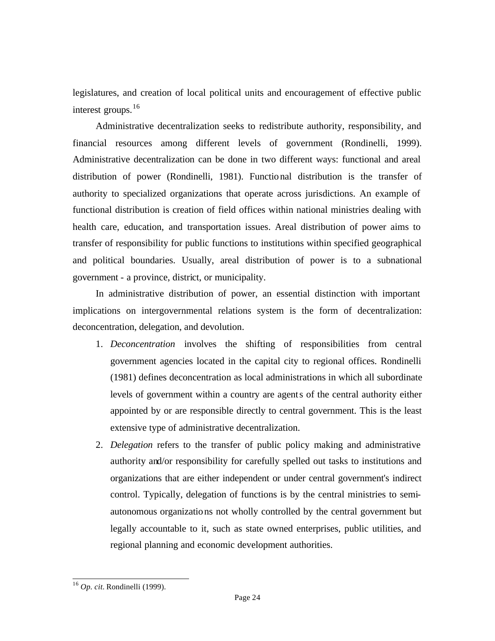legislatures, and creation of local political units and encouragement of effective public interest groups.<sup>16</sup>

Administrative decentralization seeks to redistribute authority, responsibility, and financial resources among different levels of government (Rondinelli, 1999). Administrative decentralization can be done in two different ways: functional and areal distribution of power (Rondinelli, 1981). Functional distribution is the transfer of authority to specialized organizations that operate across jurisdictions. An example of functional distribution is creation of field offices within national ministries dealing with health care, education, and transportation issues. Areal distribution of power aims to transfer of responsibility for public functions to institutions within specified geographical and political boundaries. Usually, areal distribution of power is to a subnational government - a province, district, or municipality.

In administrative distribution of power, an essential distinction with important implications on intergovernmental relations system is the form of decentralization: deconcentration, delegation, and devolution.

- 1. *Deconcentration* involves the shifting of responsibilities from central government agencies located in the capital city to regional offices. Rondinelli (1981) defines deconcentration as local administrations in which all subordinate levels of government within a country are agents of the central authority either appointed by or are responsible directly to central government. This is the least extensive type of administrative decentralization.
- 2. *Delegation* refers to the transfer of public policy making and administrative authority and/or responsibility for carefully spelled out tasks to institutions and organizations that are either independent or under central government's indirect control. Typically, delegation of functions is by the central ministries to semiautonomous organizations not wholly controlled by the central government but legally accountable to it, such as state owned enterprises, public utilities, and regional planning and economic development authorities.

<sup>16</sup> *Op. cit.* Rondinelli (1999).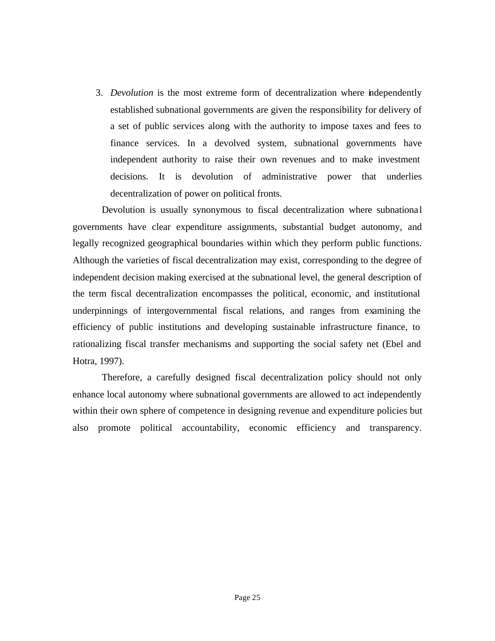3. *Devolution* is the most extreme form of decentralization where independently established subnational governments are given the responsibility for delivery of a set of public services along with the authority to impose taxes and fees to finance services. In a devolved system, subnational governments have independent authority to raise their own revenues and to make investment decisions. It is devolution of administrative power that underlies decentralization of power on political fronts.

Devolution is usually synonymous to fiscal decentralization where subnationa l governments have clear expenditure assignments, substantial budget autonomy, and legally recognized geographical boundaries within which they perform public functions. Although the varieties of fiscal decentralization may exist, corresponding to the degree of independent decision making exercised at the subnational level, the general description of the term fiscal decentralization encompasses the political, economic, and institutional underpinnings of intergovernmental fiscal relations, and ranges from examining the efficiency of public institutions and developing sustainable infrastructure finance, to rationalizing fiscal transfer mechanisms and supporting the social safety net (Ebel and Hotra, 1997).

Therefore, a carefully designed fiscal decentralization policy should not only enhance local autonomy where subnational governments are allowed to act independently within their own sphere of competence in designing revenue and expenditure policies but also promote political accountability, economic efficiency and transparency.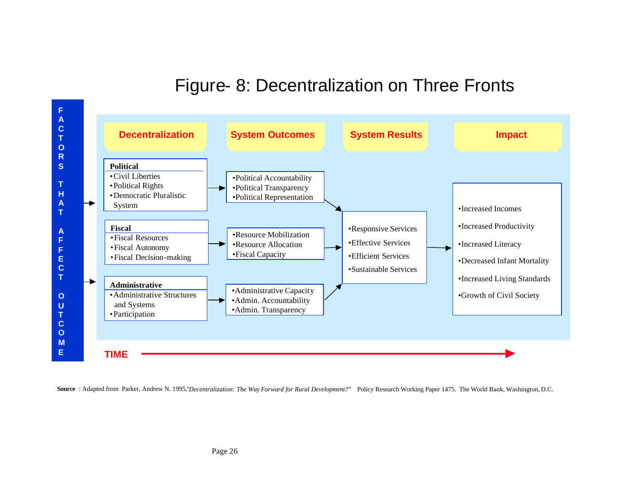# Figure- 8: Decentralization on Three Fronts



Source : Adapted from Parker, Andrew N. 1995,"Decentralization: The Way Forward for Rural Development?" Policy Research Working Paper 1475. The World Bank, Washington, D.C.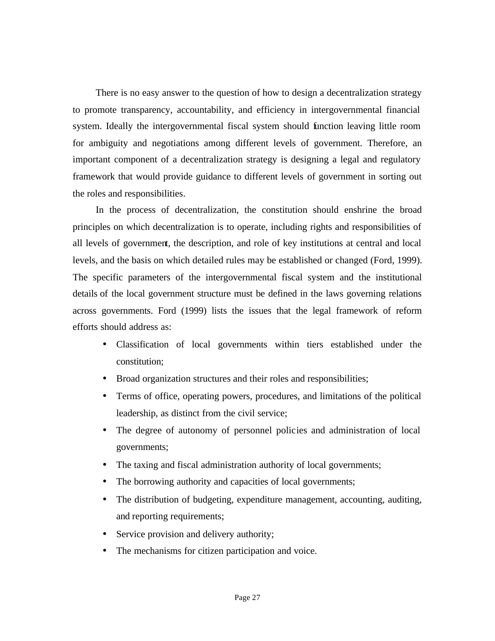There is no easy answer to the question of how to design a decentralization strategy to promote transparency, accountability, and efficiency in intergovernmental financial system. Ideally the intergovernmental fiscal system should function leaving little room for ambiguity and negotiations among different levels of government. Therefore, an important component of a decentralization strategy is designing a legal and regulatory framework that would provide guidance to different levels of government in sorting out the roles and responsibilities.

In the process of decentralization, the constitution should enshrine the broad principles on which decentralization is to operate, including rights and responsibilities of all levels of government, the description, and role of key institutions at central and local levels, and the basis on which detailed rules may be established or changed (Ford, 1999). The specific parameters of the intergovernmental fiscal system and the institutional details of the local government structure must be defined in the laws governing relations across governments. Ford (1999) lists the issues that the legal framework of reform efforts should address as:

- Classification of local governments within tiers established under the constitution;
- Broad organization structures and their roles and responsibilities;
- Terms of office, operating powers, procedures, and limitations of the political leadership, as distinct from the civil service;
- The degree of autonomy of personnel policies and administration of local governments;
- The taxing and fiscal administration authority of local governments;
- The borrowing authority and capacities of local governments;
- The distribution of budgeting, expenditure management, accounting, auditing, and reporting requirements;
- Service provision and delivery authority;
- The mechanisms for citizen participation and voice.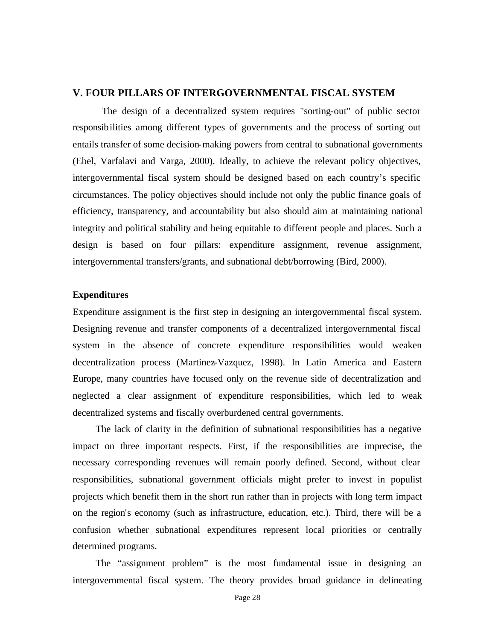# **V. FOUR PILLARS OF INTERGOVERNMENTAL FISCAL SYSTEM**

The design of a decentralized system requires "sorting-out" of public sector responsibilities among different types of governments and the process of sorting out entails transfer of some decision-making powers from central to subnational governments (Ebel, Varfalavi and Varga, 2000). Ideally, to achieve the relevant policy objectives, intergovernmental fiscal system should be designed based on each country's specific circumstances. The policy objectives should include not only the public finance goals of efficiency, transparency, and accountability but also should aim at maintaining national integrity and political stability and being equitable to different people and places. Such a design is based on four pillars: expenditure assignment, revenue assignment, intergovernmental transfers/grants, and subnational debt/borrowing (Bird, 2000).

### **Expenditures**

Expenditure assignment is the first step in designing an intergovernmental fiscal system. Designing revenue and transfer components of a decentralized intergovernmental fiscal system in the absence of concrete expenditure responsibilities would weaken decentralization process (Martinez-Vazquez, 1998). In Latin America and Eastern Europe, many countries have focused only on the revenue side of decentralization and neglected a clear assignment of expenditure responsibilities, which led to weak decentralized systems and fiscally overburdened central governments.

The lack of clarity in the definition of subnational responsibilities has a negative impact on three important respects. First, if the responsibilities are imprecise, the necessary corresponding revenues will remain poorly defined. Second, without clear responsibilities, subnational government officials might prefer to invest in populist projects which benefit them in the short run rather than in projects with long term impact on the region's economy (such as infrastructure, education, etc.). Third, there will be a confusion whether subnational expenditures represent local priorities or centrally determined programs.

The "assignment problem" is the most fundamental issue in designing an intergovernmental fiscal system. The theory provides broad guidance in delineating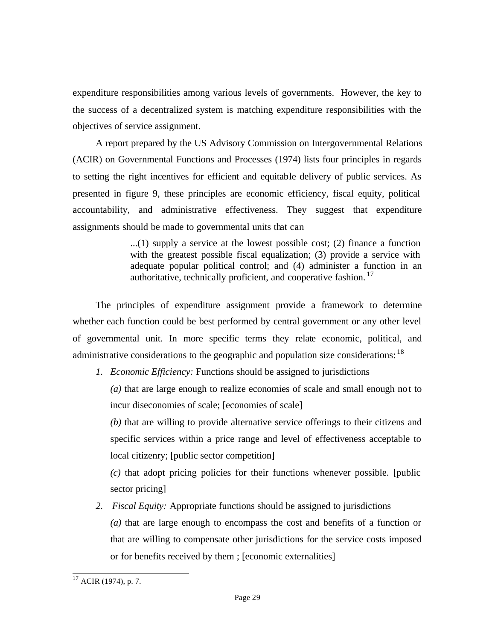expenditure responsibilities among various levels of governments. However, the key to the success of a decentralized system is matching expenditure responsibilities with the objectives of service assignment.

A report prepared by the US Advisory Commission on Intergovernmental Relations (ACIR) on Governmental Functions and Processes (1974) lists four principles in regards to setting the right incentives for efficient and equitable delivery of public services. As presented in figure 9, these principles are economic efficiency, fiscal equity, political accountability, and administrative effectiveness. They suggest that expenditure assignments should be made to governmental units that can

> $...(1)$  supply a service at the lowest possible cost; (2) finance a function with the greatest possible fiscal equalization; (3) provide a service with adequate popular political control; and (4) administer a function in an authoritative, technically proficient, and cooperative fashion.  $17$

The principles of expenditure assignment provide a framework to determine whether each function could be best performed by central government or any other level of governmental unit. In more specific terms they relate economic, political, and administrative considerations to the geographic and population size considerations: <sup>18</sup>

*1. Economic Efficiency:* Functions should be assigned to jurisdictions

*(a)* that are large enough to realize economies of scale and small enough not to incur diseconomies of scale; [economies of scale]

*(b)* that are willing to provide alternative service offerings to their citizens and specific services within a price range and level of effectiveness acceptable to local citizenry; [public sector competition]

*(c)* that adopt pricing policies for their functions whenever possible. [public sector pricing]

*2. Fiscal Equity:* Appropriate functions should be assigned to jurisdictions *(a)* that are large enough to encompass the cost and benefits of a function or that are willing to compensate other jurisdictions for the service costs imposed or for benefits received by them ; [economic externalities]

l  $17$  ACIR (1974), p. 7.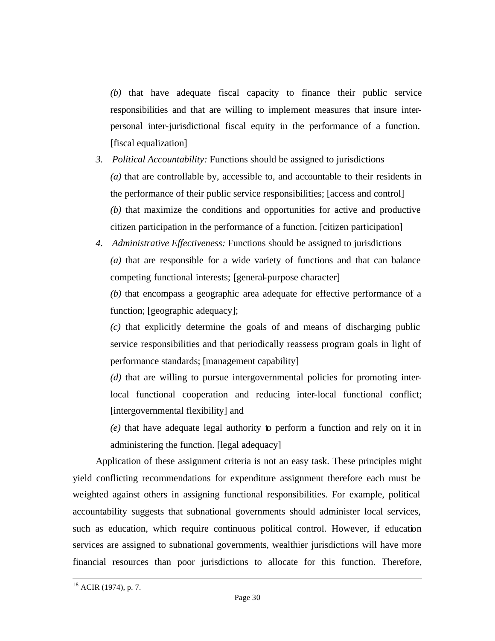*(b)* that have adequate fiscal capacity to finance their public service responsibilities and that are willing to implement measures that insure interpersonal inter-jurisdictional fiscal equity in the performance of a function. [fiscal equalization]

- *3. Political Accountability:* Functions should be assigned to jurisdictions *(a)* that are controllable by, accessible to, and accountable to their residents in the performance of their public service responsibilities; [access and control] *(b)* that maximize the conditions and opportunities for active and productive citizen participation in the performance of a function. [citizen participation]
- *4. Administrative Effectiveness:* Functions should be assigned to jurisdictions *(a)* that are responsible for a wide variety of functions and that can balance competing functional interests; [general-purpose character]

*(b)* that encompass a geographic area adequate for effective performance of a function; [geographic adequacy];

*(c)* that explicitly determine the goals of and means of discharging public service responsibilities and that periodically reassess program goals in light of performance standards; [management capability]

*(d)* that are willing to pursue intergovernmental policies for promoting interlocal functional cooperation and reducing inter-local functional conflict; [intergovernmental flexibility] and

*(e)* that have adequate legal authority to perform a function and rely on it in administering the function. [legal adequacy]

Application of these assignment criteria is not an easy task. These principles might yield conflicting recommendations for expenditure assignment therefore each must be weighted against others in assigning functional responsibilities. For example, political accountability suggests that subnational governments should administer local services, such as education, which require continuous political control. However, if education services are assigned to subnational governments, wealthier jurisdictions will have more financial resources than poor jurisdictions to allocate for this function. Therefore,

 $18$  ACIR (1974), p. 7.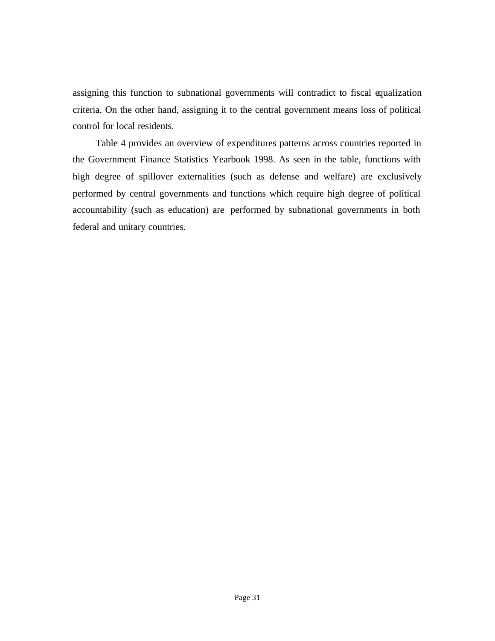assigning this function to subnational governments will contradict to fiscal equalization criteria. On the other hand, assigning it to the central government means loss of political control for local residents.

Table 4 provides an overview of expenditures patterns across countries reported in the Government Finance Statistics Yearbook 1998. As seen in the table, functions with high degree of spillover externalities (such as defense and welfare) are exclusively performed by central governments and functions which require high degree of political accountability (such as education) are performed by subnational governments in both federal and unitary countries.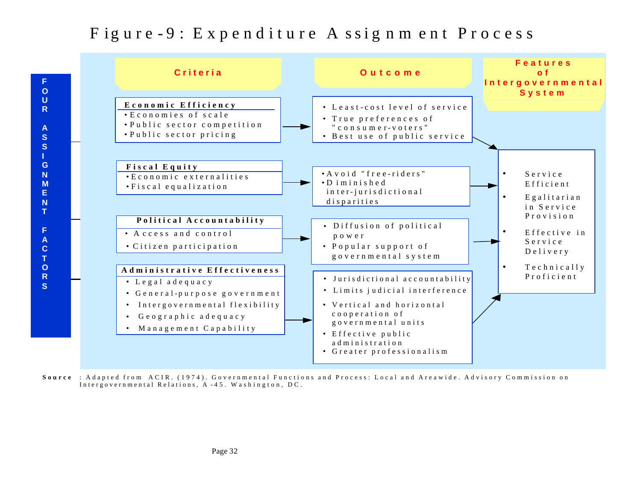# Figure-9: Expenditure A ssignment Process



**Source** : Adapted from ACIR. (1974). Governmental Functions and Process: Local and Areawide. Advisory Commission on Intergovernmental Relations, A - 45. Washington, DC.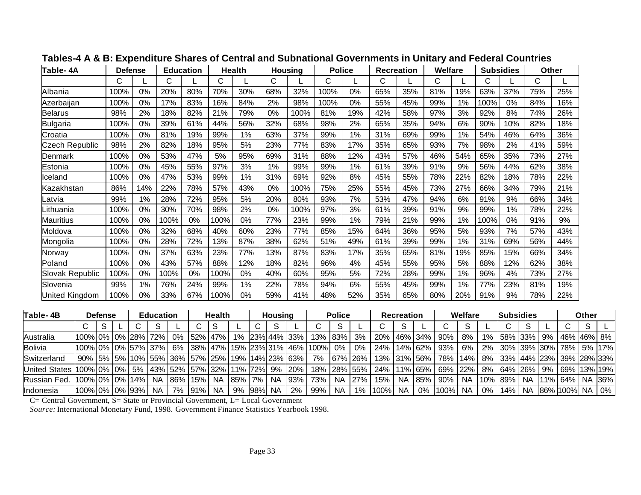| Table-4A               | <b>Defense</b> |     |      | <b>Education</b> |      | <b>Health</b> |     | Housing | <b>Police</b> |     | <b>Recreation</b> |     | Welfare |     | <b>Subsidies</b> |     | <b>Other</b> |     |
|------------------------|----------------|-----|------|------------------|------|---------------|-----|---------|---------------|-----|-------------------|-----|---------|-----|------------------|-----|--------------|-----|
|                        | C              |     | С    |                  | С    |               | С   |         | С             |     | С                 |     | C       |     | С                |     | С            |     |
| Albania                | 100%           | 0%  | 20%  | 80%              | 70%  | 30%           | 68% | 32%     | 100%          | 0%  | 65%               | 35% | 81%     | 19% | 63%              | 37% | 75%          | 25% |
| Azerbaijan             | 100%           | 0%  | 17%  | 83%              | 16%  | 84%           | 2%  | 98%     | 100%          | 0%  | 55%               | 45% | 99%     | 1%  | 100%             | 0%  | 84%          | 16% |
| Belarus                | 98%            | 2%  | 18%  | 82%              | 21%  | 79%           | 0%  | 100%    | 81%           | 19% | 42%               | 58% | 97%     | 3%  | 92%              | 8%  | 74%          | 26% |
| <b>Bulgaria</b>        | 100%           | 0%  | 39%  | 61%              | 44%  | 56%           | 32% | 68%     | 98%           | 2%  | 65%               | 35% | 94%     | 6%  | 90%              | 10% | 82%          | 18% |
| Croatia                | 100%           | 0%  | 81%  | 19%              | 99%  | 1%            | 63% | 37%     | 99%           | 1%  | 31%               | 69% | 99%     | 1%  | 54%              | 46% | 64%          | 36% |
| <b>Czech Republic</b>  | 98%            | 2%  | 82%  | 18%              | 95%  | 5%            | 23% | 77%     | 83%           | 17% | 35%               | 65% | 93%     | 7%  | 98%              | 2%  | 41%          | 59% |
| Denmark                | 100%           | 0%  | 53%  | 47%              | 5%   | 95%           | 69% | 31%     | 88%           | 12% | 43%               | 57% | 46%     | 54% | 65%              | 35% | 73%          | 27% |
| Estonia                | 100%           | 0%  | 45%  | 55%              | 97%  | 3%            | 1%  | 99%     | 99%           | 1%  | 61%               | 39% | 91%     | 9%  | 56%              | 44% | 62%          | 38% |
| Iceland                | 100%           | 0%  | 47%  | 53%              | 99%  | 1%            | 31% | 69%     | 92%           | 8%  | 45%               | 55% | 78%     | 22% | 82%              | 18% | 78%          | 22% |
| Kazakhstan             | 86%            | 14% | 22%  | 78%              | 57%  | 43%           | 0%  | 100%    | 75%           | 25% | 55%               | 45% | 73%     | 27% | 66%              | 34% | 79%          | 21% |
| .atvia                 | 99%            | 1%  | 28%  | 72%              | 95%  | 5%            | 20% | 80%     | 93%           | 7%  | 53%               | 47% | 94%     | 6%  | 91%              | 9%  | 66%          | 34% |
| .ithuania              | 100%           | 0%  | 30%  | 70%              | 98%  | 2%            | 0%  | 100%    | 97%           | 3%  | 61%               | 39% | 91%     | 9%  | 99%              | 1%  | 78%          | 22% |
| <b>Mauritius</b>       | 100%           | 0%  | 100% | 0%               | 100% | $0\%$         | 77% | 23%     | 99%           | 1%  | 79%               | 21% | 99%     | 1%  | 100%             | 0%  | 91%          | 9%  |
| Moldova                | 100%           | 0%  | 32%  | 68%              | 40%  | 60%           | 23% | 77%     | 85%           | 15% | 64%               | 36% | 95%     | 5%  | 93%              | 7%  | 57%          | 43% |
| Mongolia               | 100%           | 0%  | 28%  | 72%              | 13%  | 87%           | 38% | 62%     | 51%           | 49% | 61%               | 39% | 99%     | 1%  | 31%              | 69% | 56%          | 44% |
| Norway                 | 100%           | 0%  | 37%  | 63%              | 23%  | 77%           | 13% | 87%     | 83%           | 17% | 35%               | 65% | 81%     | 19% | 85%              | 15% | 66%          | 34% |
| Poland                 | 100%           | 0%  | 43%  | 57%              | 88%  | 12%           | 18% | 82%     | 96%           | 4%  | 45%               | 55% | 95%     | 5%  | 88%              | 12% | 62%          | 38% |
| <b>Slovak Republic</b> | 100%           | 0%  | 100% | $0\%$            | 100% | 0%            | 40% | 60%     | 95%           | 5%  | 72%               | 28% | 99%     | 1%  | 96%              | 4%  | 73%          | 27% |
| Slovenia               | 99%            | 1%  | 76%  | 24%              | 99%  | 1%            | 22% | 78%     | 94%           | 6%  | 55%               | 45% | 99%     | 1%  | 77%              | 23% | 81%          | 19% |
| United Kingdom         | 100%           | 0%  | 33%  | 67%              | 100% | $0\%$         | 59% | 41%     | 48%           | 52% | 35%               | 65% | 80%     | 20% | 91%              | 9%  | 78%          | 22% |

# **Tables-4 A & B: Expenditure Shares of Central and Subnational Governments in Unitary and Federal Countries**

| Table- 4B            |                                                                     | <b>Defense</b> |        | Education |                                        |         | <b>Health</b> |     |     | Housing   |                                 |          | <b>Police</b> |         |                 | Recreation |             |         | Welfare   |       | <b>Subsidies</b>   |           |        |                | Other |       |
|----------------------|---------------------------------------------------------------------|----------------|--------|-----------|----------------------------------------|---------|---------------|-----|-----|-----------|---------------------------------|----------|---------------|---------|-----------------|------------|-------------|---------|-----------|-------|--------------------|-----------|--------|----------------|-------|-------|
|                      |                                                                     | S              |        |           |                                        |         |               |     |     |           |                                 |          |               |         |                 |            |             |         |           |       |                    |           |        |                |       |       |
| Australia            | 100%  0%   0%   28%   72%                                           |                |        |           | $0\%$                                  | 52% 47% |               |     |     |           | 1% 23% 44% 33%                  | 13% 83%  |               | 3%      | 20%   46%   34% |            |             | 90%     | 8%        | $1\%$ | 58% 33%            |           | 9%     | 46%   46%   8% |       |       |
| <b>Bolivia</b>       | l100%l 0% l 0% l 57% l 37% l                                        |                |        |           | 6%                                     |         |               |     |     |           | 38%   47%   15%  23%  31%   46% | $1100\%$ | 0%            | $0\%$   | 24%             | 14% 62%    |             | 93%     | 6%        | 2%    | 30%   39%   30%    |           |        | 78% 5% 17%     |       |       |
| Switzerland          | 90%   5%   5%   10%   55%   36%   57%   25%   19%   14%   23%   63% |                |        |           |                                        |         |               |     |     |           |                                 | 7%       |               | 67% 26% |                 |            | 13% 31% 56% | 78%     | 14%       | 8%    | $ 33\% 44\% 23\% $ |           |        | 39%  28%  33%  |       |       |
| <b>United States</b> | 100% 0% 0%                                                          |                |        |           | 5%   43%   52%   57%   32%   11%   72% |         |               |     |     |           | 9% 20%                          | 18%      | 28% 55%       |         | 24% 11% 65%     |            |             | 69% 22% |           | 8%    | 64% 26% 9%         |           |        | 69%  13%  19%  |       |       |
| Russian Fed.         | 100% 0% 0% 1                                                        |                | $14\%$ | <b>NA</b> | 86%                                    | 15%     | <b>NA</b>     | 85% | 7%  | NA.       | 93%                             | 73%      | <b>NA</b>     | 27%     | 15%             | <b>NA</b>  | 85%         | 90%     | <b>NA</b> | 10%   | 89%                | <b>NA</b> | $11\%$ | 64%   NA       |       | 36%   |
| Indonesia            | 100% 0% 0% 93%                                                      |                |        | <b>NA</b> | 7%                                     | 91%     | <b>NA</b>     | 9%  | 98% | <b>NA</b> | 2%                              | 99%      | NA.           | 1%      | 100%            | <b>NA</b>  | 0%          | 100%    | <b>NA</b> | 0%    | $14\%$             | <b>NA</b> |        | 86%  100%   NA |       | $0\%$ |

C= Central Government, S= State or Provincial Government, L= Local Government

*Source:* International Monetary Fund, 1998. Government Finance Statistics Yearbook 1998.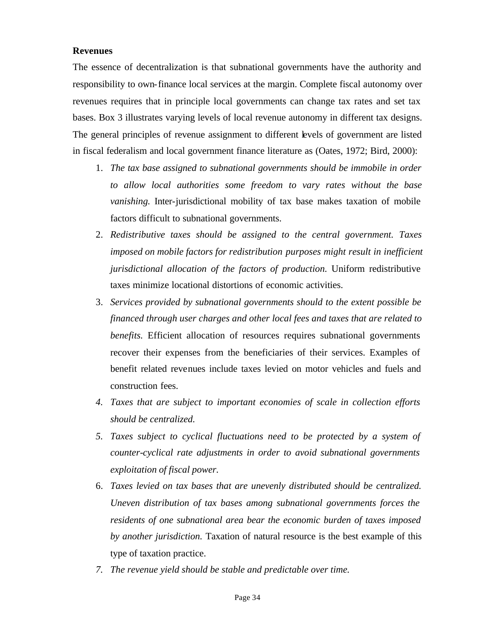## **Revenues**

The essence of decentralization is that subnational governments have the authority and responsibility to own-finance local services at the margin. Complete fiscal autonomy over revenues requires that in principle local governments can change tax rates and set tax bases. Box 3 illustrates varying levels of local revenue autonomy in different tax designs. The general principles of revenue assignment to different levels of government are listed in fiscal federalism and local government finance literature as (Oates, 1972; Bird, 2000):

- 1. *The tax base assigned to subnational governments should be immobile in order to allow local authorities some freedom to vary rates without the base vanishing.* Inter-jurisdictional mobility of tax base makes taxation of mobile factors difficult to subnational governments.
- 2. *Redistributive taxes should be assigned to the central government. Taxes imposed on mobile factors for redistribution purposes might result in inefficient jurisdictional allocation of the factors of production.* Uniform redistributive taxes minimize locational distortions of economic activities.
- 3. *Services provided by subnational governments should to the extent possible be financed through user charges and other local fees and taxes that are related to benefits.* Efficient allocation of resources requires subnational governments recover their expenses from the beneficiaries of their services. Examples of benefit related revenues include taxes levied on motor vehicles and fuels and construction fees.
- *4. Taxes that are subject to important economies of scale in collection efforts should be centralized.*
- *5. Taxes subject to cyclical fluctuations need to be protected by a system of counter-cyclical rate adjustments in order to avoid subnational governments exploitation of fiscal power.*
- 6. *Taxes levied on tax bases that are unevenly distributed should be centralized. Uneven distribution of tax bases among subnational governments forces the residents of one subnational area bear the economic burden of taxes imposed by another jurisdiction.* Taxation of natural resource is the best example of this type of taxation practice.
- *7. The revenue yield should be stable and predictable over time.*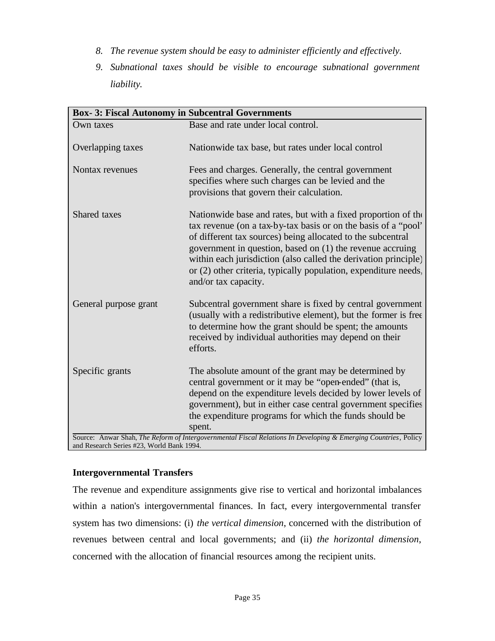- *8. The revenue system should be easy to administer efficiently and effectively.*
- *9. Subnational taxes should be visible to encourage subnational government liability.*

| <b>Box-3: Fiscal Autonomy in Subcentral Governments</b> |                                                                                                                                                                                                                                                                                                                                                                                                                                       |
|---------------------------------------------------------|---------------------------------------------------------------------------------------------------------------------------------------------------------------------------------------------------------------------------------------------------------------------------------------------------------------------------------------------------------------------------------------------------------------------------------------|
| Own taxes                                               | Base and rate under local control.                                                                                                                                                                                                                                                                                                                                                                                                    |
| Overlapping taxes                                       | Nationwide tax base, but rates under local control                                                                                                                                                                                                                                                                                                                                                                                    |
| Nontax revenues                                         | Fees and charges. Generally, the central government<br>specifies where such charges can be levied and the<br>provisions that govern their calculation.                                                                                                                                                                                                                                                                                |
| Shared taxes                                            | Nationwide base and rates, but with a fixed proportion of the<br>tax revenue (on a tax-by-tax basis or on the basis of a "pool"<br>of different tax sources) being allocated to the subcentral<br>government in question, based on (1) the revenue accruing<br>within each jurisdiction (also called the derivation principle)<br>or (2) other criteria, typically population, expenditure needs,<br>and/or tax capacity.             |
| General purpose grant                                   | Subcentral government share is fixed by central government<br>(usually with a redistributive element), but the former is free<br>to determine how the grant should be spent; the amounts<br>received by individual authorities may depend on their<br>efforts.                                                                                                                                                                        |
| Specific grants                                         | The absolute amount of the grant may be determined by<br>central government or it may be "open-ended" (that is,<br>depend on the expenditure levels decided by lower levels of<br>government), but in either case central government specifies<br>the expenditure programs for which the funds should be<br>spent.<br>Source: Anwar Shah, The Reform of Intergovernmental Fiscal Relations In Developing & Emerging Countries, Policy |
| and Research Series #23, World Bank 1994.               |                                                                                                                                                                                                                                                                                                                                                                                                                                       |

# **Intergovernmental Transfers**

The revenue and expenditure assignments give rise to vertical and horizontal imbalances within a nation's intergovernmental finances. In fact, every intergovernmental transfer system has two dimensions: (i) *the vertical dimension*, concerned with the distribution of revenues between central and local governments; and (ii) *the horizontal dimension*, concerned with the allocation of financial resources among the recipient units.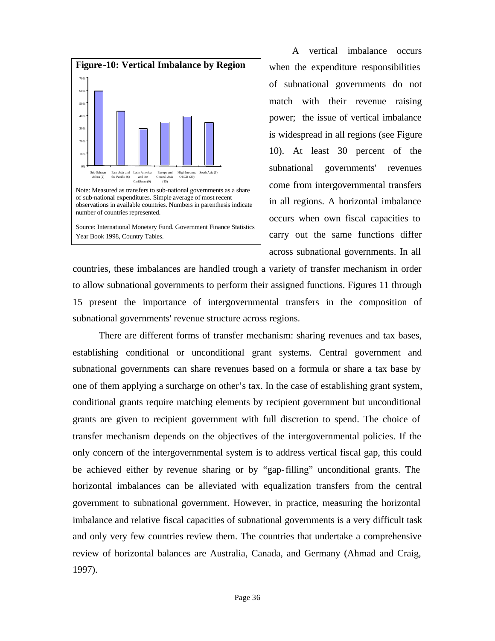

observations in available countries. Numbers in parenthesis indicate number of countries represented.

Source: International Monetary Fund. Government Finance Statistics Year Book 1998, Country Tables.

A vertical imbalance occurs when the expenditure responsibilities of subnational governments do not match with their revenue raising power; the issue of vertical imbalance is widespread in all regions (see Figure 10). At least 30 percent of the subnational governments' revenues come from intergovernmental transfers in all regions. A horizontal imbalance occurs when own fiscal capacities to carry out the same functions differ across subnational governments. In all

countries, these imbalances are handled trough a variety of transfer mechanism in order to allow subnational governments to perform their assigned functions. Figures 11 through 15 present the importance of intergovernmental transfers in the composition of subnational governments' revenue structure across regions.

 There are different forms of transfer mechanism: sharing revenues and tax bases, establishing conditional or unconditional grant systems. Central government and subnational governments can share revenues based on a formula or share a tax base by one of them applying a surcharge on other's tax. In the case of establishing grant system, conditional grants require matching elements by recipient government but unconditional grants are given to recipient government with full discretion to spend. The choice of transfer mechanism depends on the objectives of the intergovernmental policies. If the only concern of the intergovernmental system is to address vertical fiscal gap, this could be achieved either by revenue sharing or by "gap-filling" unconditional grants. The horizontal imbalances can be alleviated with equalization transfers from the central government to subnational government. However, in practice, measuring the horizontal imbalance and relative fiscal capacities of subnational governments is a very difficult task and only very few countries review them. The countries that undertake a comprehensive review of horizontal balances are Australia, Canada, and Germany (Ahmad and Craig, 1997).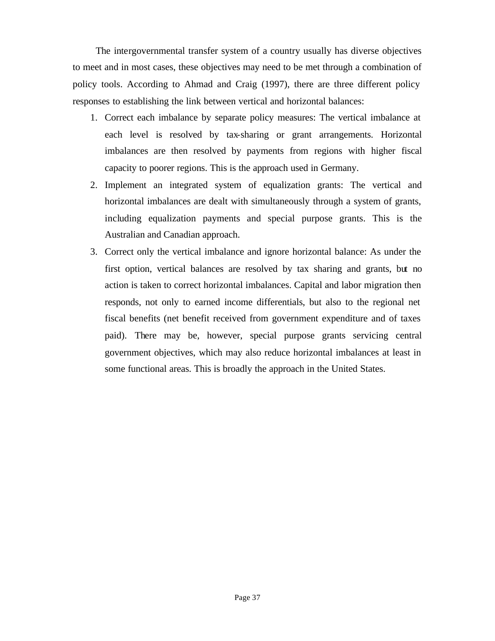The intergovernmental transfer system of a country usually has diverse objectives to meet and in most cases, these objectives may need to be met through a combination of policy tools. According to Ahmad and Craig (1997), there are three different policy responses to establishing the link between vertical and horizontal balances:

- 1. Correct each imbalance by separate policy measures: The vertical imbalance at each level is resolved by tax-sharing or grant arrangements. Horizontal imbalances are then resolved by payments from regions with higher fiscal capacity to poorer regions. This is the approach used in Germany.
- 2. Implement an integrated system of equalization grants: The vertical and horizontal imbalances are dealt with simultaneously through a system of grants, including equalization payments and special purpose grants. This is the Australian and Canadian approach.
- 3. Correct only the vertical imbalance and ignore horizontal balance: As under the first option, vertical balances are resolved by tax sharing and grants, but no action is taken to correct horizontal imbalances. Capital and labor migration then responds, not only to earned income differentials, but also to the regional net fiscal benefits (net benefit received from government expenditure and of taxes paid). There may be, however, special purpose grants servicing central government objectives, which may also reduce horizontal imbalances at least in some functional areas. This is broadly the approach in the United States.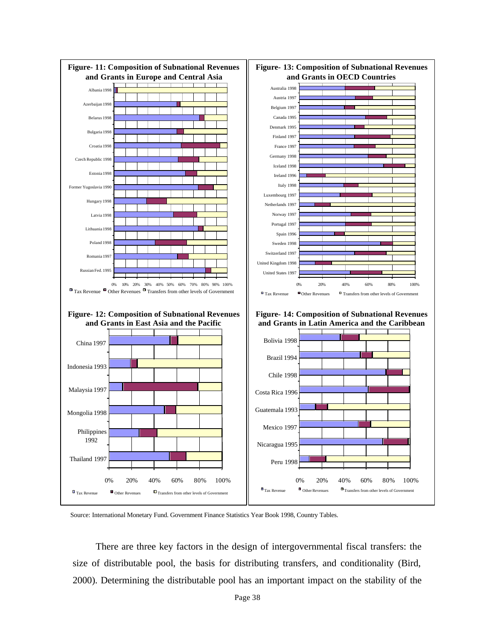

Source: International Monetary Fund. Government Finance Statistics Year Book 1998, Country Tables.

There are three key factors in the design of intergovernmental fiscal transfers: the size of distributable pool, the basis for distributing transfers, and conditionality (Bird, 2000). Determining the distributable pool has an important impact on the stability of the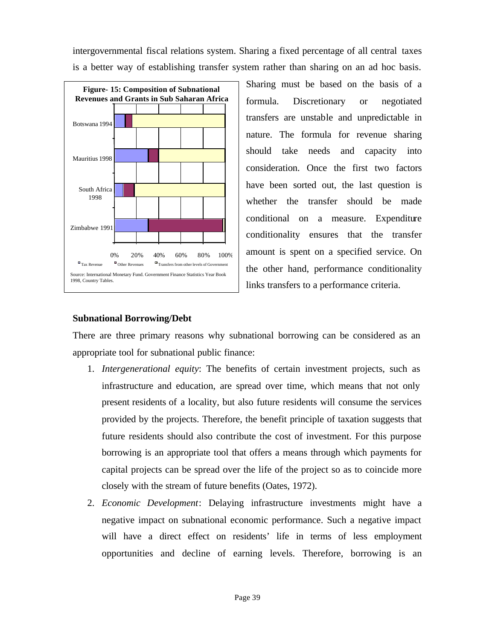intergovernmental fiscal relations system. Sharing a fixed percentage of all central taxes is a better way of establishing transfer system rather than sharing on an ad hoc basis.



Sharing must be based on the basis of a formula. Discretionary or negotiated transfers are unstable and unpredictable in nature. The formula for revenue sharing should take needs and capacity into consideration. Once the first two factors have been sorted out, the last question is whether the transfer should be made conditional on a measure. Expenditure conditionality ensures that the transfer amount is spent on a specified service. On the other hand, performance conditionality links transfers to a performance criteria.

# **Subnational Borrowing/Debt**

There are three primary reasons why subnational borrowing can be considered as an appropriate tool for subnational public finance:

- 1. *Intergenerational equity*: The benefits of certain investment projects, such as infrastructure and education, are spread over time, which means that not only present residents of a locality, but also future residents will consume the services provided by the projects. Therefore, the benefit principle of taxation suggests that future residents should also contribute the cost of investment. For this purpose borrowing is an appropriate tool that offers a means through which payments for capital projects can be spread over the life of the project so as to coincide more closely with the stream of future benefits (Oates, 1972).
- 2. *Economic Development*: Delaying infrastructure investments might have a negative impact on subnational economic performance. Such a negative impact will have a direct effect on residents' life in terms of less employment opportunities and decline of earning levels. Therefore, borrowing is an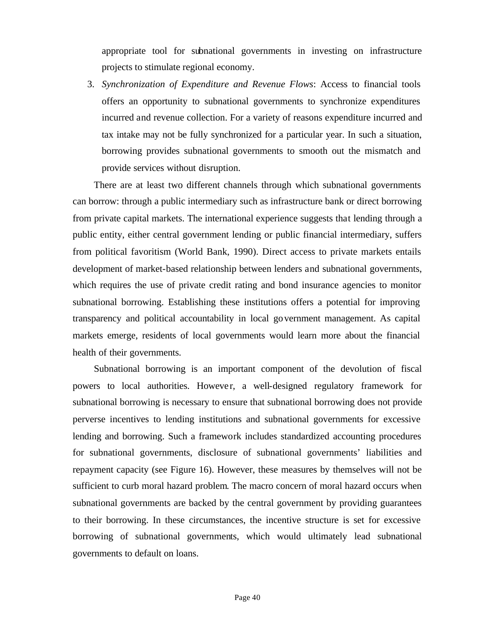appropriate tool for subnational governments in investing on infrastructure projects to stimulate regional economy.

3. *Synchronization of Expenditure and Revenue Flows*: Access to financial tools offers an opportunity to subnational governments to synchronize expenditures incurred and revenue collection. For a variety of reasons expenditure incurred and tax intake may not be fully synchronized for a particular year. In such a situation, borrowing provides subnational governments to smooth out the mismatch and provide services without disruption.

There are at least two different channels through which subnational governments can borrow: through a public intermediary such as infrastructure bank or direct borrowing from private capital markets. The international experience suggests that lending through a public entity, either central government lending or public financial intermediary, suffers from political favoritism (World Bank, 1990). Direct access to private markets entails development of market-based relationship between lenders and subnational governments, which requires the use of private credit rating and bond insurance agencies to monitor subnational borrowing. Establishing these institutions offers a potential for improving transparency and political accountability in local government management. As capital markets emerge, residents of local governments would learn more about the financial health of their governments.

Subnational borrowing is an important component of the devolution of fiscal powers to local authorities. However, a well-designed regulatory framework for subnational borrowing is necessary to ensure that subnational borrowing does not provide perverse incentives to lending institutions and subnational governments for excessive lending and borrowing. Such a framework includes standardized accounting procedures for subnational governments, disclosure of subnational governments' liabilities and repayment capacity (see Figure 16). However, these measures by themselves will not be sufficient to curb moral hazard problem. The macro concern of moral hazard occurs when subnational governments are backed by the central government by providing guarantees to their borrowing. In these circumstances, the incentive structure is set for excessive borrowing of subnational governments, which would ultimately lead subnational governments to default on loans.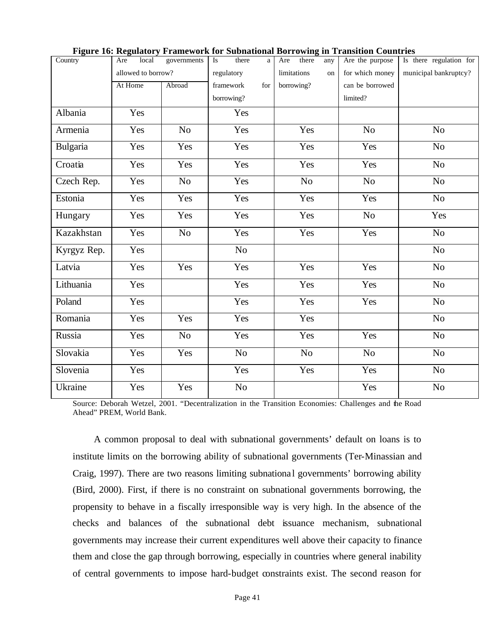| Country     | local<br>Are       | governments    | Is         | there          | a   | Are         | there      | any | Are the purpose | Is there regulation for |
|-------------|--------------------|----------------|------------|----------------|-----|-------------|------------|-----|-----------------|-------------------------|
|             | allowed to borrow? |                | regulatory |                |     | limitations |            | on  | for which money | municipal bankruptcy?   |
|             | At Home            | Abroad         |            | framework      | for |             | borrowing? |     | can be borrowed |                         |
|             |                    |                |            | borrowing?     |     |             |            |     | limited?        |                         |
| Albania     | Yes                |                |            | Yes            |     |             |            |     |                 |                         |
| Armenia     | Yes                | N <sub>o</sub> |            | Yes            |     |             | Yes        |     | N <sub>o</sub>  | N <sub>o</sub>          |
| Bulgaria    | Yes                | Yes            |            | Yes            |     |             | Yes        |     | Yes             | No                      |
| Croatia     | Yes                | Yes            |            | Yes            |     |             | Yes        |     | Yes             | N <sub>o</sub>          |
| Czech Rep.  | Yes                | N <sub>0</sub> |            | Yes            |     |             | No         |     | N <sub>o</sub>  | N <sub>o</sub>          |
| Estonia     | Yes                | Yes            |            | Yes            |     |             | Yes        |     | Yes             | N <sub>o</sub>          |
| Hungary     | Yes                | Yes            |            | Yes            |     |             | Yes        |     | $\rm No$        | Yes                     |
| Kazakhstan  | Yes                | N <sub>o</sub> |            | Yes            |     |             | Yes        |     | Yes             | N <sub>o</sub>          |
| Kyrgyz Rep. | Yes                |                |            | N <sub>o</sub> |     |             |            |     |                 | N <sub>o</sub>          |
| Latvia      | Yes                | Yes            |            | Yes            |     |             | Yes        |     | Yes             | N <sub>o</sub>          |
| Lithuania   | Yes                |                |            | Yes            |     |             | Yes        |     | Yes             | N <sub>o</sub>          |
| Poland      | Yes                |                |            | Yes            |     |             | Yes        |     | Yes             | N <sub>o</sub>          |
| Romania     | Yes                | Yes            |            | Yes            |     |             | Yes        |     |                 | N <sub>o</sub>          |
| Russia      | Yes                | No             |            | Yes            |     |             | Yes        |     | Yes             | N <sub>o</sub>          |
| Slovakia    | Yes                | Yes            |            | $\rm No$       |     |             | No         |     | N <sub>o</sub>  | N <sub>o</sub>          |
| Slovenia    | Yes                |                |            | Yes            |     |             | Yes        |     | Yes             | No                      |
| Ukraine     | Yes                | Yes            |            | N <sub>o</sub> |     |             |            |     | Yes             | N <sub>o</sub>          |

|  |  | Figure 16: Regulatory Framework for Subnational Borrowing in Transition Countries |  |  |  |  |  |  |
|--|--|-----------------------------------------------------------------------------------|--|--|--|--|--|--|
|  |  |                                                                                   |  |  |  |  |  |  |

Source: Deborah Wetzel, 2001. "Decentralization in the Transition Economies: Challenges and the Road Ahead" PREM, World Bank.

A common proposal to deal with subnational governments' default on loans is to institute limits on the borrowing ability of subnational governments (Ter-Minassian and Craig, 1997). There are two reasons limiting subnational governments' borrowing ability (Bird, 2000). First, if there is no constraint on subnational governments borrowing, the propensity to behave in a fiscally irresponsible way is very high. In the absence of the checks and balances of the subnational debt issuance mechanism, subnational governments may increase their current expenditures well above their capacity to finance them and close the gap through borrowing, especially in countries where general inability of central governments to impose hard-budget constraints exist. The second reason for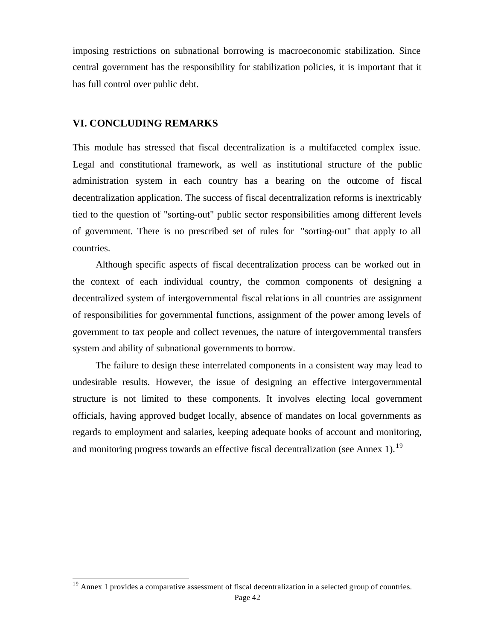imposing restrictions on subnational borrowing is macroeconomic stabilization. Since central government has the responsibility for stabilization policies, it is important that it has full control over public debt.

### **VI. CONCLUDING REMARKS**

l

This module has stressed that fiscal decentralization is a multifaceted complex issue. Legal and constitutional framework, as well as institutional structure of the public administration system in each country has a bearing on the outcome of fiscal decentralization application. The success of fiscal decentralization reforms is inextricably tied to the question of "sorting-out" public sector responsibilities among different levels of government. There is no prescribed set of rules for "sorting-out" that apply to all countries.

Although specific aspects of fiscal decentralization process can be worked out in the context of each individual country, the common components of designing a decentralized system of intergovernmental fiscal relations in all countries are assignment of responsibilities for governmental functions, assignment of the power among levels of government to tax people and collect revenues, the nature of intergovernmental transfers system and ability of subnational governments to borrow.

The failure to design these interrelated components in a consistent way may lead to undesirable results. However, the issue of designing an effective intergovernmental structure is not limited to these components. It involves electing local government officials, having approved budget locally, absence of mandates on local governments as regards to employment and salaries, keeping adequate books of account and monitoring, and monitoring progress towards an effective fiscal decentralization (see Annex 1).<sup>19</sup>

 $19$  Annex 1 provides a comparative assessment of fiscal decentralization in a selected group of countries.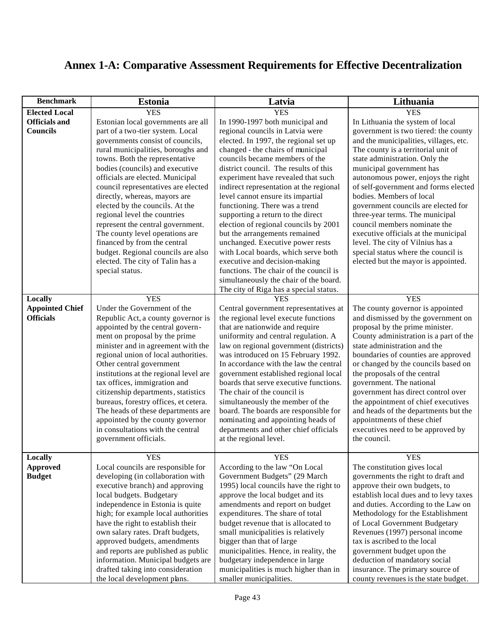# **Annex 1-A: Comparative Assessment Requirements for Effective Decentralization**

| <b>Benchmark</b>       | <b>Estonia</b>                         | Latvia                                  | Lithuania                              |
|------------------------|----------------------------------------|-----------------------------------------|----------------------------------------|
| <b>Elected Local</b>   | <b>YES</b>                             | <b>YES</b>                              | <b>YES</b>                             |
| <b>Officials and</b>   | Estonian local governments are all     | In 1990-1997 both municipal and         | In Lithuania the system of local       |
| <b>Councils</b>        | part of a two-tier system. Local       | regional councils in Latvia were        | government is two tiered: the county   |
|                        | governments consist of councils,       | elected. In 1997, the regional set up   | and the municipalities, villages, etc. |
|                        | rural municipalities, boroughs and     | changed - the chairs of municipal       | The county is a territorial unit of    |
|                        | towns. Both the representative         | councils became members of the          | state administration. Only the         |
|                        | bodies (councils) and executive        | district council. The results of this   | municipal government has               |
|                        | officials are elected. Municipal       | experiment have revealed that such      | autonomous power, enjoys the right     |
|                        | council representatives are elected    | indirect representation at the regional | of self-government and forms elected   |
|                        | directly, whereas, mayors are          | level cannot ensure its impartial       | bodies. Members of local               |
|                        | elected by the councils. At the        | functioning. There was a trend          | government councils are elected for    |
|                        | regional level the countries           | supporting a return to the direct       | three-year terms. The municipal        |
|                        | represent the central government.      | election of regional councils by 2001   | council members nominate the           |
|                        | The county level operations are        | but the arrangements remained           | executive officials at the municipal   |
|                        | financed by from the central           | unchanged. Executive power rests        | level. The city of Vilnius has a       |
|                        | budget. Regional councils are also     | with Local boards, which serve both     | special status where the council is    |
|                        | elected. The city of Talin has a       | executive and decision-making           | elected but the mayor is appointed.    |
|                        | special status.                        | functions. The chair of the council is  |                                        |
|                        |                                        | simultaneously the chair of the board.  |                                        |
|                        |                                        | The city of Riga has a special status.  |                                        |
| Locally                | <b>YES</b>                             | <b>YES</b>                              | <b>YES</b>                             |
| <b>Appointed Chief</b> | Under the Government of the            | Central government representatives at   | The county governor is appointed       |
| <b>Officials</b>       | Republic Act, a county governor is     | the regional level execute functions    | and dismissed by the government on     |
|                        | appointed by the central govern-       | that are nationwide and require         | proposal by the prime minister.        |
|                        | ment on proposal by the prime          | uniformity and central regulation. A    | County administration is a part of the |
|                        | minister and in agreement with the     | law on regional government (districts)  | state administration and the           |
|                        | regional union of local authorities.   | was introduced on 15 February 1992.     | boundaries of counties are approved    |
|                        | Other central government               | In accordance with the law the central  | or changed by the councils based on    |
|                        | institutions at the regional level are | government established regional local   | the proposals of the central           |
|                        | tax offices, immigration and           | boards that serve executive functions.  | government. The national               |
|                        | citizenship departments, statistics    | The chair of the council is             | government has direct control over     |
|                        | bureaus, forestry offices, et cetera.  | simultaneously the member of the        | the appointment of chief executives    |
|                        | The heads of these departments are     | board. The boards are responsible for   | and heads of the departments but the   |
|                        | appointed by the county governor       | nominating and appointing heads of      | appointments of these chief            |
|                        | in consultations with the central      | departments and other chief officials   | executives need to be approved by      |
|                        | government officials.                  | at the regional level.                  | the council.                           |
|                        |                                        |                                         |                                        |
| Locally                | <b>YES</b>                             | <b>YES</b>                              | <b>YES</b>                             |
| <b>Approved</b>        | Local councils are responsible for     | According to the law "On Local          | The constitution gives local           |
| <b>Budget</b>          | developing (in collaboration with      | Government Budgets" (29 March           | governments the right to draft and     |
|                        | executive branch) and approving        | 1995) local councils have the right to  | approve their own budgets, to          |
|                        | local budgets. Budgetary               | approve the local budget and its        | establish local dues and to levy taxes |
|                        | independence in Estonia is quite       | amendments and report on budget         | and duties. According to the Law on    |
|                        | high; for example local authorities    | expenditures. The share of total        | Methodology for the Establishment      |
|                        | have the right to establish their      | budget revenue that is allocated to     | of Local Government Budgetary          |
|                        | own salary rates. Draft budgets,       | small municipalities is relatively      | Revenues (1997) personal income        |
|                        | approved budgets, amendments           | bigger than that of large               | tax is ascribed to the local           |
|                        | and reports are published as public    | municipalities. Hence, in reality, the  | government budget upon the             |
|                        | information. Municipal budgets are     | budgetary independence in large         | deduction of mandatory social          |
|                        | drafted taking into consideration      | municipalities is much higher than in   | insurance. The primary source of       |
|                        | the local development plans.           | smaller municipalities.                 | county revenues is the state budget.   |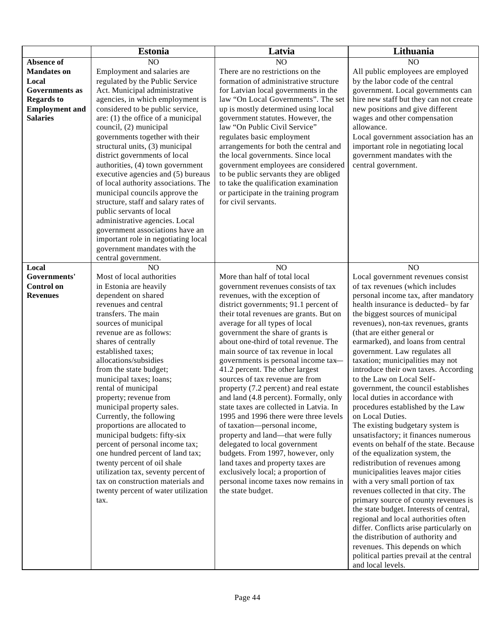|                       | <b>Estonia</b>                                                  | Latvia                                                             | Lithuania                                                                      |
|-----------------------|-----------------------------------------------------------------|--------------------------------------------------------------------|--------------------------------------------------------------------------------|
| Absence of            | NO                                                              | N <sub>O</sub>                                                     | N <sub>O</sub>                                                                 |
| <b>Mandates on</b>    | Employment and salaries are                                     | There are no restrictions on the                                   | All public employees are employed                                              |
| Local                 | regulated by the Public Service                                 | formation of administrative structure                              | by the labor code of the central                                               |
| <b>Governments</b> as | Act. Municipal administrative                                   | for Latvian local governments in the                               | government. Local governments can                                              |
| <b>Regards to</b>     | agencies, in which employment is                                | law "On Local Governments". The set                                | hire new staff but they can not create                                         |
| <b>Employment</b> and | considered to be public service,                                | up is mostly determined using local                                | new positions and give different                                               |
| <b>Salaries</b>       | are: $(1)$ the office of a municipal                            | government statutes. However, the                                  | wages and other compensation                                                   |
|                       | council, (2) municipal                                          | law "On Public Civil Service"                                      | allowance.                                                                     |
|                       | governments together with their                                 | regulates basic employment                                         | Local government association has an                                            |
|                       | structural units, (3) municipal                                 | arrangements for both the central and                              | important role in negotiating local                                            |
|                       | district governments of local                                   | the local governments. Since local                                 | government mandates with the                                                   |
|                       | authorities, (4) town government                                | government employees are considered                                | central government.                                                            |
|                       | executive agencies and (5) bureaus                              | to be public servants they are obliged                             |                                                                                |
|                       | of local authority associations. The                            | to take the qualification examination                              |                                                                                |
|                       | municipal councils approve the                                  | or participate in the training program                             |                                                                                |
|                       | structure, staff and salary rates of                            | for civil servants.                                                |                                                                                |
|                       | public servants of local                                        |                                                                    |                                                                                |
|                       | administrative agencies. Local                                  |                                                                    |                                                                                |
|                       | government associations have an                                 |                                                                    |                                                                                |
|                       | important role in negotiating local                             |                                                                    |                                                                                |
|                       | government mandates with the<br>central government.             |                                                                    |                                                                                |
| Local                 | N <sub>O</sub>                                                  | NO                                                                 | NO                                                                             |
| Governments'          | Most of local authorities                                       | More than half of total local                                      | Local government revenues consist                                              |
| <b>Control on</b>     | in Estonia are heavily                                          | government revenues consists of tax                                | of tax revenues (which includes                                                |
| <b>Revenues</b>       | dependent on shared                                             | revenues, with the exception of                                    | personal income tax, after mandatory                                           |
|                       | revenues and central                                            | district governments; 91.1 percent of                              | health insurance is deducted- by far                                           |
|                       | transfers. The main                                             | their total revenues are grants. But on                            | the biggest sources of municipal                                               |
|                       | sources of municipal                                            | average for all types of local                                     | revenues), non-tax revenues, grants                                            |
|                       | revenue are as follows:                                         | government the share of grants is                                  | (that are either general or                                                    |
|                       | shares of centrally                                             | about one-third of total revenue. The                              | earmarked), and loans from central                                             |
|                       | established taxes;                                              | main source of tax revenue in local                                | government. Law regulates all                                                  |
|                       | allocations/subsidies                                           | governments is personal income tax-                                | taxation; municipalities may not                                               |
|                       | from the state budget;                                          | 41.2 percent. The other largest                                    | introduce their own taxes. According                                           |
|                       | municipal taxes; loans;                                         | sources of tax revenue are from                                    | to the Law on Local Self-                                                      |
|                       | rental of municipal                                             | property (7.2 percent) and real estate                             | government, the council establishes                                            |
|                       | property; revenue from                                          | and land (4.8 percent). Formally, only                             | local duties in accordance with                                                |
|                       | municipal property sales.                                       | state taxes are collected in Latvia. In                            | procedures established by the Law                                              |
|                       | Currently, the following                                        | 1995 and 1996 there were three levels                              | on Local Duties.                                                               |
|                       | proportions are allocated to                                    | of taxation-personal income,                                       | The existing budgetary system is                                               |
|                       | municipal budgets: fifty-six<br>percent of personal income tax; | property and land—that were fully<br>delegated to local government | unsatisfactory; it finances numerous<br>events on behalf of the state. Because |
|                       | one hundred percent of land tax;                                | budgets. From 1997, however, only                                  | of the equalization system, the                                                |
|                       | twenty percent of oil shale                                     | land taxes and property taxes are                                  | redistribution of revenues among                                               |
|                       | utilization tax, seventy percent of                             | exclusively local; a proportion of                                 | municipalities leaves major cities                                             |
|                       | tax on construction materials and                               | personal income taxes now remains in                               | with a very small portion of tax                                               |
|                       | twenty percent of water utilization                             | the state budget.                                                  | revenues collected in that city. The                                           |
|                       | tax.                                                            |                                                                    | primary source of county revenues is                                           |
|                       |                                                                 |                                                                    | the state budget. Interests of central,                                        |
|                       |                                                                 |                                                                    | regional and local authorities often                                           |
|                       |                                                                 |                                                                    | differ. Conflicts arise particularly on                                        |
|                       |                                                                 |                                                                    | the distribution of authority and                                              |
|                       |                                                                 |                                                                    | revenues. This depends on which                                                |
|                       |                                                                 |                                                                    | political parties prevail at the central                                       |
|                       |                                                                 |                                                                    | and local levels.                                                              |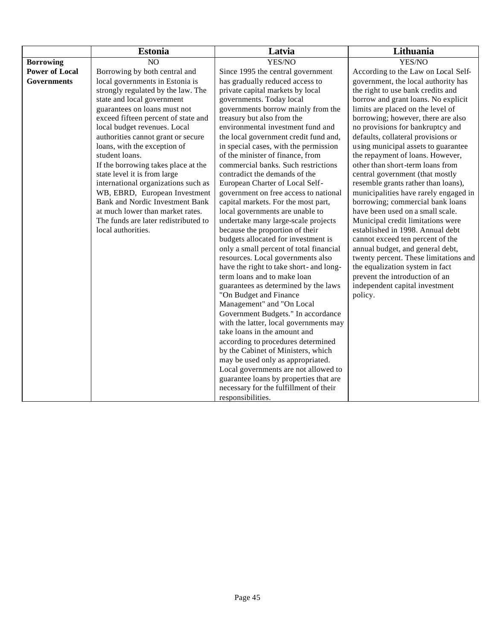|                       | <b>Estonia</b>                                                          | Latvia                                                                       | Lithuania                                                                 |
|-----------------------|-------------------------------------------------------------------------|------------------------------------------------------------------------------|---------------------------------------------------------------------------|
| <b>Borrowing</b>      | NO                                                                      | YES/NO                                                                       | YES/NO                                                                    |
| <b>Power of Local</b> | Borrowing by both central and                                           | Since 1995 the central government                                            | According to the Law on Local Self-                                       |
| <b>Governments</b>    | local governments in Estonia is                                         | has gradually reduced access to                                              | government, the local authority has                                       |
|                       | strongly regulated by the law. The                                      | private capital markets by local                                             | the right to use bank credits and                                         |
|                       | state and local government                                              | governments. Today local                                                     | borrow and grant loans. No explicit                                       |
|                       | guarantees on loans must not                                            | governments borrow mainly from the                                           | limits are placed on the level of                                         |
|                       | exceed fifteen percent of state and                                     | treasury but also from the                                                   | borrowing; however, there are also                                        |
|                       | local budget revenues. Local                                            | environmental investment fund and                                            | no provisions for bankruptcy and                                          |
|                       | authorities cannot grant or secure                                      | the local government credit fund and,                                        | defaults, collateral provisions or                                        |
|                       | loans, with the exception of                                            | in special cases, with the permission                                        | using municipal assets to guarantee                                       |
|                       | student loans.                                                          | of the minister of finance, from                                             | the repayment of loans. However,                                          |
|                       | If the borrowing takes place at the                                     | commercial banks. Such restrictions                                          | other than short-term loans from                                          |
|                       | state level it is from large                                            | contradict the demands of the                                                | central government (that mostly                                           |
|                       | international organizations such as                                     | European Charter of Local Self-                                              | resemble grants rather than loans),                                       |
|                       | WB, EBRD, European Investment<br><b>Bank and Nordic Investment Bank</b> | government on free access to national<br>capital markets. For the most part, | municipalities have rarely engaged in<br>borrowing; commercial bank loans |
|                       | at much lower than market rates.                                        | local governments are unable to                                              | have been used on a small scale.                                          |
|                       | The funds are later redistributed to                                    | undertake many large-scale projects                                          | Municipal credit limitations were                                         |
|                       | local authorities.                                                      | because the proportion of their                                              | established in 1998. Annual debt                                          |
|                       |                                                                         | budgets allocated for investment is                                          | cannot exceed ten percent of the                                          |
|                       |                                                                         | only a small percent of total financial                                      | annual budget, and general debt,                                          |
|                       |                                                                         | resources. Local governments also                                            | twenty percent. These limitations and                                     |
|                       |                                                                         | have the right to take short- and long-                                      | the equalization system in fact                                           |
|                       |                                                                         | term loans and to make loan                                                  | prevent the introduction of an                                            |
|                       |                                                                         | guarantees as determined by the laws                                         | independent capital investment                                            |
|                       |                                                                         | "On Budget and Finance                                                       | policy.                                                                   |
|                       |                                                                         | Management" and "On Local                                                    |                                                                           |
|                       |                                                                         | Government Budgets." In accordance                                           |                                                                           |
|                       |                                                                         | with the latter, local governments may                                       |                                                                           |
|                       |                                                                         | take loans in the amount and                                                 |                                                                           |
|                       |                                                                         | according to procedures determined                                           |                                                                           |
|                       |                                                                         | by the Cabinet of Ministers, which                                           |                                                                           |
|                       |                                                                         | may be used only as appropriated.                                            |                                                                           |
|                       |                                                                         | Local governments are not allowed to                                         |                                                                           |
|                       |                                                                         | guarantee loans by properties that are                                       |                                                                           |
|                       |                                                                         | necessary for the fulfillment of their                                       |                                                                           |
|                       |                                                                         | responsibilities.                                                            |                                                                           |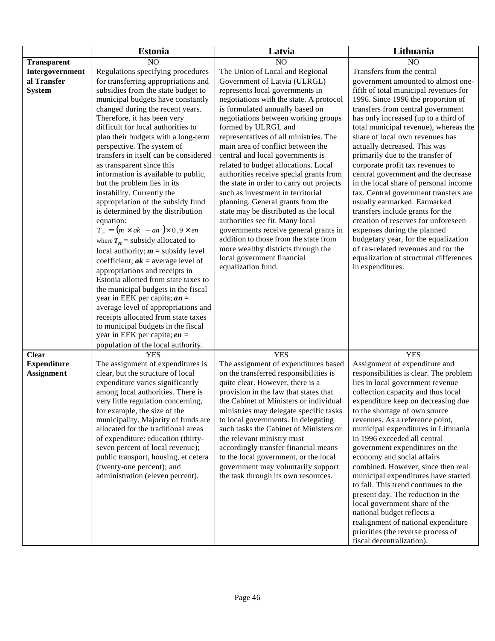|                    | <b>Estonia</b>                                                        | Latvia                                                                   | Lithuania                                                                   |
|--------------------|-----------------------------------------------------------------------|--------------------------------------------------------------------------|-----------------------------------------------------------------------------|
| <b>Transparent</b> | NO                                                                    | NO                                                                       | NO                                                                          |
| Intergovernment    | Regulations specifying procedures                                     | The Union of Local and Regional                                          | Transfers from the central                                                  |
| al Transfer        | for transferring appropriations and                                   | Government of Latvia (ULRGL)                                             | government amounted to almost one-                                          |
| <b>System</b>      | subsidies from the state budget to                                    | represents local governments in                                          | fifth of total municipal revenues for                                       |
|                    | municipal budgets have constantly                                     | negotiations with the state. A protocol                                  | 1996. Since 1996 the proportion of                                          |
|                    | changed during the recent years.                                      | is formulated annually based on                                          | transfers from central government                                           |
|                    | Therefore, it has been very                                           | negotiations between working groups                                      | has only increased (up to a third of                                        |
|                    | difficult for local authorities to                                    | formed by ULRGL and                                                      | total municipal revenue), whereas the                                       |
|                    | plan their budgets with a long-term                                   | representatives of all ministries. The                                   | share of local own revenues has                                             |
|                    | perspective. The system of                                            | main area of conflict between the                                        | actually decreased. This was                                                |
|                    | transfers in itself can be considered                                 | central and local governments is                                         | primarily due to the transfer of                                            |
|                    | as transparent since this                                             | related to budget allocations. Local                                     | corporate profit tax revenues to                                            |
|                    | information is available to public,                                   | authorities receive special grants from                                  | central government and the decrease                                         |
|                    | but the problem lies in its                                           | the state in order to carry out projects                                 | in the local share of personal income                                       |
|                    | instability. Currently the                                            | such as investment in territorial                                        | tax. Central government transfers are                                       |
|                    | appropriation of the subsidy fund                                     | planning. General grants from the                                        | usually earmarked. Earmarked                                                |
|                    | is determined by the distribution                                     | state may be distributed as the local                                    | transfers include grants for the                                            |
|                    | equation:<br>$T_n = (m \times ak - an) \times 0.9 \times en$          | authorities see fit. Many local<br>governments receive general grants in | creation of reserves for unforeseen<br>expenses during the planned          |
|                    |                                                                       | addition to those from the state from                                    | budgetary year, for the equalization                                        |
|                    | where $T_n$ = subsidy allocated to                                    | more wealthy districts through the                                       | of tax-related revenues and for the                                         |
|                    | local authority; $m =$ subsidy level                                  | local government financial                                               | equalization of structural differences                                      |
|                    | coefficient; $ak$ = average level of                                  | equalization fund.                                                       | in expenditures.                                                            |
|                    | appropriations and receipts in                                        |                                                                          |                                                                             |
|                    | Estonia allotted from state taxes to                                  |                                                                          |                                                                             |
|                    | the municipal budgets in the fiscal                                   |                                                                          |                                                                             |
|                    | year in EEK per capita; $an =$<br>average level of appropriations and |                                                                          |                                                                             |
|                    | receipts allocated from state taxes                                   |                                                                          |                                                                             |
|                    | to municipal budgets in the fiscal                                    |                                                                          |                                                                             |
|                    | year in EEK per capita; $en =$                                        |                                                                          |                                                                             |
|                    | population of the local authority.                                    |                                                                          |                                                                             |
| <b>Clear</b>       | <b>YES</b>                                                            | <b>YES</b>                                                               | <b>YES</b>                                                                  |
| <b>Expenditure</b> | The assignment of expenditures is                                     | The assignment of expenditures based                                     | Assignment of expenditure and                                               |
| Assignment         | clear, but the structure of local                                     | on the transferred responsibilities is                                   | responsibilities is clear. The problem                                      |
|                    | expenditure varies significantly                                      | quite clear. However, there is a                                         | lies in local government revenue                                            |
|                    | among local authorities. There is                                     | provision in the law that states that                                    | collection capacity and thus local                                          |
|                    | very little regulation concerning,                                    | the Cabinet of Ministers or individual                                   | expenditure keep on decreasing due                                          |
|                    | for example, the size of the                                          | ministries may delegate specific tasks                                   | to the shortage of own source                                               |
|                    | municipality. Majority of funds are                                   | to local governments. In delegating                                      | revenues. As a reference point,                                             |
|                    | allocated for the traditional areas                                   | such tasks the Cabinet of Ministers or                                   | municipal expenditures in Lithuania                                         |
|                    | of expenditure: education (thirty-                                    | the relevant ministry must                                               | in 1996 exceeded all central                                                |
|                    | seven percent of local revenue);                                      | accordingly transfer financial means                                     | government expenditures on the                                              |
|                    | public transport, housing, et cetera                                  | to the local government, or the local                                    | economy and social affairs                                                  |
|                    | (twenty-one percent); and                                             | government may voluntarily support                                       | combined. However, since then real                                          |
|                    | administration (eleven percent).                                      | the task through its own resources.                                      | municipal expenditures have started<br>to fall. This trend continues to the |
|                    |                                                                       |                                                                          | present day. The reduction in the                                           |
|                    |                                                                       |                                                                          | local government share of the                                               |
|                    |                                                                       |                                                                          | national budget reflects a                                                  |
|                    |                                                                       |                                                                          | realignment of national expenditure                                         |
|                    |                                                                       |                                                                          | priorities (the reverse process of                                          |
|                    |                                                                       |                                                                          | fiscal decentralization).                                                   |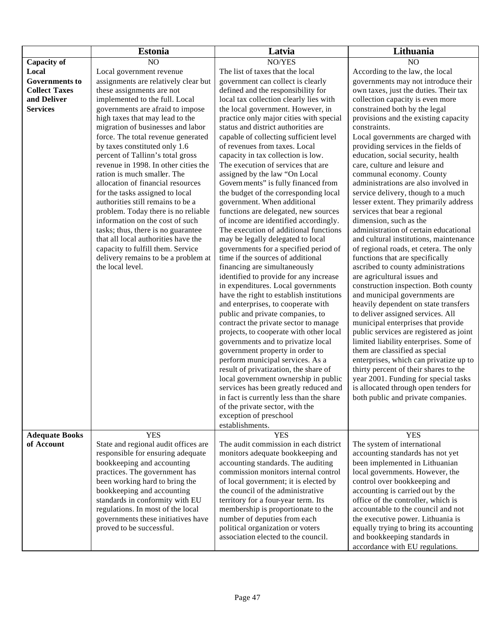|                       | <b>Estonia</b>                                                            | Latvia                                                                     | Lithuania                                                                 |
|-----------------------|---------------------------------------------------------------------------|----------------------------------------------------------------------------|---------------------------------------------------------------------------|
| Capacity of           | N <sub>O</sub>                                                            | NO/YES                                                                     | N <sub>O</sub>                                                            |
| Local                 | Local government revenue                                                  | The list of taxes that the local                                           | According to the law, the local                                           |
| <b>Governments to</b> | assignments are relatively clear but                                      | government can collect is clearly                                          | governments may not introduce their                                       |
| <b>Collect Taxes</b>  | these assignments are not                                                 | defined and the responsibility for                                         | own taxes, just the duties. Their tax                                     |
| and Deliver           | implemented to the full. Local                                            | local tax collection clearly lies with                                     | collection capacity is even more                                          |
| <b>Services</b>       | governments are afraid to impose                                          | the local government. However, in                                          | constrained both by the legal                                             |
|                       | high taxes that may lead to the                                           | practice only major cities with special                                    | provisions and the existing capacity                                      |
|                       | migration of businesses and labor                                         | status and district authorities are                                        | constraints.                                                              |
|                       | force. The total revenue generated                                        | capable of collecting sufficient level                                     | Local governments are charged with                                        |
|                       | by taxes constituted only 1.6                                             | of revenues from taxes. Local                                              | providing services in the fields of                                       |
|                       | percent of Tallinn's total gross                                          | capacity in tax collection is low.                                         | education, social security, health                                        |
|                       | revenue in 1998. In other cities the                                      | The execution of services that are                                         | care, culture and leisure and                                             |
|                       | ration is much smaller. The                                               | assigned by the law "On Local                                              | communal economy. County                                                  |
|                       | allocation of financial resources                                         | Govern ments" is fully financed from                                       | administrations are also involved in                                      |
|                       | for the tasks assigned to local                                           | the budget of the corresponding local                                      | service delivery, though to a much                                        |
|                       | authorities still remains to be a                                         | government. When additional                                                | lesser extent. They primarily address                                     |
|                       | problem. Today there is no reliable                                       | functions are delegated, new sources                                       | services that bear a regional                                             |
|                       | information on the cost of such                                           | of income are identified accordingly.                                      | dimension, such as the                                                    |
|                       | tasks; thus, there is no guarantee<br>that all local authorities have the | The execution of additional functions                                      | administration of certain educational                                     |
|                       |                                                                           | may be legally delegated to local<br>governments for a specified period of | and cultural institutions, maintenance                                    |
|                       | capacity to fulfill them. Service<br>delivery remains to be a problem at  | time if the sources of additional                                          | of regional roads, et cetera. The only<br>functions that are specifically |
|                       | the local level.                                                          | financing are simultaneously                                               | ascribed to county administrations                                        |
|                       |                                                                           | identified to provide for any increase                                     | are agricultural issues and                                               |
|                       |                                                                           | in expenditures. Local governments                                         | construction inspection. Both county                                      |
|                       |                                                                           | have the right to establish institutions                                   | and municipal governments are                                             |
|                       |                                                                           | and enterprises, to cooperate with                                         | heavily dependent on state transfers                                      |
|                       |                                                                           | public and private companies, to                                           | to deliver assigned services. All                                         |
|                       |                                                                           | contract the private sector to manage                                      | municipal enterprises that provide                                        |
|                       |                                                                           | projects, to cooperate with other local                                    | public services are registered as joint                                   |
|                       |                                                                           | governments and to privatize local                                         | limited liability enterprises. Some of                                    |
|                       |                                                                           | government property in order to                                            | them are classified as special                                            |
|                       |                                                                           | perform municipal services. As a                                           | enterprises, which can privatize up to                                    |
|                       |                                                                           | result of privatization, the share of                                      | thirty percent of their shares to the                                     |
|                       |                                                                           | local government ownership in public                                       | year 2001. Funding for special tasks                                      |
|                       |                                                                           | services has been greatly reduced and                                      | is allocated through open tenders for                                     |
|                       |                                                                           | in fact is currently less than the share                                   | both public and private companies.                                        |
|                       |                                                                           | of the private sector, with the                                            |                                                                           |
|                       |                                                                           | exception of preschool                                                     |                                                                           |
|                       |                                                                           | establishments.                                                            |                                                                           |
| <b>Adequate Books</b> | <b>YES</b>                                                                | <b>YES</b>                                                                 | <b>YES</b>                                                                |
| of Account            | State and regional audit offices are                                      | The audit commission in each district                                      | The system of international                                               |
|                       | responsible for ensuring adequate<br>bookkeeping and accounting           | monitors adequate bookkeeping and<br>accounting standards. The auditing    | accounting standards has not yet                                          |
|                       |                                                                           | commission monitors internal control                                       | been implemented in Lithuanian                                            |
|                       | practices. The government has<br>been working hard to bring the           | of local government; it is elected by                                      | local governments. However, the<br>control over bookkeeping and           |
|                       | bookkeeping and accounting                                                | the council of the administrative                                          |                                                                           |
|                       | standards in conformity with EU                                           | territory for a four-year term. Its                                        | accounting is carried out by the<br>office of the controller, which is    |
|                       | regulations. In most of the local                                         | membership is proportionate to the                                         | accountable to the council and not                                        |
|                       | governments these initiatives have                                        | number of deputies from each                                               | the executive power. Lithuania is                                         |
|                       | proved to be successful.                                                  | political organization or voters                                           | equally trying to bring its accounting                                    |
|                       |                                                                           | association elected to the council.                                        | and bookkeeping standards in                                              |
|                       |                                                                           |                                                                            | accordance with EU regulations.                                           |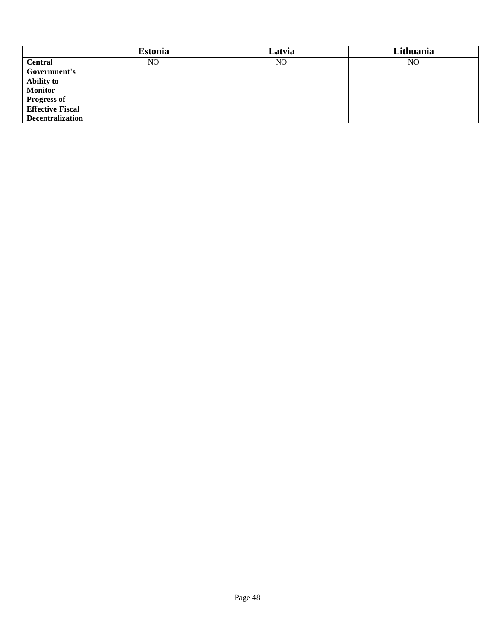|                         | <b>Estonia</b> | Latvia | Lithuania      |
|-------------------------|----------------|--------|----------------|
| <b>Central</b>          | NO             | NO.    | N <sub>O</sub> |
| Government's            |                |        |                |
| <b>Ability to</b>       |                |        |                |
| <b>Monitor</b>          |                |        |                |
| <b>Progress of</b>      |                |        |                |
| <b>Effective Fiscal</b> |                |        |                |
| <b>Decentralization</b> |                |        |                |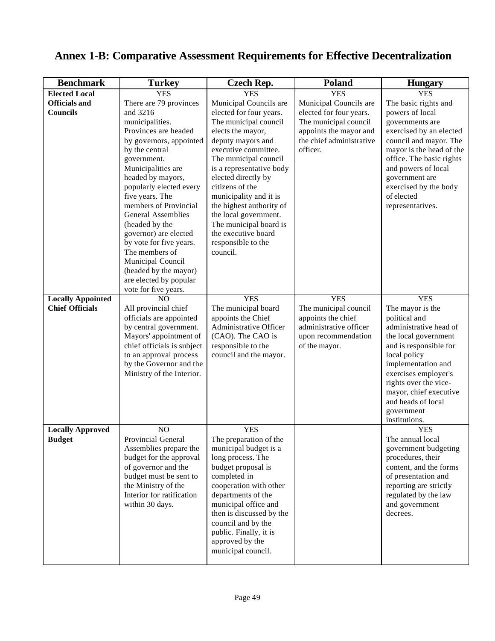| <b>Benchmark</b>         | <b>Turkey</b>                                    | <b>Czech Rep.</b>                         | Poland                   | <b>Hungary</b>           |
|--------------------------|--------------------------------------------------|-------------------------------------------|--------------------------|--------------------------|
| <b>Elected Local</b>     | <b>YES</b>                                       | <b>YES</b>                                | <b>YES</b>               | <b>YES</b>               |
| <b>Officials and</b>     | There are 79 provinces                           | Municipal Councils are                    | Municipal Councils are   | The basic rights and     |
| <b>Councils</b>          | and 3216                                         | elected for four years.                   | elected for four years.  | powers of local          |
|                          | municipalities.                                  | The municipal council                     | The municipal council    | governments are          |
|                          | Provinces are headed                             | elects the mayor,                         | appoints the mayor and   | exercised by an elected  |
|                          | by governors, appointed                          | deputy mayors and                         | the chief administrative | council and mayor. The   |
|                          | by the central                                   | executive committee.                      | officer.                 | mayor is the head of the |
|                          | government.                                      | The municipal council                     |                          | office. The basic rights |
|                          | Municipalities are                               | is a representative body                  |                          | and powers of local      |
|                          | headed by mayors,                                | elected directly by                       |                          | government are           |
|                          | popularly elected every                          | citizens of the                           |                          | exercised by the body    |
|                          | five years. The                                  | municipality and it is                    |                          | of elected               |
|                          | members of Provincial                            | the highest authority of                  |                          | representatives.         |
|                          | <b>General Assemblies</b>                        | the local government.                     |                          |                          |
|                          | (headed by the                                   | The municipal board is                    |                          |                          |
|                          | governor) are elected                            | the executive board                       |                          |                          |
|                          | by vote for five years.                          | responsible to the                        |                          |                          |
|                          | The members of                                   | council.                                  |                          |                          |
|                          | Municipal Council                                |                                           |                          |                          |
|                          | (headed by the mayor)                            |                                           |                          |                          |
|                          | are elected by popular                           |                                           |                          |                          |
|                          | vote for five years.                             |                                           |                          |                          |
| <b>Locally Appointed</b> | NO                                               | <b>YES</b>                                | <b>YES</b>               | <b>YES</b>               |
| <b>Chief Officials</b>   | All provincial chief                             | The municipal board                       | The municipal council    | The mayor is the         |
|                          | officials are appointed                          | appoints the Chief                        | appoints the chief       | political and            |
|                          | by central government.                           | Administrative Officer                    | administrative officer   | administrative head of   |
|                          | Mayors' appointment of                           | (CAO). The CAO is                         | upon recommendation      | the local government     |
|                          | chief officials is subject                       | responsible to the                        | of the mayor.            | and is responsible for   |
|                          | to an approval process                           | council and the mayor.                    |                          | local policy             |
|                          | by the Governor and the                          |                                           |                          | implementation and       |
|                          | Ministry of the Interior.                        |                                           |                          | exercises employer's     |
|                          |                                                  |                                           |                          | rights over the vice-    |
|                          |                                                  |                                           |                          | mayor, chief executive   |
|                          |                                                  |                                           |                          | and heads of local       |
|                          |                                                  |                                           |                          | government               |
|                          |                                                  |                                           |                          | institutions.            |
| <b>Locally Approved</b>  | NO                                               | <b>YES</b>                                |                          | <b>YES</b>               |
| <b>Budget</b>            | Provincial General                               | The preparation of the                    |                          | The annual local         |
|                          | Assemblies prepare the                           | municipal budget is a                     |                          | government budgeting     |
|                          | budget for the approval                          | long process. The                         |                          | procedures, their        |
|                          | of governor and the                              | budget proposal is                        |                          | content, and the forms   |
|                          | budget must be sent to                           | completed in                              |                          | of presentation and      |
|                          | the Ministry of the<br>Interior for ratification | cooperation with other                    |                          | reporting are strictly   |
|                          |                                                  | departments of the                        |                          | regulated by the law     |
|                          | within 30 days.                                  | municipal office and                      |                          | and government           |
|                          |                                                  | then is discussed by the                  |                          | decrees.                 |
|                          |                                                  | council and by the                        |                          |                          |
|                          |                                                  | public. Finally, it is<br>approved by the |                          |                          |
|                          |                                                  | municipal council.                        |                          |                          |
|                          |                                                  |                                           |                          |                          |

# **Annex 1-B: Comparative Assessment Requirements for Effective Decentralization**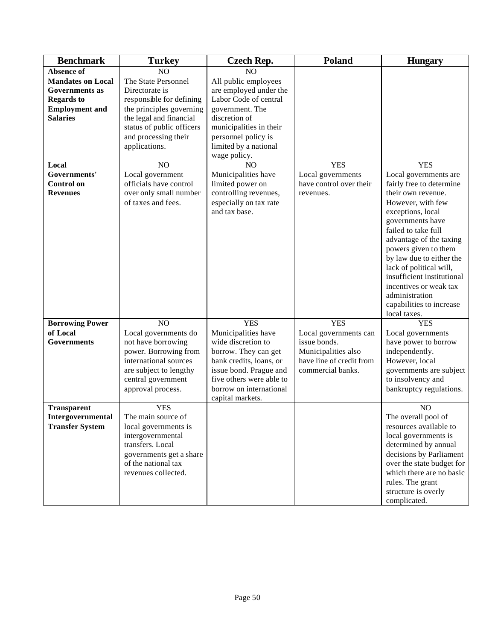| <b>Benchmark</b>         | <b>Turkey</b>             | <b>Czech Rep.</b>                           | Poland                   | <b>Hungary</b>             |
|--------------------------|---------------------------|---------------------------------------------|--------------------------|----------------------------|
| <b>Absence of</b>        | NO                        | N <sub>O</sub>                              |                          |                            |
| <b>Mandates on Local</b> | The State Personnel       | All public employees                        |                          |                            |
| <b>Governments</b> as    | Directorate is            | are employed under the                      |                          |                            |
| <b>Regards to</b>        | responsible for defining  | Labor Code of central                       |                          |                            |
| <b>Employment and</b>    | the principles governing  | government. The                             |                          |                            |
| <b>Salaries</b>          | the legal and financial   | discretion of                               |                          |                            |
|                          | status of public officers | municipalities in their                     |                          |                            |
|                          | and processing their      | personnel policy is                         |                          |                            |
|                          | applications.             | limited by a national                       |                          |                            |
|                          |                           | wage policy.                                |                          |                            |
| Local                    | NO                        | N <sub>O</sub>                              | <b>YES</b>               | <b>YES</b>                 |
| Governments'             | Local government          | Municipalities have                         | Local governments        | Local governments are      |
| <b>Control</b> on        | officials have control    | limited power on                            | have control over their  | fairly free to determine   |
| <b>Revenues</b>          | over only small number    | controlling revenues,                       | revenues.                | their own revenue.         |
|                          | of taxes and fees.        | especially on tax rate                      |                          | However, with few          |
|                          |                           | and tax base.                               |                          | exceptions, local          |
|                          |                           |                                             |                          | governments have           |
|                          |                           |                                             |                          | failed to take full        |
|                          |                           |                                             |                          | advantage of the taxing    |
|                          |                           |                                             |                          | powers given to them       |
|                          |                           |                                             |                          | by law due to either the   |
|                          |                           |                                             |                          | lack of political will,    |
|                          |                           |                                             |                          | insufficient institutional |
|                          |                           |                                             |                          | incentives or weak tax     |
|                          |                           |                                             |                          | administration             |
|                          |                           |                                             |                          | capabilities to increase   |
|                          |                           |                                             |                          | local taxes.               |
| <b>Borrowing Power</b>   | NO                        | <b>YES</b>                                  | <b>YES</b>               | <b>YES</b>                 |
| of Local                 | Local governments do      | Municipalities have                         | Local governments can    | Local governments          |
| <b>Governments</b>       | not have borrowing        | wide discretion to                          | issue bonds.             | have power to borrow       |
|                          | power. Borrowing from     | borrow. They can get                        | Municipalities also      | independently.             |
|                          | international sources     | bank credits, loans, or                     | have line of credit from | However, local             |
|                          | are subject to lengthy    | issue bond. Prague and                      | commercial banks.        | governments are subject    |
|                          | central government        | five others were able to                    |                          | to insolvency and          |
|                          | approval process.         | borrow on international<br>capital markets. |                          | bankruptcy regulations.    |
| <b>Transparent</b>       | <b>YES</b>                |                                             |                          | NO                         |
| Intergovernmental        | The main source of        |                                             |                          | The overall pool of        |
| <b>Transfer System</b>   | local governments is      |                                             |                          | resources available to     |
|                          | intergovernmental         |                                             |                          | local governments is       |
|                          | transfers. Local          |                                             |                          | determined by annual       |
|                          | governments get a share   |                                             |                          | decisions by Parliament    |
|                          | of the national tax       |                                             |                          | over the state budget for  |
|                          | revenues collected.       |                                             |                          | which there are no basic   |
|                          |                           |                                             |                          | rules. The grant           |
|                          |                           |                                             |                          | structure is overly        |
|                          |                           |                                             |                          | complicated.               |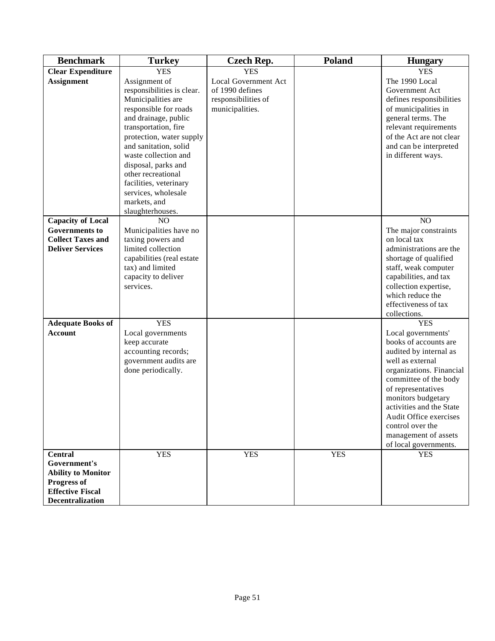| <b>Benchmark</b>                                                                                                                 | <b>Turkey</b>                                                                                                                                                                                                                                                                                                                                             | <b>Czech Rep.</b>                                                                 | <b>Poland</b> | <b>Hungary</b>                                                                                                                                                                                                                                                                                                                      |
|----------------------------------------------------------------------------------------------------------------------------------|-----------------------------------------------------------------------------------------------------------------------------------------------------------------------------------------------------------------------------------------------------------------------------------------------------------------------------------------------------------|-----------------------------------------------------------------------------------|---------------|-------------------------------------------------------------------------------------------------------------------------------------------------------------------------------------------------------------------------------------------------------------------------------------------------------------------------------------|
| <b>Clear Expenditure</b>                                                                                                         | <b>YES</b>                                                                                                                                                                                                                                                                                                                                                | <b>YES</b>                                                                        |               | <b>YES</b>                                                                                                                                                                                                                                                                                                                          |
| <b>Assignment</b>                                                                                                                | Assignment of<br>responsibilities is clear.<br>Municipalities are<br>responsible for roads<br>and drainage, public<br>transportation, fire<br>protection, water supply<br>and sanitation, solid<br>waste collection and<br>disposal, parks and<br>other recreational<br>facilities, veterinary<br>services, wholesale<br>markets, and<br>slaughterhouses. | Local Government Act<br>of 1990 defines<br>responsibilities of<br>municipalities. |               | The 1990 Local<br>Government Act<br>defines responsibilities<br>of municipalities in<br>general terms. The<br>relevant requirements<br>of the Act are not clear<br>and can be interpreted<br>in different ways.                                                                                                                     |
| <b>Capacity of Local</b><br><b>Governments to</b><br><b>Collect Taxes and</b><br><b>Deliver Services</b>                         | NO<br>Municipalities have no<br>taxing powers and<br>limited collection<br>capabilities (real estate<br>tax) and limited<br>capacity to deliver<br>services.                                                                                                                                                                                              |                                                                                   |               | N <sub>O</sub><br>The major constraints<br>on local tax<br>administrations are the<br>shortage of qualified<br>staff, weak computer<br>capabilities, and tax<br>collection expertise,<br>which reduce the<br>effectiveness of tax<br>collections.                                                                                   |
| <b>Adequate Books of</b><br><b>Account</b>                                                                                       | <b>YES</b><br>Local governments<br>keep accurate<br>accounting records;<br>government audits are<br>done periodically.                                                                                                                                                                                                                                    |                                                                                   |               | <b>YES</b><br>Local governments'<br>books of accounts are<br>audited by internal as<br>well as external<br>organizations. Financial<br>committee of the body<br>of representatives<br>monitors budgetary<br>activities and the State<br>Audit Office exercises<br>control over the<br>management of assets<br>of local governments. |
| <b>Central</b><br>Government's<br><b>Ability to Monitor</b><br>Progress of<br><b>Effective Fiscal</b><br><b>Decentralization</b> | <b>YES</b>                                                                                                                                                                                                                                                                                                                                                | <b>YES</b>                                                                        | <b>YES</b>    | <b>YES</b>                                                                                                                                                                                                                                                                                                                          |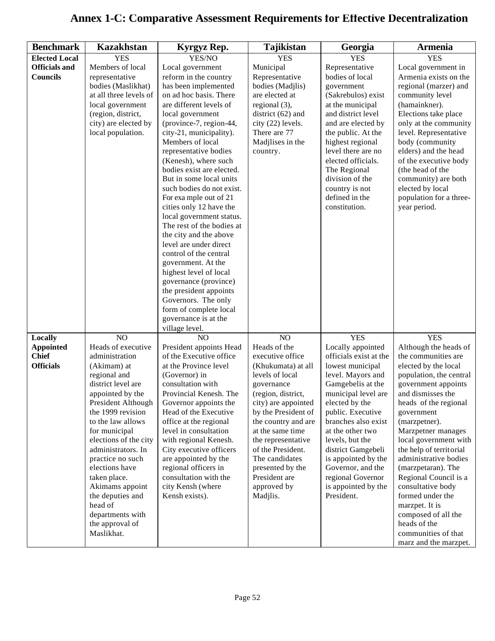# **Annex 1-C: Comparative Assessment Requirements for Effective Decentralization**

| <b>Benchmark</b>     | <b>Kazakhstan</b>                   | Kyrgyz Rep.                                  | <b>Tajikistan</b>                 | Georgia                                  | <b>Armenia</b>                              |
|----------------------|-------------------------------------|----------------------------------------------|-----------------------------------|------------------------------------------|---------------------------------------------|
| <b>Elected Local</b> | <b>YES</b>                          | YES/NO                                       | <b>YES</b>                        | <b>YES</b>                               | <b>YES</b>                                  |
| <b>Officials and</b> | Members of local                    | Local government                             | Municipal                         | Representative                           | Local government in                         |
| <b>Councils</b>      | representative                      | reform in the country                        | Representative                    | bodies of local                          | Armenia exists on the                       |
|                      | bodies (Maslikhat)                  | has been implemented                         | bodies (Madjlis)                  | government                               | regional (marzer) and                       |
|                      | at all three levels of              | on ad hoc basis. There                       | are elected at                    | (Sakrebulos) exist                       | community level                             |
|                      | local government                    | are different levels of                      | regional (3),                     | at the municipal                         | (hamainkner).                               |
|                      | (region, district,                  | local government                             | district $(62)$ and               | and district level                       | Elections take place                        |
|                      | city) are elected by                | (province-7, region-44,                      | city (22) levels.                 | and are elected by                       | only at the community                       |
|                      | local population.                   | city-21, municipality).                      | There are 77                      | the public. At the                       | level. Representative                       |
|                      |                                     | Members of local                             | Madjlises in the                  | highest regional                         | body (community                             |
|                      |                                     | representative bodies                        | country.                          | level there are no                       | elders) and the head                        |
|                      |                                     | (Kenesh), where such                         |                                   | elected officials.                       | of the executive body                       |
|                      |                                     | bodies exist are elected.                    |                                   | The Regional                             | (the head of the                            |
|                      |                                     | But in some local units                      |                                   | division of the                          | community) are both                         |
|                      |                                     | such bodies do not exist.                    |                                   | country is not                           | elected by local                            |
|                      |                                     | For example out of 21                        |                                   | defined in the                           | population for a three-                     |
|                      |                                     | cities only 12 have the                      |                                   | constitution.                            | year period.                                |
|                      |                                     | local government status.                     |                                   |                                          |                                             |
|                      |                                     | The rest of the bodies at                    |                                   |                                          |                                             |
|                      |                                     | the city and the above                       |                                   |                                          |                                             |
|                      |                                     | level are under direct                       |                                   |                                          |                                             |
|                      |                                     | control of the central                       |                                   |                                          |                                             |
|                      |                                     | government. At the                           |                                   |                                          |                                             |
|                      |                                     | highest level of local                       |                                   |                                          |                                             |
|                      |                                     | governance (province)                        |                                   |                                          |                                             |
|                      |                                     | the president appoints                       |                                   |                                          |                                             |
|                      |                                     | Governors. The only                          |                                   |                                          |                                             |
|                      |                                     | form of complete local                       |                                   |                                          |                                             |
|                      |                                     | governance is at the                         |                                   |                                          |                                             |
|                      |                                     | village level.                               |                                   |                                          |                                             |
| Locally              | NO                                  | NO                                           | NO                                | <b>YES</b>                               | <b>YES</b>                                  |
| <b>Appointed</b>     | Heads of executive                  | President appoints Head                      | Heads of the                      | Locally appointed                        | Although the heads of                       |
| <b>Chief</b>         | administration                      | of the Executive office                      | executive office                  | officials exist at the                   | the communities are                         |
| <b>Officials</b>     | (Akimam) at                         | at the Province level                        | (Khukumata) at all                | lowest municipal                         | elected by the local                        |
|                      | regional and                        | (Governor) in                                | levels of local                   | level. Mayors and                        | population, the central                     |
|                      | district level are                  | consultation with                            | governance                        | Gamgebelis at the                        | government appoints                         |
|                      | appointed by the                    | Provincial Kenesh. The                       | (region, district,                | municipal level are                      | and dismisses the                           |
|                      | President Although                  | Governor appoints the                        | city) are appointed               | elected by the                           | heads of the regional                       |
|                      | the 1999 revision                   | Head of the Executive                        | by the President of               | public. Executive                        | government                                  |
|                      | to the law allows                   | office at the regional                       | the country and are               | branches also exist                      | (marzpetner).                               |
|                      | for municipal                       | level in consultation                        | at the same time                  | at the other two                         | Marzpetner manages                          |
|                      | elections of the city               | with regional Kenesh.                        | the representative                | levels, but the                          | local government with                       |
|                      | administrators. In                  | City executive officers                      | of the President.                 | district Gamgebeli                       | the help of territorial                     |
|                      | practice no such<br>elections have  | are appointed by the<br>regional officers in | The candidates                    | is appointed by the<br>Governor, and the | administrative bodies<br>(marzpetaran). The |
|                      |                                     | consultation with the                        | presented by the<br>President are |                                          |                                             |
|                      | taken place.                        | city Kensh (where                            | approved by                       | regional Governor                        | Regional Council is a                       |
|                      | Akimams appoint<br>the deputies and | Kensh exists).                               |                                   | is appointed by the<br>President.        | consultative body<br>formed under the       |
|                      | head of                             |                                              | Madjlis.                          |                                          |                                             |
|                      | departments with                    |                                              |                                   |                                          | marzpet. It is<br>composed of all the       |
|                      | the approval of                     |                                              |                                   |                                          | heads of the                                |
|                      | Maslikhat.                          |                                              |                                   |                                          | communities of that                         |
|                      |                                     |                                              |                                   |                                          | marz and the marzpet.                       |
|                      |                                     |                                              |                                   |                                          |                                             |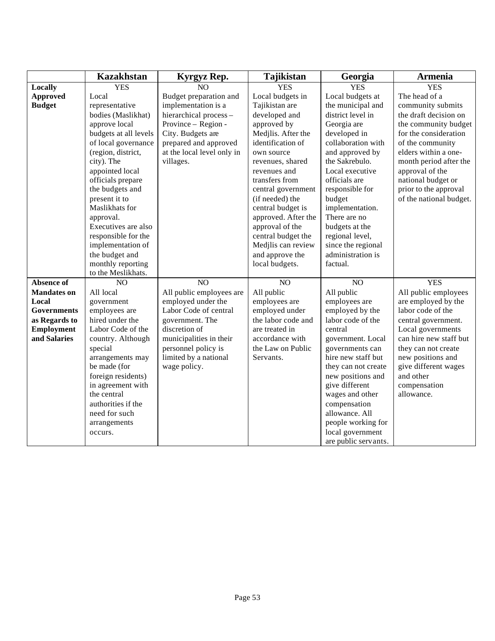|                                                                   | <b>Kazakhstan</b>                                                                                                                                                                                                                                     | Kyrgyz Rep.                                                                                                                                          | Tajikistan                                                                                                  | Georgia                                                                                                                                                                                                                                                                                            | Armenia                                                                                                                                                                                                |
|-------------------------------------------------------------------|-------------------------------------------------------------------------------------------------------------------------------------------------------------------------------------------------------------------------------------------------------|------------------------------------------------------------------------------------------------------------------------------------------------------|-------------------------------------------------------------------------------------------------------------|----------------------------------------------------------------------------------------------------------------------------------------------------------------------------------------------------------------------------------------------------------------------------------------------------|--------------------------------------------------------------------------------------------------------------------------------------------------------------------------------------------------------|
| Locally                                                           | <b>YES</b>                                                                                                                                                                                                                                            | NO                                                                                                                                                   | <b>YES</b>                                                                                                  | <b>YES</b>                                                                                                                                                                                                                                                                                         | <b>YES</b>                                                                                                                                                                                             |
| <b>Approved</b>                                                   | Local                                                                                                                                                                                                                                                 | Budget preparation and                                                                                                                               | Local budgets in                                                                                            | Local budgets at                                                                                                                                                                                                                                                                                   | The head of a                                                                                                                                                                                          |
| <b>Budget</b>                                                     | representative                                                                                                                                                                                                                                        | implementation is a                                                                                                                                  | Tajikistan are                                                                                              | the municipal and                                                                                                                                                                                                                                                                                  | community submits                                                                                                                                                                                      |
|                                                                   | bodies (Maslikhat)                                                                                                                                                                                                                                    | hierarchical process-                                                                                                                                | developed and                                                                                               | district level in                                                                                                                                                                                                                                                                                  | the draft decision on                                                                                                                                                                                  |
|                                                                   | approve local                                                                                                                                                                                                                                         | Province - Region -                                                                                                                                  | approved by                                                                                                 | Georgia are                                                                                                                                                                                                                                                                                        | the community budget                                                                                                                                                                                   |
|                                                                   | budgets at all levels                                                                                                                                                                                                                                 | City. Budgets are                                                                                                                                    | Medjlis. After the                                                                                          | developed in                                                                                                                                                                                                                                                                                       | for the consideration                                                                                                                                                                                  |
|                                                                   | of local governance                                                                                                                                                                                                                                   | prepared and approved                                                                                                                                | identification of                                                                                           | collaboration with                                                                                                                                                                                                                                                                                 | of the community                                                                                                                                                                                       |
|                                                                   | (region, district,                                                                                                                                                                                                                                    | at the local level only in                                                                                                                           | own source                                                                                                  | and approved by                                                                                                                                                                                                                                                                                    | elders within a one-                                                                                                                                                                                   |
|                                                                   | city). The                                                                                                                                                                                                                                            | villages.                                                                                                                                            | revenues, shared                                                                                            | the Sakrebulo.                                                                                                                                                                                                                                                                                     | month period after the                                                                                                                                                                                 |
|                                                                   | appointed local                                                                                                                                                                                                                                       |                                                                                                                                                      | revenues and                                                                                                | Local executive                                                                                                                                                                                                                                                                                    | approval of the                                                                                                                                                                                        |
|                                                                   | officials prepare                                                                                                                                                                                                                                     |                                                                                                                                                      | transfers from                                                                                              | officials are                                                                                                                                                                                                                                                                                      | national budget or                                                                                                                                                                                     |
|                                                                   | the budgets and                                                                                                                                                                                                                                       |                                                                                                                                                      | central government                                                                                          | responsible for                                                                                                                                                                                                                                                                                    | prior to the approval                                                                                                                                                                                  |
|                                                                   | present it to                                                                                                                                                                                                                                         |                                                                                                                                                      | (if needed) the                                                                                             | budget                                                                                                                                                                                                                                                                                             | of the national budget.                                                                                                                                                                                |
|                                                                   | Maslikhats for                                                                                                                                                                                                                                        |                                                                                                                                                      | central budget is                                                                                           | implementation.                                                                                                                                                                                                                                                                                    |                                                                                                                                                                                                        |
|                                                                   | approval.                                                                                                                                                                                                                                             |                                                                                                                                                      | approved. After the                                                                                         | There are no                                                                                                                                                                                                                                                                                       |                                                                                                                                                                                                        |
|                                                                   | Executives are also                                                                                                                                                                                                                                   |                                                                                                                                                      | approval of the                                                                                             | budgets at the                                                                                                                                                                                                                                                                                     |                                                                                                                                                                                                        |
|                                                                   | responsible for the                                                                                                                                                                                                                                   |                                                                                                                                                      | central budget the                                                                                          | regional level,                                                                                                                                                                                                                                                                                    |                                                                                                                                                                                                        |
|                                                                   | implementation of                                                                                                                                                                                                                                     |                                                                                                                                                      | Medjlis can review                                                                                          | since the regional                                                                                                                                                                                                                                                                                 |                                                                                                                                                                                                        |
|                                                                   | the budget and                                                                                                                                                                                                                                        |                                                                                                                                                      | and approve the                                                                                             | administration is                                                                                                                                                                                                                                                                                  |                                                                                                                                                                                                        |
|                                                                   | monthly reporting                                                                                                                                                                                                                                     |                                                                                                                                                      | local budgets.                                                                                              | factual.                                                                                                                                                                                                                                                                                           |                                                                                                                                                                                                        |
|                                                                   | to the Meslikhats.                                                                                                                                                                                                                                    |                                                                                                                                                      |                                                                                                             |                                                                                                                                                                                                                                                                                                    |                                                                                                                                                                                                        |
| <b>Absence of</b>                                                 | N <sub>O</sub>                                                                                                                                                                                                                                        | NO                                                                                                                                                   | NO                                                                                                          | NO                                                                                                                                                                                                                                                                                                 | <b>YES</b>                                                                                                                                                                                             |
| <b>Mandates on</b>                                                | All local                                                                                                                                                                                                                                             | All public employees are                                                                                                                             | All public                                                                                                  | All public                                                                                                                                                                                                                                                                                         | All public employees                                                                                                                                                                                   |
| Local                                                             | government                                                                                                                                                                                                                                            | employed under the                                                                                                                                   | employees are                                                                                               | employees are                                                                                                                                                                                                                                                                                      | are employed by the                                                                                                                                                                                    |
|                                                                   |                                                                                                                                                                                                                                                       |                                                                                                                                                      |                                                                                                             |                                                                                                                                                                                                                                                                                                    |                                                                                                                                                                                                        |
|                                                                   |                                                                                                                                                                                                                                                       |                                                                                                                                                      |                                                                                                             |                                                                                                                                                                                                                                                                                                    |                                                                                                                                                                                                        |
|                                                                   |                                                                                                                                                                                                                                                       |                                                                                                                                                      |                                                                                                             |                                                                                                                                                                                                                                                                                                    |                                                                                                                                                                                                        |
|                                                                   |                                                                                                                                                                                                                                                       |                                                                                                                                                      |                                                                                                             |                                                                                                                                                                                                                                                                                                    |                                                                                                                                                                                                        |
|                                                                   |                                                                                                                                                                                                                                                       |                                                                                                                                                      |                                                                                                             |                                                                                                                                                                                                                                                                                                    |                                                                                                                                                                                                        |
|                                                                   |                                                                                                                                                                                                                                                       |                                                                                                                                                      |                                                                                                             |                                                                                                                                                                                                                                                                                                    |                                                                                                                                                                                                        |
|                                                                   |                                                                                                                                                                                                                                                       |                                                                                                                                                      |                                                                                                             |                                                                                                                                                                                                                                                                                                    |                                                                                                                                                                                                        |
|                                                                   |                                                                                                                                                                                                                                                       |                                                                                                                                                      |                                                                                                             |                                                                                                                                                                                                                                                                                                    |                                                                                                                                                                                                        |
|                                                                   |                                                                                                                                                                                                                                                       |                                                                                                                                                      |                                                                                                             |                                                                                                                                                                                                                                                                                                    |                                                                                                                                                                                                        |
|                                                                   |                                                                                                                                                                                                                                                       |                                                                                                                                                      |                                                                                                             |                                                                                                                                                                                                                                                                                                    |                                                                                                                                                                                                        |
|                                                                   |                                                                                                                                                                                                                                                       |                                                                                                                                                      |                                                                                                             |                                                                                                                                                                                                                                                                                                    |                                                                                                                                                                                                        |
|                                                                   |                                                                                                                                                                                                                                                       |                                                                                                                                                      |                                                                                                             |                                                                                                                                                                                                                                                                                                    |                                                                                                                                                                                                        |
|                                                                   |                                                                                                                                                                                                                                                       |                                                                                                                                                      |                                                                                                             |                                                                                                                                                                                                                                                                                                    |                                                                                                                                                                                                        |
|                                                                   |                                                                                                                                                                                                                                                       |                                                                                                                                                      |                                                                                                             |                                                                                                                                                                                                                                                                                                    |                                                                                                                                                                                                        |
| Governments<br>as Regards to<br><b>Employment</b><br>and Salaries | employees are<br>hired under the<br>Labor Code of the<br>country. Although<br>special<br>arrangements may<br>be made (for<br>foreign residents)<br>in agreement with<br>the central<br>authorities if the<br>need for such<br>arrangements<br>occurs. | Labor Code of central<br>government. The<br>discretion of<br>municipalities in their<br>personnel policy is<br>limited by a national<br>wage policy. | employed under<br>the labor code and<br>are treated in<br>accordance with<br>the Law on Public<br>Servants. | employed by the<br>labor code of the<br>central<br>government. Local<br>governments can<br>hire new staff but<br>they can not create<br>new positions and<br>give different<br>wages and other<br>compensation<br>allowance. All<br>people working for<br>local government<br>are public servants. | labor code of the<br>central government.<br>Local governments<br>can hire new staff but<br>they can not create<br>new positions and<br>give different wages<br>and other<br>compensation<br>allowance. |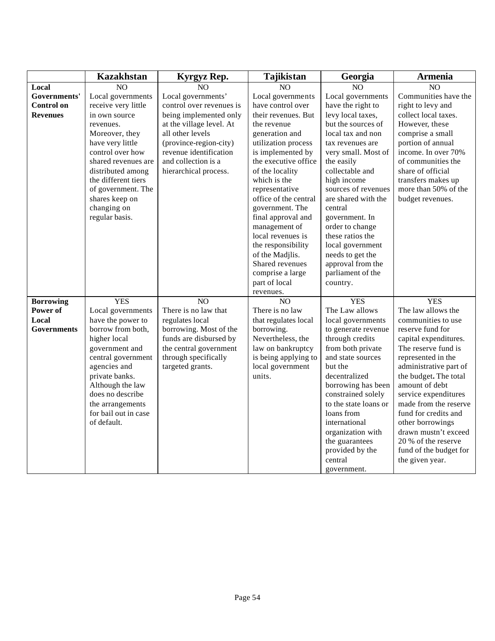| N <sub>O</sub><br>N <sub>O</sub><br>Local<br>NO<br>N <sub>O</sub><br>N <sub>O</sub><br>Governments'<br>Local governments'<br>Local governments<br>Communities have the<br>Local governments<br>Local governments<br>have control over<br>control over revenues is<br>have the right to<br><b>Control on</b><br>receive very little<br>right to levy and<br>in own source<br>being implemented only<br>their revenues. But<br>levy local taxes,<br>collect local taxes.<br><b>Revenues</b><br>at the village level. At<br>but the sources of<br>However, these<br>the revenue<br>revenues.<br>all other levels<br>generation and<br>local tax and non<br>comprise a small<br>Moreover, they<br>utilization process<br>portion of annual<br>have very little<br>(province-region-city)<br>tax revenues are<br>revenue identification<br>is implemented by<br>income. In over 70%<br>control over how<br>very small. Most of<br>shared revenues are<br>the executive office<br>of communities the<br>and collection is a<br>the easily<br>hierarchical process.<br>collectable and<br>share of official<br>distributed among<br>of the locality<br>high income<br>the different tiers<br>which is the<br>transfers makes up<br>of government. The<br>sources of revenues<br>more than 50% of the<br>representative<br>office of the central<br>are shared with the<br>shares keep on<br>budget revenues.<br>changing on<br>government. The<br>central<br>regular basis.<br>final approval and<br>government. In<br>management of<br>order to change |
|--------------------------------------------------------------------------------------------------------------------------------------------------------------------------------------------------------------------------------------------------------------------------------------------------------------------------------------------------------------------------------------------------------------------------------------------------------------------------------------------------------------------------------------------------------------------------------------------------------------------------------------------------------------------------------------------------------------------------------------------------------------------------------------------------------------------------------------------------------------------------------------------------------------------------------------------------------------------------------------------------------------------------------------------------------------------------------------------------------------------------------------------------------------------------------------------------------------------------------------------------------------------------------------------------------------------------------------------------------------------------------------------------------------------------------------------------------------------------------------------------------------------------------------------------|
|                                                                                                                                                                                                                                                                                                                                                                                                                                                                                                                                                                                                                                                                                                                                                                                                                                                                                                                                                                                                                                                                                                                                                                                                                                                                                                                                                                                                                                                                                                                                                  |
|                                                                                                                                                                                                                                                                                                                                                                                                                                                                                                                                                                                                                                                                                                                                                                                                                                                                                                                                                                                                                                                                                                                                                                                                                                                                                                                                                                                                                                                                                                                                                  |
|                                                                                                                                                                                                                                                                                                                                                                                                                                                                                                                                                                                                                                                                                                                                                                                                                                                                                                                                                                                                                                                                                                                                                                                                                                                                                                                                                                                                                                                                                                                                                  |
|                                                                                                                                                                                                                                                                                                                                                                                                                                                                                                                                                                                                                                                                                                                                                                                                                                                                                                                                                                                                                                                                                                                                                                                                                                                                                                                                                                                                                                                                                                                                                  |
|                                                                                                                                                                                                                                                                                                                                                                                                                                                                                                                                                                                                                                                                                                                                                                                                                                                                                                                                                                                                                                                                                                                                                                                                                                                                                                                                                                                                                                                                                                                                                  |
|                                                                                                                                                                                                                                                                                                                                                                                                                                                                                                                                                                                                                                                                                                                                                                                                                                                                                                                                                                                                                                                                                                                                                                                                                                                                                                                                                                                                                                                                                                                                                  |
|                                                                                                                                                                                                                                                                                                                                                                                                                                                                                                                                                                                                                                                                                                                                                                                                                                                                                                                                                                                                                                                                                                                                                                                                                                                                                                                                                                                                                                                                                                                                                  |
|                                                                                                                                                                                                                                                                                                                                                                                                                                                                                                                                                                                                                                                                                                                                                                                                                                                                                                                                                                                                                                                                                                                                                                                                                                                                                                                                                                                                                                                                                                                                                  |
|                                                                                                                                                                                                                                                                                                                                                                                                                                                                                                                                                                                                                                                                                                                                                                                                                                                                                                                                                                                                                                                                                                                                                                                                                                                                                                                                                                                                                                                                                                                                                  |
|                                                                                                                                                                                                                                                                                                                                                                                                                                                                                                                                                                                                                                                                                                                                                                                                                                                                                                                                                                                                                                                                                                                                                                                                                                                                                                                                                                                                                                                                                                                                                  |
|                                                                                                                                                                                                                                                                                                                                                                                                                                                                                                                                                                                                                                                                                                                                                                                                                                                                                                                                                                                                                                                                                                                                                                                                                                                                                                                                                                                                                                                                                                                                                  |
|                                                                                                                                                                                                                                                                                                                                                                                                                                                                                                                                                                                                                                                                                                                                                                                                                                                                                                                                                                                                                                                                                                                                                                                                                                                                                                                                                                                                                                                                                                                                                  |
|                                                                                                                                                                                                                                                                                                                                                                                                                                                                                                                                                                                                                                                                                                                                                                                                                                                                                                                                                                                                                                                                                                                                                                                                                                                                                                                                                                                                                                                                                                                                                  |
|                                                                                                                                                                                                                                                                                                                                                                                                                                                                                                                                                                                                                                                                                                                                                                                                                                                                                                                                                                                                                                                                                                                                                                                                                                                                                                                                                                                                                                                                                                                                                  |
|                                                                                                                                                                                                                                                                                                                                                                                                                                                                                                                                                                                                                                                                                                                                                                                                                                                                                                                                                                                                                                                                                                                                                                                                                                                                                                                                                                                                                                                                                                                                                  |
|                                                                                                                                                                                                                                                                                                                                                                                                                                                                                                                                                                                                                                                                                                                                                                                                                                                                                                                                                                                                                                                                                                                                                                                                                                                                                                                                                                                                                                                                                                                                                  |
| local revenues is<br>these ratios the                                                                                                                                                                                                                                                                                                                                                                                                                                                                                                                                                                                                                                                                                                                                                                                                                                                                                                                                                                                                                                                                                                                                                                                                                                                                                                                                                                                                                                                                                                            |
| local government<br>the responsibility                                                                                                                                                                                                                                                                                                                                                                                                                                                                                                                                                                                                                                                                                                                                                                                                                                                                                                                                                                                                                                                                                                                                                                                                                                                                                                                                                                                                                                                                                                           |
| of the Madilis.<br>needs to get the                                                                                                                                                                                                                                                                                                                                                                                                                                                                                                                                                                                                                                                                                                                                                                                                                                                                                                                                                                                                                                                                                                                                                                                                                                                                                                                                                                                                                                                                                                              |
| Shared revenues<br>approval from the                                                                                                                                                                                                                                                                                                                                                                                                                                                                                                                                                                                                                                                                                                                                                                                                                                                                                                                                                                                                                                                                                                                                                                                                                                                                                                                                                                                                                                                                                                             |
| comprise a large<br>parliament of the                                                                                                                                                                                                                                                                                                                                                                                                                                                                                                                                                                                                                                                                                                                                                                                                                                                                                                                                                                                                                                                                                                                                                                                                                                                                                                                                                                                                                                                                                                            |
| part of local<br>country.                                                                                                                                                                                                                                                                                                                                                                                                                                                                                                                                                                                                                                                                                                                                                                                                                                                                                                                                                                                                                                                                                                                                                                                                                                                                                                                                                                                                                                                                                                                        |
| revenues.                                                                                                                                                                                                                                                                                                                                                                                                                                                                                                                                                                                                                                                                                                                                                                                                                                                                                                                                                                                                                                                                                                                                                                                                                                                                                                                                                                                                                                                                                                                                        |
| <b>YES</b><br>NO <sub>1</sub><br>NO<br><b>YES</b><br><b>Borrowing</b><br><b>YES</b>                                                                                                                                                                                                                                                                                                                                                                                                                                                                                                                                                                                                                                                                                                                                                                                                                                                                                                                                                                                                                                                                                                                                                                                                                                                                                                                                                                                                                                                              |
| The law allows the<br>Power of<br>Local governments<br>There is no law that<br>There is no law<br>The Law allows                                                                                                                                                                                                                                                                                                                                                                                                                                                                                                                                                                                                                                                                                                                                                                                                                                                                                                                                                                                                                                                                                                                                                                                                                                                                                                                                                                                                                                 |
| Local<br>have the power to<br>regulates local<br>that regulates local<br>local governments<br>communities to use                                                                                                                                                                                                                                                                                                                                                                                                                                                                                                                                                                                                                                                                                                                                                                                                                                                                                                                                                                                                                                                                                                                                                                                                                                                                                                                                                                                                                                 |
| <b>Governments</b><br>borrow from both,<br>borrowing. Most of the<br>borrowing.<br>to generate revenue<br>reserve fund for                                                                                                                                                                                                                                                                                                                                                                                                                                                                                                                                                                                                                                                                                                                                                                                                                                                                                                                                                                                                                                                                                                                                                                                                                                                                                                                                                                                                                       |
| higher local<br>funds are disbursed by<br>Nevertheless, the<br>through credits<br>capital expenditures.                                                                                                                                                                                                                                                                                                                                                                                                                                                                                                                                                                                                                                                                                                                                                                                                                                                                                                                                                                                                                                                                                                                                                                                                                                                                                                                                                                                                                                          |
| the central government<br>from both private<br>The reserve fund is<br>government and<br>law on bankruptcy                                                                                                                                                                                                                                                                                                                                                                                                                                                                                                                                                                                                                                                                                                                                                                                                                                                                                                                                                                                                                                                                                                                                                                                                                                                                                                                                                                                                                                        |
| central government<br>through specifically<br>is being applying to<br>and state sources<br>represented in the                                                                                                                                                                                                                                                                                                                                                                                                                                                                                                                                                                                                                                                                                                                                                                                                                                                                                                                                                                                                                                                                                                                                                                                                                                                                                                                                                                                                                                    |
| agencies and<br>targeted grants.<br>administrative part of<br>local government<br>but the                                                                                                                                                                                                                                                                                                                                                                                                                                                                                                                                                                                                                                                                                                                                                                                                                                                                                                                                                                                                                                                                                                                                                                                                                                                                                                                                                                                                                                                        |
| units.<br>private banks.<br>the budget. The total<br>decentralized                                                                                                                                                                                                                                                                                                                                                                                                                                                                                                                                                                                                                                                                                                                                                                                                                                                                                                                                                                                                                                                                                                                                                                                                                                                                                                                                                                                                                                                                               |
| amount of debt<br>Although the law<br>borrowing has been<br>does no describe                                                                                                                                                                                                                                                                                                                                                                                                                                                                                                                                                                                                                                                                                                                                                                                                                                                                                                                                                                                                                                                                                                                                                                                                                                                                                                                                                                                                                                                                     |
| constrained solely<br>service expenditures                                                                                                                                                                                                                                                                                                                                                                                                                                                                                                                                                                                                                                                                                                                                                                                                                                                                                                                                                                                                                                                                                                                                                                                                                                                                                                                                                                                                                                                                                                       |
| to the state loans or<br>made from the reserve<br>the arrangements<br>for bail out in case                                                                                                                                                                                                                                                                                                                                                                                                                                                                                                                                                                                                                                                                                                                                                                                                                                                                                                                                                                                                                                                                                                                                                                                                                                                                                                                                                                                                                                                       |
| loans from<br>fund for credits and<br>of default.<br>international                                                                                                                                                                                                                                                                                                                                                                                                                                                                                                                                                                                                                                                                                                                                                                                                                                                                                                                                                                                                                                                                                                                                                                                                                                                                                                                                                                                                                                                                               |
| other borrowings<br>organization with<br>drawn mustn't exceed                                                                                                                                                                                                                                                                                                                                                                                                                                                                                                                                                                                                                                                                                                                                                                                                                                                                                                                                                                                                                                                                                                                                                                                                                                                                                                                                                                                                                                                                                    |
| the guarantees<br>20 % of the reserve                                                                                                                                                                                                                                                                                                                                                                                                                                                                                                                                                                                                                                                                                                                                                                                                                                                                                                                                                                                                                                                                                                                                                                                                                                                                                                                                                                                                                                                                                                            |
| provided by the<br>fund of the budget for                                                                                                                                                                                                                                                                                                                                                                                                                                                                                                                                                                                                                                                                                                                                                                                                                                                                                                                                                                                                                                                                                                                                                                                                                                                                                                                                                                                                                                                                                                        |
| central<br>the given year.                                                                                                                                                                                                                                                                                                                                                                                                                                                                                                                                                                                                                                                                                                                                                                                                                                                                                                                                                                                                                                                                                                                                                                                                                                                                                                                                                                                                                                                                                                                       |
|                                                                                                                                                                                                                                                                                                                                                                                                                                                                                                                                                                                                                                                                                                                                                                                                                                                                                                                                                                                                                                                                                                                                                                                                                                                                                                                                                                                                                                                                                                                                                  |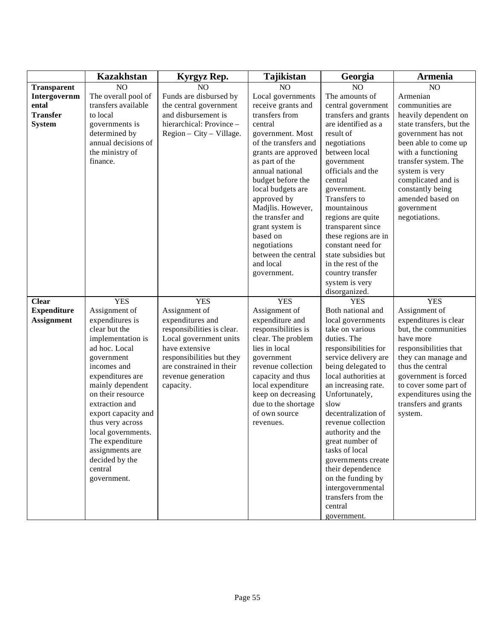|                    | <b>Kazakhstan</b>                | Kyrgyz Rep.                       | <b>Tajikistan</b>                | Georgia                              | <b>Armenia</b>                                |
|--------------------|----------------------------------|-----------------------------------|----------------------------------|--------------------------------------|-----------------------------------------------|
| <b>Transparent</b> | NO                               | N <sub>O</sub>                    | NO                               | NO                                   | NO                                            |
| Intergovernm       | The overall pool of              | Funds are disbursed by            | Local governments                | The amounts of                       | Armenian                                      |
| ental              | transfers available              | the central government            | receive grants and               | central government                   | communities are                               |
| <b>Transfer</b>    | to local                         | and disbursement is               | transfers from                   | transfers and grants                 | heavily dependent on                          |
| <b>System</b>      | governments is                   | hierarchical: Province -          | central                          | are identified as a                  | state transfers, but the                      |
|                    | determined by                    | $Region - City - Village.$        | government. Most                 | result of                            | government has not                            |
|                    | annual decisions of              |                                   | of the transfers and             | negotiations                         | been able to come up                          |
|                    | the ministry of                  |                                   | grants are approved              | between local                        | with a functioning                            |
|                    | finance.                         |                                   | as part of the                   | government                           | transfer system. The                          |
|                    |                                  |                                   | annual national                  | officials and the                    | system is very                                |
|                    |                                  |                                   | budget before the                | central                              | complicated and is                            |
|                    |                                  |                                   | local budgets are                | government.                          | constantly being                              |
|                    |                                  |                                   | approved by                      | Transfers to                         | amended based on                              |
|                    |                                  |                                   | Madjlis. However,                | mountainous                          | government                                    |
|                    |                                  |                                   | the transfer and                 | regions are quite                    | negotiations.                                 |
|                    |                                  |                                   | grant system is                  | transparent since                    |                                               |
|                    |                                  |                                   | based on                         | these regions are in                 |                                               |
|                    |                                  |                                   | negotiations                     | constant need for                    |                                               |
|                    |                                  |                                   | between the central              | state subsidies but                  |                                               |
|                    |                                  |                                   | and local                        | in the rest of the                   |                                               |
|                    |                                  |                                   | government.                      | country transfer                     |                                               |
|                    |                                  |                                   |                                  | system is very                       |                                               |
|                    |                                  |                                   |                                  | disorganized.                        |                                               |
| <b>Clear</b>       | <b>YES</b>                       | <b>YES</b>                        | <b>YES</b>                       | <b>YES</b>                           | <b>YES</b>                                    |
| <b>Expenditure</b> | Assignment of<br>expenditures is | Assignment of<br>expenditures and | Assignment of<br>expenditure and | Both national and                    | Assignment of                                 |
| <b>Assignment</b>  | clear but the                    | responsibilities is clear.        | responsibilities is              | local governments<br>take on various | expenditures is clear<br>but, the communities |
|                    | implementation is                | Local government units            | clear. The problem               | duties. The                          | have more                                     |
|                    | ad hoc. Local                    | have extensive                    | lies in local                    | responsibilities for                 | responsibilities that                         |
|                    | government                       | responsibilities but they         | government                       | service delivery are                 | they can manage and                           |
|                    | incomes and                      | are constrained in their          | revenue collection               | being delegated to                   | thus the central                              |
|                    | expenditures are                 | revenue generation                | capacity and thus                | local authorities at                 | government is forced                          |
|                    | mainly dependent                 | capacity.                         | local expenditure                | an increasing rate.                  | to cover some part of                         |
|                    | on their resource                |                                   | keep on decreasing               | Unfortunately,                       | expenditures using the                        |
|                    | extraction and                   |                                   | due to the shortage              | slow                                 | transfers and grants                          |
|                    | export capacity and              |                                   | of own source                    | decentralization of                  | system.                                       |
|                    | thus very across                 |                                   | revenues.                        | revenue collection                   |                                               |
|                    | local governments.               |                                   |                                  | authority and the                    |                                               |
|                    | The expenditure                  |                                   |                                  | great number of                      |                                               |
|                    | assignments are                  |                                   |                                  | tasks of local                       |                                               |
|                    | decided by the                   |                                   |                                  | governments create                   |                                               |
|                    | central                          |                                   |                                  | their dependence                     |                                               |
|                    | government.                      |                                   |                                  | on the funding by                    |                                               |
|                    |                                  |                                   |                                  | intergovernmental                    |                                               |
|                    |                                  |                                   |                                  | transfers from the                   |                                               |
|                    |                                  |                                   |                                  | central                              |                                               |
|                    |                                  |                                   |                                  | government.                          |                                               |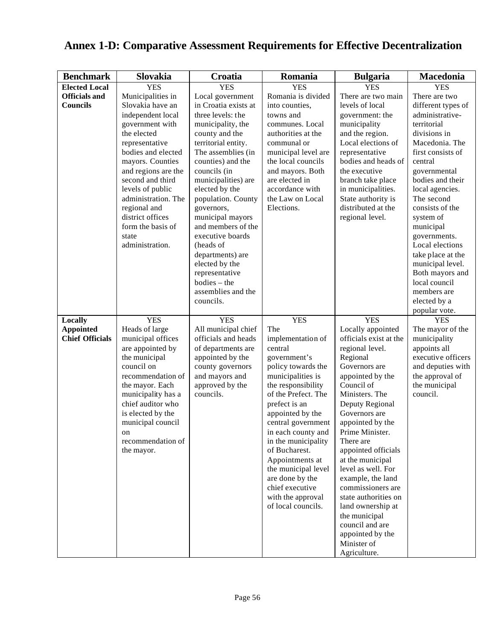| <b>Benchmark</b>       | Slovakia                                | Croatia                          | Romania                           | <b>Bulgaria</b>                          | Macedonia                     |
|------------------------|-----------------------------------------|----------------------------------|-----------------------------------|------------------------------------------|-------------------------------|
| <b>Elected Local</b>   | <b>YES</b>                              | <b>YES</b>                       | <b>YES</b>                        | <b>YES</b>                               | <b>YES</b>                    |
| <b>Officials</b> and   | Municipalities in                       | Local government                 | Romania is divided                | There are two main                       | There are two                 |
| <b>Councils</b>        | Slovakia have an                        | in Croatia exists at             | into counties,                    | levels of local                          | different types of            |
|                        | independent local                       | three levels: the                | towns and                         | government: the                          | administrative-               |
|                        | government with                         | municipality, the                | communes. Local                   | municipality                             | territorial                   |
|                        | the elected                             | county and the                   | authorities at the                | and the region.                          | divisions in                  |
|                        | representative                          | territorial entity.              | communal or                       | Local elections of                       | Macedonia. The                |
|                        | bodies and elected                      | The assemblies (in               | municipal level are               | representative                           | first consists of             |
|                        | mayors. Counties                        | counties) and the                | the local councils                | bodies and heads of                      | central                       |
|                        | and regions are the                     | councils (in                     | and mayors. Both                  | the executive                            | governmental                  |
|                        | second and third                        | municipalities) are              | are elected in                    | branch take place                        | bodies and their              |
|                        | levels of public<br>administration. The | elected by the                   | accordance with                   | in municipalities.                       | local agencies.<br>The second |
|                        | regional and                            | population. County<br>governors, | the Law on Local<br>Elections.    | State authority is<br>distributed at the | consists of the               |
|                        | district offices                        | municipal mayors                 |                                   | regional level.                          | system of                     |
|                        | form the basis of                       | and members of the               |                                   |                                          | municipal                     |
|                        | state                                   | executive boards                 |                                   |                                          | governments.                  |
|                        | administration.                         | (heads of                        |                                   |                                          | Local elections               |
|                        |                                         | departments) are                 |                                   |                                          | take place at the             |
|                        |                                         | elected by the                   |                                   |                                          | municipal level.              |
|                        |                                         | representative                   |                                   |                                          | Both mayors and               |
|                        |                                         | $bodies - the$                   |                                   |                                          | local council                 |
|                        |                                         | assemblies and the               |                                   |                                          | members are                   |
|                        |                                         | councils.                        |                                   |                                          | elected by a                  |
| Locally                | <b>YES</b>                              | <b>YES</b>                       | <b>YES</b>                        | <b>YES</b>                               | popular vote.<br><b>YES</b>   |
| <b>Appointed</b>       | Heads of large                          | All municipal chief              | The                               | Locally appointed                        | The mayor of the              |
| <b>Chief Officials</b> | municipal offices                       | officials and heads              | implementation of                 | officials exist at the                   | municipality                  |
|                        | are appointed by                        | of departments are               | central                           | regional level.                          | appoints all                  |
|                        | the municipal                           | appointed by the                 | government's                      | Regional                                 | executive officers            |
|                        | council on                              | county governors                 | policy towards the                | Governors are                            | and deputies with             |
|                        | recommendation of                       | and mayors and                   | municipalities is                 | appointed by the                         | the approval of               |
|                        | the mayor. Each                         | approved by the                  | the responsibility                | Council of                               | the municipal                 |
|                        | municipality has a                      | councils.                        | of the Prefect. The               | Ministers. The                           | council.                      |
|                        | chief auditor who<br>is elected by the  |                                  | prefect is an<br>appointed by the | Deputy Regional<br>Governors are         |                               |
|                        | municipal council                       |                                  | central government                | appointed by the                         |                               |
|                        | on                                      |                                  | in each county and                | Prime Minister.                          |                               |
|                        | recommendation of                       |                                  | in the municipality               | There are                                |                               |
|                        | the mayor.                              |                                  | of Bucharest.                     | appointed officials                      |                               |
|                        |                                         |                                  | Appointments at                   | at the municipal                         |                               |
|                        |                                         |                                  | the municipal level               | level as well. For                       |                               |
|                        |                                         |                                  | are done by the                   | example, the land                        |                               |
|                        |                                         |                                  | chief executive                   | commissioners are                        |                               |
|                        |                                         |                                  | with the approval                 | state authorities on                     |                               |
|                        |                                         |                                  | of local councils.                | land ownership at                        |                               |
|                        |                                         |                                  |                                   | the municipal<br>council and are         |                               |
|                        |                                         |                                  |                                   | appointed by the                         |                               |
|                        |                                         |                                  |                                   | Minister of                              |                               |
|                        |                                         |                                  |                                   | Agriculture.                             |                               |

# **Annex 1-D: Comparative Assessment Requirements for Effective Decentralization**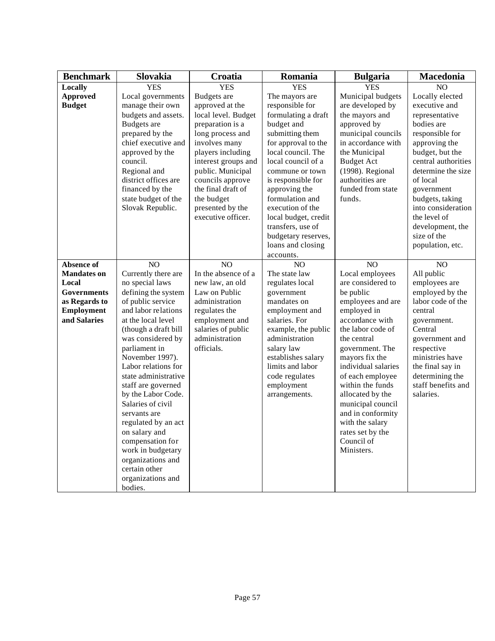| Slovakia                                                                                                                                                                                                                                                          | Croatia                                                                                                                                                                                                                                                                                                                           | Romania                                                                                                                                                                                                                                                                                                                                                | <b>Bulgaria</b>                                                                                                                                                                                                                | Macedonia                                                                                                                                                                                                                                                                                                      |
|-------------------------------------------------------------------------------------------------------------------------------------------------------------------------------------------------------------------------------------------------------------------|-----------------------------------------------------------------------------------------------------------------------------------------------------------------------------------------------------------------------------------------------------------------------------------------------------------------------------------|--------------------------------------------------------------------------------------------------------------------------------------------------------------------------------------------------------------------------------------------------------------------------------------------------------------------------------------------------------|--------------------------------------------------------------------------------------------------------------------------------------------------------------------------------------------------------------------------------|----------------------------------------------------------------------------------------------------------------------------------------------------------------------------------------------------------------------------------------------------------------------------------------------------------------|
| <b>YES</b>                                                                                                                                                                                                                                                        | <b>YES</b>                                                                                                                                                                                                                                                                                                                        | <b>YES</b>                                                                                                                                                                                                                                                                                                                                             | <b>YES</b>                                                                                                                                                                                                                     | NO                                                                                                                                                                                                                                                                                                             |
| Local governments<br>manage their own<br>budgets and assets.<br><b>Budgets</b> are<br>prepared by the<br>chief executive and<br>approved by the<br>council.<br>Regional and<br>district offices are<br>financed by the<br>state budget of the<br>Slovak Republic. | <b>Budgets</b> are<br>approved at the<br>local level. Budget<br>preparation is a<br>long process and<br>involves many<br>players including<br>interest groups and<br>public. Municipal<br>councils approve<br>the final draft of<br>the budget<br>presented by the<br>executive officer.                                          | The mayors are<br>responsible for<br>formulating a draft<br>budget and<br>submitting them<br>for approval to the<br>local council. The<br>local council of a<br>commune or town<br>is responsible for<br>approving the<br>formulation and<br>execution of the<br>local budget, credit<br>transfers, use of<br>budgetary reserves,<br>loans and closing | Municipal budgets<br>are developed by<br>the mayors and<br>approved by<br>municipal councils<br>in accordance with<br>the Municipal<br><b>Budget Act</b><br>(1998). Regional<br>authorities are<br>funded from state<br>funds. | Locally elected<br>executive and<br>representative<br>bodies are<br>responsible for<br>approving the<br>budget, but the<br>central authorities<br>determine the size<br>of local<br>government<br>budgets, taking<br>into consideration<br>the level of<br>development, the<br>size of the<br>population, etc. |
|                                                                                                                                                                                                                                                                   |                                                                                                                                                                                                                                                                                                                                   |                                                                                                                                                                                                                                                                                                                                                        |                                                                                                                                                                                                                                | NO                                                                                                                                                                                                                                                                                                             |
|                                                                                                                                                                                                                                                                   | In the absence of a                                                                                                                                                                                                                                                                                                               | The state law                                                                                                                                                                                                                                                                                                                                          |                                                                                                                                                                                                                                | All public                                                                                                                                                                                                                                                                                                     |
| no special laws                                                                                                                                                                                                                                                   | new law, an old                                                                                                                                                                                                                                                                                                                   | regulates local                                                                                                                                                                                                                                                                                                                                        | are considered to                                                                                                                                                                                                              | employees are                                                                                                                                                                                                                                                                                                  |
| defining the system                                                                                                                                                                                                                                               | Law on Public                                                                                                                                                                                                                                                                                                                     | government                                                                                                                                                                                                                                                                                                                                             | be public                                                                                                                                                                                                                      | employed by the                                                                                                                                                                                                                                                                                                |
| of public service                                                                                                                                                                                                                                                 | administration                                                                                                                                                                                                                                                                                                                    | mandates on                                                                                                                                                                                                                                                                                                                                            | employees and are                                                                                                                                                                                                              | labor code of the                                                                                                                                                                                                                                                                                              |
| and labor relations                                                                                                                                                                                                                                               | regulates the                                                                                                                                                                                                                                                                                                                     | employment and                                                                                                                                                                                                                                                                                                                                         | employed in                                                                                                                                                                                                                    | central                                                                                                                                                                                                                                                                                                        |
| at the local level                                                                                                                                                                                                                                                | employment and                                                                                                                                                                                                                                                                                                                    | salaries. For                                                                                                                                                                                                                                                                                                                                          | accordance with                                                                                                                                                                                                                | government.                                                                                                                                                                                                                                                                                                    |
|                                                                                                                                                                                                                                                                   |                                                                                                                                                                                                                                                                                                                                   |                                                                                                                                                                                                                                                                                                                                                        |                                                                                                                                                                                                                                | Central                                                                                                                                                                                                                                                                                                        |
|                                                                                                                                                                                                                                                                   |                                                                                                                                                                                                                                                                                                                                   |                                                                                                                                                                                                                                                                                                                                                        |                                                                                                                                                                                                                                | government and                                                                                                                                                                                                                                                                                                 |
|                                                                                                                                                                                                                                                                   |                                                                                                                                                                                                                                                                                                                                   |                                                                                                                                                                                                                                                                                                                                                        |                                                                                                                                                                                                                                | respective                                                                                                                                                                                                                                                                                                     |
|                                                                                                                                                                                                                                                                   |                                                                                                                                                                                                                                                                                                                                   |                                                                                                                                                                                                                                                                                                                                                        |                                                                                                                                                                                                                                | ministries have<br>the final say in                                                                                                                                                                                                                                                                            |
|                                                                                                                                                                                                                                                                   |                                                                                                                                                                                                                                                                                                                                   |                                                                                                                                                                                                                                                                                                                                                        |                                                                                                                                                                                                                                | determining the                                                                                                                                                                                                                                                                                                |
|                                                                                                                                                                                                                                                                   |                                                                                                                                                                                                                                                                                                                                   |                                                                                                                                                                                                                                                                                                                                                        |                                                                                                                                                                                                                                | staff benefits and                                                                                                                                                                                                                                                                                             |
|                                                                                                                                                                                                                                                                   |                                                                                                                                                                                                                                                                                                                                   |                                                                                                                                                                                                                                                                                                                                                        |                                                                                                                                                                                                                                | salaries.                                                                                                                                                                                                                                                                                                      |
| Salaries of civil                                                                                                                                                                                                                                                 |                                                                                                                                                                                                                                                                                                                                   |                                                                                                                                                                                                                                                                                                                                                        |                                                                                                                                                                                                                                |                                                                                                                                                                                                                                                                                                                |
| servants are                                                                                                                                                                                                                                                      |                                                                                                                                                                                                                                                                                                                                   |                                                                                                                                                                                                                                                                                                                                                        | and in conformity                                                                                                                                                                                                              |                                                                                                                                                                                                                                                                                                                |
| regulated by an act                                                                                                                                                                                                                                               |                                                                                                                                                                                                                                                                                                                                   |                                                                                                                                                                                                                                                                                                                                                        | with the salary                                                                                                                                                                                                                |                                                                                                                                                                                                                                                                                                                |
| on salary and                                                                                                                                                                                                                                                     |                                                                                                                                                                                                                                                                                                                                   |                                                                                                                                                                                                                                                                                                                                                        | rates set by the                                                                                                                                                                                                               |                                                                                                                                                                                                                                                                                                                |
|                                                                                                                                                                                                                                                                   |                                                                                                                                                                                                                                                                                                                                   |                                                                                                                                                                                                                                                                                                                                                        |                                                                                                                                                                                                                                |                                                                                                                                                                                                                                                                                                                |
|                                                                                                                                                                                                                                                                   |                                                                                                                                                                                                                                                                                                                                   |                                                                                                                                                                                                                                                                                                                                                        |                                                                                                                                                                                                                                |                                                                                                                                                                                                                                                                                                                |
|                                                                                                                                                                                                                                                                   |                                                                                                                                                                                                                                                                                                                                   |                                                                                                                                                                                                                                                                                                                                                        |                                                                                                                                                                                                                                |                                                                                                                                                                                                                                                                                                                |
|                                                                                                                                                                                                                                                                   |                                                                                                                                                                                                                                                                                                                                   |                                                                                                                                                                                                                                                                                                                                                        |                                                                                                                                                                                                                                |                                                                                                                                                                                                                                                                                                                |
|                                                                                                                                                                                                                                                                   |                                                                                                                                                                                                                                                                                                                                   |                                                                                                                                                                                                                                                                                                                                                        |                                                                                                                                                                                                                                |                                                                                                                                                                                                                                                                                                                |
|                                                                                                                                                                                                                                                                   | $\overline{NO}$<br>Currently there are<br>(though a draft bill<br>was considered by<br>parliament in<br>November 1997).<br>Labor relations for<br>state administrative<br>staff are governed<br>by the Labor Code.<br>compensation for<br>work in budgetary<br>organizations and<br>certain other<br>organizations and<br>bodies. | NO<br>salaries of public<br>administration<br>officials.                                                                                                                                                                                                                                                                                               | accounts.<br>NO<br>example, the public<br>administration<br>salary law<br>establishes salary<br>limits and labor<br>code regulates<br>employment<br>arrangements.                                                              | $\overline{NO}$<br>Local employees<br>the labor code of<br>the central<br>government. The<br>mayors fix the<br>individual salaries<br>of each employee<br>within the funds<br>allocated by the<br>municipal council<br>Council of<br>Ministers.                                                                |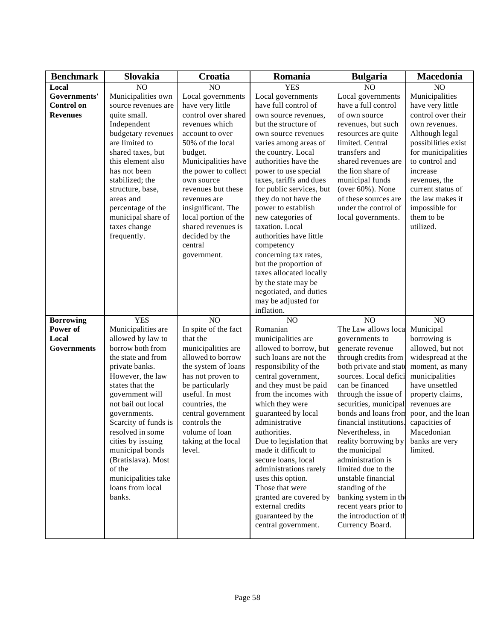| <b>Benchmark</b>   | Slovakia             | Croatia              | Romania                  | <b>Bulgaria</b>         | Macedonia           |
|--------------------|----------------------|----------------------|--------------------------|-------------------------|---------------------|
| Local              | NO <sub>1</sub>      | NO                   | <b>YES</b>               | N <sub>O</sub>          | NO                  |
| Governments'       | Municipalities own   | Local governments    | Local governments        | Local governments       | Municipalities      |
| <b>Control on</b>  | source revenues are  | have very little     | have full control of     | have a full control     | have very little    |
| <b>Revenues</b>    | quite small.         | control over shared  | own source revenues,     | of own source           | control over their  |
|                    | Independent          | revenues which       | but the structure of     | revenues, but such      | own revenues.       |
|                    | budgetary revenues   | account to over      | own source revenues      | resources are quite     | Although legal      |
|                    | are limited to       | 50% of the local     | varies among areas of    | limited. Central        | possibilities exist |
|                    | shared taxes, but    | budget.              | the country. Local       | transfers and           | for municipalities  |
|                    | this element also    | Municipalities have  | authorities have the     | shared revenues are     | to control and      |
|                    | has not been         | the power to collect | power to use special     | the lion share of       | increase            |
|                    | stabilized; the      | own source           | taxes, tariffs and dues  | municipal funds         | revenues, the       |
|                    | structure, base,     | revenues but these   | for public services, but | (over $60\%$ ). None    | current status of   |
|                    | areas and            | revenues are         | they do not have the     | of these sources are    | the law makes it    |
|                    | percentage of the    | insignificant. The   | power to establish       | under the control of    | impossible for      |
|                    | municipal share of   | local portion of the | new categories of        | local governments.      | them to be          |
|                    | taxes change         | shared revenues is   | taxation. Local          |                         | utilized.           |
|                    | frequently.          | decided by the       | authorities have little  |                         |                     |
|                    |                      | central              | competency               |                         |                     |
|                    |                      | government.          | concerning tax rates,    |                         |                     |
|                    |                      |                      | but the proportion of    |                         |                     |
|                    |                      |                      | taxes allocated locally  |                         |                     |
|                    |                      |                      | by the state may be      |                         |                     |
|                    |                      |                      | negotiated, and duties   |                         |                     |
|                    |                      |                      | may be adjusted for      |                         |                     |
|                    |                      |                      | inflation.               |                         |                     |
| <b>Borrowing</b>   | <b>YES</b>           | NO                   | NO                       | NO                      | NO                  |
| Power of           | Municipalities are   | In spite of the fact | Romanian                 | The Law allows loca     | Municipal           |
| Local              | allowed by law to    | that the             | municipalities are       | governments to          | borrowing is        |
| <b>Governments</b> | borrow both from     | municipalities are   | allowed to borrow, but   | generate revenue        | allowed, but not    |
|                    | the state and from   | allowed to borrow    | such loans are not the   | through credits from    | widespread at the   |
|                    | private banks.       | the system of loans  | responsibility of the    | both private and state  | moment, as many     |
|                    | However, the law     | has not proven to    | central government,      | sources. Local defici   | municipalities      |
|                    | states that the      | be particularly      | and they must be paid    | can be financed         | have unsettled      |
|                    | government will      | useful. In most      | from the incomes with    | through the issue of    | property claims,    |
|                    | not bail out local   | countries, the       | which they were          | securities, municipal   | revenues are        |
|                    | governments.         | central government   | guaranteed by local      | bonds and loans from    | poor, and the loan  |
|                    | Scarcity of funds is | controls the         | administrative           | financial institutions. | capacities of       |
|                    | resolved in some     | volume of loan       | authorities.             | Nevertheless, in        | Macedonian          |
|                    | cities by issuing    | taking at the local  | Due to legislation that  | reality borrowing by    | banks are very      |
|                    | municipal bonds      | level.               | made it difficult to     | the municipal           | limited.            |
|                    | (Bratislava). Most   |                      | secure loans, local      | administration is       |                     |
|                    | of the               |                      | administrations rarely   | limited due to the      |                     |
|                    | municipalities take  |                      | uses this option.        | unstable financial      |                     |
|                    | loans from local     |                      | Those that were          | standing of the         |                     |
|                    | banks.               |                      | granted are covered by   | banking system in the   |                     |
|                    |                      |                      | external credits         | recent years prior to   |                     |
|                    |                      |                      | guaranteed by the        | the introduction of th  |                     |
|                    |                      |                      | central government.      | Currency Board.         |                     |
|                    |                      |                      |                          |                         |                     |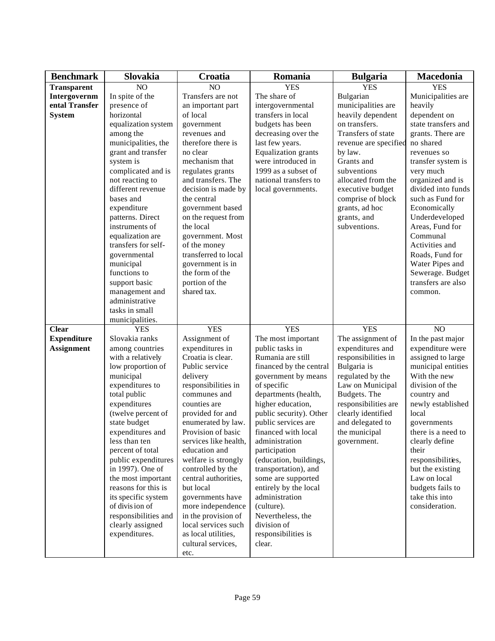| <b>Benchmark</b>   | Slovakia                              | Croatia                                   | Romania                    | <b>Bulgaria</b>       | Macedonia                        |
|--------------------|---------------------------------------|-------------------------------------------|----------------------------|-----------------------|----------------------------------|
| <b>Transparent</b> | NO                                    | NO                                        | <b>YES</b>                 | <b>YES</b>            | <b>YES</b>                       |
| Intergovernm       | In spite of the                       | Transfers are not                         | The share of               | Bulgarian             | Municipalities are               |
| ental Transfer     | presence of                           | an important part                         | intergovernmental          | municipalities are    | heavily                          |
| <b>System</b>      | horizontal                            | of local                                  | transfers in local         | heavily dependent     | dependent on                     |
|                    | equalization system                   | government                                | budgets has been           | on transfers.         | state transfers and              |
|                    | among the                             | revenues and                              | decreasing over the        | Transfers of state    | grants. There are                |
|                    | municipalities, the                   | therefore there is                        | last few years.            | revenue are specified | no shared                        |
|                    | grant and transfer                    | no clear                                  | <b>Equalization</b> grants | by law.               | revenues so                      |
|                    | system is                             | mechanism that                            | were introduced in         | Grants and            | transfer system is               |
|                    | complicated and is                    | regulates grants                          | 1999 as a subset of        | subventions           | very much                        |
|                    | not reacting to                       | and transfers. The                        | national transfers to      | allocated from the    | organized and is                 |
|                    | different revenue                     | decision is made by                       | local governments.         | executive budget      | divided into funds               |
|                    | bases and                             | the central                               |                            | comprise of block     | such as Fund for                 |
|                    | expenditure                           | government based                          |                            | grants, ad hoc        | Economically                     |
|                    | patterns. Direct                      | on the request from                       |                            | grants, and           | Underdeveloped                   |
|                    | instruments of                        | the local                                 |                            | subventions.          | Areas, Fund for                  |
|                    | equalization are                      | government. Most                          |                            |                       | Communal                         |
|                    | transfers for self-                   | of the money                              |                            |                       | Activities and                   |
|                    | governmental                          | transferred to local                      |                            |                       | Roads, Fund for                  |
|                    | municipal                             | government is in                          |                            |                       | Water Pipes and                  |
|                    | functions to                          | the form of the                           |                            |                       | Sewerage. Budget                 |
|                    | support basic                         | portion of the                            |                            |                       | transfers are also               |
|                    | management and                        | shared tax.                               |                            |                       | common.                          |
|                    | administrative                        |                                           |                            |                       |                                  |
|                    | tasks in small                        |                                           |                            |                       |                                  |
|                    | municipalities.                       |                                           |                            |                       |                                  |
| <b>Clear</b>       | <b>YES</b>                            | <b>YES</b>                                | <b>YES</b>                 | <b>YES</b>            | NO                               |
| <b>Expenditure</b> | Slovakia ranks                        | Assignment of                             | The most important         | The assignment of     | In the past major                |
| <b>Assignment</b>  | among countries                       | expenditures in                           | public tasks in            | expenditures and      | expenditure were                 |
|                    | with a relatively                     | Croatia is clear.                         | Rumania are still          | responsibilities in   | assigned to large                |
|                    | low proportion of                     | Public service                            | financed by the central    | Bulgaria is           | municipal entities               |
|                    | municipal                             | delivery                                  | government by means        | regulated by the      | With the new                     |
|                    | expenditures to                       | responsibilities in                       | of specific                | Law on Municipal      | division of the                  |
|                    | total public                          | communes and                              | departments (health,       | Budgets. The          | country and                      |
|                    | expenditures                          | counties are                              | higher education,          | responsibilities are  | newly established                |
|                    | (twelve percent of                    | provided for and                          | public security). Other    | clearly identified    | local                            |
|                    | state budget                          | enumerated by law.                        | public services are        | and delegated to      | governments                      |
|                    | expenditures and                      | Provision of basic                        | financed with local        | the municipal         | there is a need to               |
|                    | less than ten                         | services like health,                     | administration             | government.           | clearly define                   |
|                    | percent of total                      | education and                             | participation              |                       | their                            |
|                    | public expenditures                   | welfare is strongly                       | (education, buildings,     |                       | responsibilities,                |
|                    | in 1997). One of                      |                                           | transportation), and       |                       |                                  |
|                    | the most important                    | controlled by the<br>central authorities, | some are supported         |                       | but the existing<br>Law on local |
|                    | reasons for this is                   | but local                                 |                            |                       |                                  |
|                    |                                       |                                           | entirely by the local      |                       | budgets fails to                 |
|                    | its specific system<br>of division of | governments have                          | administration             |                       | take this into<br>consideration. |
|                    |                                       | more independence                         | (culture).                 |                       |                                  |
|                    | responsibilities and                  | in the provision of                       | Nevertheless, the          |                       |                                  |
|                    | clearly assigned                      | local services such                       | division of                |                       |                                  |
|                    | expenditures.                         | as local utilities,                       | responsibilities is        |                       |                                  |
|                    |                                       | cultural services,                        | clear.                     |                       |                                  |
|                    |                                       | etc.                                      |                            |                       |                                  |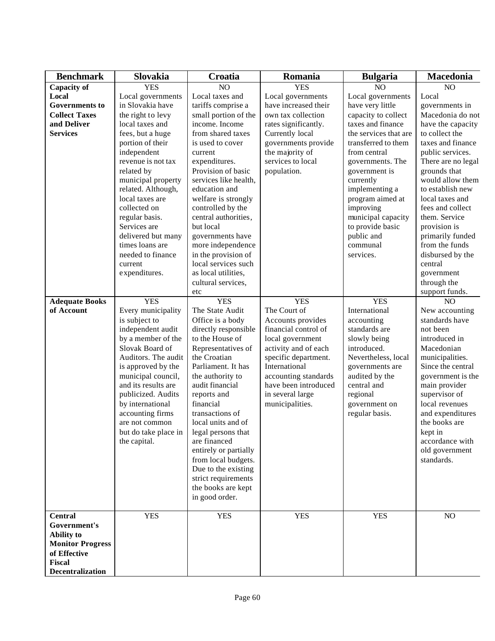| <b>Benchmark</b>        | Slovakia             | Croatia               | Romania              | <b>Bulgaria</b>       | Macedonia          |
|-------------------------|----------------------|-----------------------|----------------------|-----------------------|--------------------|
| <b>Capacity of</b>      | <b>YES</b>           | NO                    | <b>YES</b>           | NO                    | NO                 |
| Local                   | Local governments    | Local taxes and       | Local governments    | Local governments     | Local              |
| <b>Governments to</b>   | in Slovakia have     | tariffs comprise a    | have increased their | have very little      | governments in     |
| <b>Collect Taxes</b>    | the right to levy    | small portion of the  | own tax collection   | capacity to collect   | Macedonia do not   |
| and Deliver             | local taxes and      | income. Income        | rates significantly. | taxes and finance     | have the capacity  |
| <b>Services</b>         | fees, but a huge     | from shared taxes     | Currently local      | the services that are | to collect the     |
|                         | portion of their     | is used to cover      | governments provide  | transferred to them   | taxes and finance  |
|                         | independent          | current               | the majority of      | from central          | public services.   |
|                         | revenue is not tax   | expenditures.         | services to local    | governments. The      | There are no legal |
|                         | related by           | Provision of basic    | population.          | government is         | grounds that       |
|                         | municipal property   | services like health, |                      | currently             | would allow them   |
|                         | related. Although,   | education and         |                      | implementing a        | to establish new   |
|                         | local taxes are      | welfare is strongly   |                      | program aimed at      | local taxes and    |
|                         | collected on         | controlled by the     |                      | improving             | fees and collect   |
|                         | regular basis.       | central authorities,  |                      | municipal capacity    | them. Service      |
|                         | Services are         | but local             |                      | to provide basic      | provision is       |
|                         | delivered but many   | governments have      |                      | public and            | primarily funded   |
|                         | times loans are      | more independence     |                      | communal              | from the funds     |
|                         | needed to finance    | in the provision of   |                      | services.             | disbursed by the   |
|                         | current              | local services such   |                      |                       | central            |
|                         | expenditures.        | as local utilities,   |                      |                       | government         |
|                         |                      | cultural services,    |                      |                       | through the        |
|                         |                      | etc                   |                      |                       | support funds.     |
| <b>Adequate Books</b>   | <b>YES</b>           | <b>YES</b>            | <b>YES</b>           | <b>YES</b>            | NO                 |
| of Account              | Every municipality   | The State Audit       | The Court of         | International         | New accounting     |
|                         | is subject to        | Office is a body      | Accounts provides    | accounting            | standards have     |
|                         | independent audit    | directly responsible  | financial control of | standards are         | not been           |
|                         | by a member of the   | to the House of       | local government     | slowly being          | introduced in      |
|                         | Slovak Board of      | Representatives of    | activity and of each | introduced.           | Macedonian         |
|                         | Auditors. The audit  | the Croatian          | specific department. | Nevertheless, local   | municipalities.    |
|                         | is approved by the   | Parliament. It has    | International        | governments are       | Since the central  |
|                         | municipal council,   | the authority to      | accounting standards | audited by the        | government is the  |
|                         | and its results are  | audit financial       | have been introduced | central and           | main provider      |
|                         | publicized. Audits   | reports and           | in several large     | regional              | supervisor of      |
|                         | by international     | financial             | municipalities.      | government on         | local revenues     |
|                         | accounting firms     | transactions of       |                      | regular basis.        | and expenditures   |
|                         | are not common       | local units and of    |                      |                       | the books are      |
|                         | but do take place in | legal persons that    |                      |                       | kept in            |
|                         | the capital.         | are financed          |                      |                       | accordance with    |
|                         |                      | entirely or partially |                      |                       | old government     |
|                         |                      | from local budgets.   |                      |                       | standards.         |
|                         |                      | Due to the existing   |                      |                       |                    |
|                         |                      | strict requirements   |                      |                       |                    |
|                         |                      | the books are kept    |                      |                       |                    |
|                         |                      | in good order.        |                      |                       |                    |
| <b>Central</b>          | <b>YES</b>           | <b>YES</b>            | <b>YES</b>           | <b>YES</b>            | NO                 |
| Government's            |                      |                       |                      |                       |                    |
| <b>Ability to</b>       |                      |                       |                      |                       |                    |
| <b>Monitor Progress</b> |                      |                       |                      |                       |                    |
| of Effective            |                      |                       |                      |                       |                    |
| <b>Fiscal</b>           |                      |                       |                      |                       |                    |
| <b>Decentralization</b> |                      |                       |                      |                       |                    |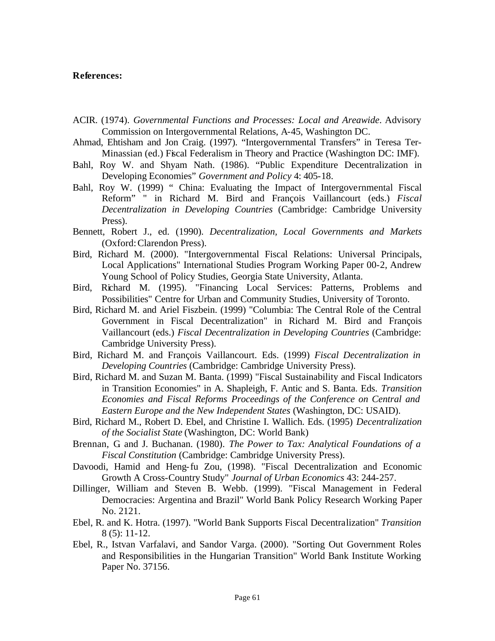## **References:**

- ACIR. (1974). *Governmental Functions and Processes: Local and Areawide*. Advisory Commission on Intergovernmental Relations, A-45, Washington DC.
- Ahmad, Ehtisham and Jon Craig. (1997). "Intergovernmental Transfers" in Teresa Ter-Minassian (ed.) Fiscal Federalism in Theory and Practice (Washington DC: IMF).
- Bahl, Roy W. and Shyam Nath. (1986). "Public Expenditure Decentralization in Developing Economies" *Government and Policy* 4: 405-18.
- Bahl, Roy W. (1999) " China: Evaluating the Impact of Intergovernmental Fiscal Reform" " in Richard M. Bird and François Vaillancourt (eds.) *Fiscal Decentralization in Developing Countries* (Cambridge: Cambridge University Press).
- Bennett, Robert J., ed. (1990). *Decentralization, Local Governments and Markets* (Oxford: Clarendon Press).
- Bird, Richard M. (2000). "Intergovernmental Fiscal Relations: Universal Principals, Local Applications" International Studies Program Working Paper 00-2, Andrew Young School of Policy Studies, Georgia State University, Atlanta.
- Bird, Richard M. (1995). "Financing Local Services: Patterns, Problems and Possibilities" Centre for Urban and Community Studies, University of Toronto.
- Bird, Richard M. and Ariel Fiszbein. (1999) "Columbia: The Central Role of the Central Government in Fiscal Decentralization" in Richard M. Bird and François Vaillancourt (eds.) *Fiscal Decentralization in Developing Countries* (Cambridge: Cambridge University Press).
- Bird, Richard M. and François Vaillancourt. Eds. (1999) *Fiscal Decentralization in Developing Countries* (Cambridge: Cambridge University Press).
- Bird, Richard M. and Suzan M. Banta. (1999) "Fiscal Sustainability and Fiscal Indicators in Transition Economies" in A. Shapleigh, F. Antic and S. Banta. Eds. *Transition Economies and Fiscal Reforms Proceedings of the Conference on Central and Eastern Europe and the New Independent States* (Washington, DC: USAID).
- Bird, Richard M., Robert D. Ebel, and Christine I. Wallich. Eds. (1995) *Decentralization of the Socialist State* (Washington, DC: World Bank)
- Brennan, G. and J. Buchanan. (1980). *The Power to Tax: Analytical Foundations of a Fiscal Constitution* (Cambridge: Cambridge University Press).
- Davoodi, Hamid and Heng-fu Zou, (1998). "Fiscal Decentralization and Economic Growth A Cross-Country Study" *Journal of Urban Economics* 43: 244-257.
- Dillinger, William and Steven B. Webb. (1999). "Fiscal Management in Federal Democracies: Argentina and Brazil" World Bank Policy Research Working Paper No. 2121.
- Ebel, R. and K. Hotra. (1997). "World Bank Supports Fiscal Decentralization" *Transition* 8 (5): 11-12.
- Ebel, R., Istvan Varfalavi, and Sandor Varga. (2000). "Sorting Out Government Roles and Responsibilities in the Hungarian Transition" World Bank Institute Working Paper No. 37156.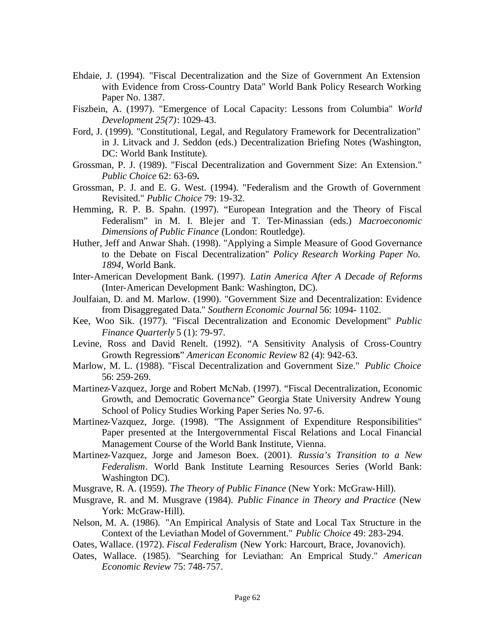- Ehdaie, J. (1994). "Fiscal Decentralization and the Size of Government An Extension with Evidence from Cross-Country Data" World Bank Policy Research Working Paper No. 1387.
- Fiszbein, A. (1997). "Emergence of Local Capacity: Lessons from Columbia" *World Development 25(7)*: 1029-43.
- Ford, J. (1999). "Constitutional, Legal, and Regulatory Framework for Decentralization" in J. Litvack and J. Seddon (eds.) Decentralization Briefing Notes (Washington, DC: World Bank Institute).
- Grossman, P. J. (1989). "Fiscal Decentralization and Government Size: An Extension." *Public Choice* 62: 63-69**.**
- Grossman, P. J. and E. G. West. (1994). "Federalism and the Growth of Government Revisited." *Public Choice* 79: 19-32.
- Hemming, R. P. B. Spahn. (1997). "European Integration and the Theory of Fiscal Federalism" in M. I. Ble jer and T. Ter-Minassian (eds.) *Macroeconomic Dimensions of Public Finance* (London: Routledge).
- Huther, Jeff and Anwar Shah. (1998). "Applying a Simple Measure of Good Governance to the Debate on Fiscal Decentralization" *Policy Research Working Paper No. 1894*, World Bank.
- Inter-American Development Bank. (1997). *Latin America After A Decade of Reforms* (Inter-American Development Bank: Washington, DC).
- Joulfaian, D. and M. Marlow. (1990). "Government Size and Decentralization: Evidence from Disaggregated Data." *Southern Economic Journal* 56: 1094- 1102.
- Kee, Woo Sik. (1977). "Fiscal Decentralization and Economic Development" *Public Finance Quarterly* 5 (1): 79-97.
- Levine, Ross and David Renelt. (1992). "A Sensitivity Analysis of Cross-Country Growth Regressions" *American Economic Review* 82 (4): 942-63.
- Marlow, M. L. (1988). "Fiscal Decentralization and Government Size." *Public Choice* 56: 259-269.
- Martinez-Vazquez, Jorge and Robert McNab. (1997). "Fiscal Decentralization, Economic Growth, and Democratic Governance" Georgia State University Andrew Young School of Policy Studies Working Paper Series No. 97-6.
- Martinez-Vazquez, Jorge. (1998). "The Assignment of Expenditure Responsibilities" Paper presented at the Intergovernmental Fiscal Relations and Local Financial Management Course of the World Bank Institute, Vienna.
- Martinez-Vazquez, Jorge and Jameson Boex. (2001). *Russia's Transition to a New Federalism*. World Bank Institute Learning Resources Series (World Bank: Washington DC).

Musgrave, R. A. (1959). *The Theory of Public Finance* (New York: McGraw-Hill).

- Musgrave, R. and M. Musgrave (1984). *Public Finance in Theory and Practice* (New York: McGraw-Hill).
- Nelson, M. A. (1986). "An Empirical Analysis of State and Local Tax Structure in the Context of the Leviathan Model of Government." *Public Choice* 49: 283-294.
- Oates, Wallace. (1972). *Fiscal Federalism* (New York: Harcourt, Brace, Jovanovich).
- Oates, Wallace. (1985). "Searching for Leviathan: An Emprical Study." *American Economic Review* 75: 748-757.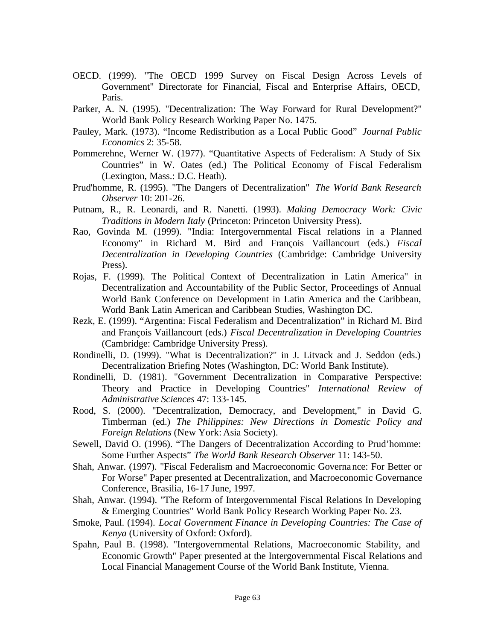- OECD. (1999). "The OECD 1999 Survey on Fiscal Design Across Levels of Government" Directorate for Financial, Fiscal and Enterprise Affairs, OECD, Paris.
- Parker, A. N. (1995). "Decentralization: The Way Forward for Rural Development?" World Bank Policy Research Working Paper No. 1475.
- Pauley, Mark. (1973). "Income Redistribution as a Local Public Good" *Journal Public Economics* 2: 35-58.
- Pommerehne, Werner W. (1977). "Quantitative Aspects of Federalism: A Study of Six Countries" in W. Oates (ed.) The Political Economy of Fiscal Federalism (Lexington, Mass.: D.C. Heath).
- Prud'homme, R. (1995). "The Dangers of Decentralization" *The World Bank Research Observer* 10: 201-26.
- Putnam, R., R. Leonardi, and R. Nanetti. (1993). *Making Democracy Work: Civic Traditions in Modern Italy* (Princeton: Princeton University Press).
- Rao, Govinda M. (1999). "India: Intergovernmental Fiscal relations in a Planned Economy" in Richard M. Bird and François Vaillancourt (eds.) *Fiscal Decentralization in Developing Countries* (Cambridge: Cambridge University Press).
- Rojas, F. (1999). The Political Context of Decentralization in Latin America" in Decentralization and Accountability of the Public Sector, Proceedings of Annual World Bank Conference on Development in Latin America and the Caribbean, World Bank Latin American and Caribbean Studies, Washington DC.
- Rezk, E. (1999). "Argentina: Fiscal Federalism and Decentralization" in Richard M. Bird and François Vaillancourt (eds.) *Fiscal Decentralization in Developing Countries* (Cambridge: Cambridge University Press).
- Rondinelli, D. (1999). "What is Decentralization?" in J. Litvack and J. Seddon (eds.) Decentralization Briefing Notes (Washington, DC: World Bank Institute).
- Rondinelli, D. (1981). "Government Decentralization in Comparative Perspective: Theory and Practice in Developing Countries" *International Review of Administrative Sciences* 47: 133-145.
- Rood, S. (2000). "Decentralization, Democracy, and Development," in David G. Timberman (ed.) *The Philippines: New Directions in Domestic Policy and Foreign Relations* (New York: Asia Society).
- Sewell, David O. (1996). "The Dangers of Decentralization According to Prud'homme: Some Further Aspects" *The World Bank Research Observer* 11: 143-50.
- Shah, Anwar. (1997). "Fiscal Federalism and Macroeconomic Governance: For Better or For Worse" Paper presented at Decentralization, and Macroeconomic Governance Conference, Brasilia, 16-17 June, 1997.
- Shah, Anwar. (1994). "The Reform of Intergovernmental Fiscal Relations In Developing & Emerging Countries" World Bank Policy Research Working Paper No. 23.
- Smoke, Paul. (1994). *Local Government Finance in Developing Countries: The Case of Kenya* (University of Oxford: Oxford).
- Spahn, Paul B. (1998). "Intergovernmental Relations, Macroeconomic Stability, and Economic Growth" Paper presented at the Intergovernmental Fiscal Relations and Local Financial Management Course of the World Bank Institute, Vienna.